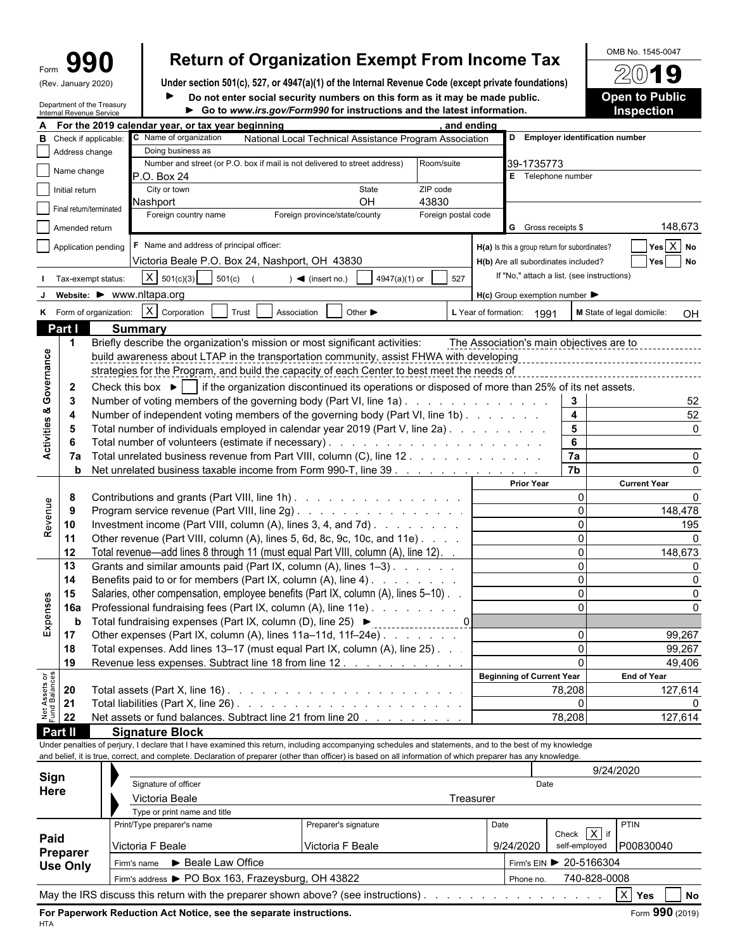| m  |               |
|----|---------------|
| יי | lanuary 2020) |

## Form **990 Return of Organization Exempt From Income Tax**  $\frac{600 \text{ B No. }1545-0047}{2019}$

(Rev. January 2020) **Under section 501(c), 527, or 4947(a)(1) of the Internal Revenue Code (except private foundations)**  $\blacktriangleright$ **Do not enter social security numbers on this form as it may be made public. <b>Open to Public** 

| A For the 2019 calendar year, or tax year beginning<br>and ending<br>D Employer identification number<br>C Name of organization<br><b>B</b> Check if applicable:<br>National Local Technical Assistance Program Association<br>Doing business as<br>Address change<br>Number and street (or P.O. box if mail is not delivered to street address)<br>Room/suite<br>39-1735773<br>Name change<br>P.O. Box 24<br>E Telephone number<br>City or town<br>State<br>ZIP code<br>Initial return<br>OH<br>43830<br>Nashport<br>Final return/terminated<br>Foreign country name<br>Foreign province/state/county<br>Foreign postal code<br>148,673<br><b>G</b> Gross receipts \$<br>Amended return<br>$Yes \ X$ No<br>F Name and address of principal officer:<br>Application pending<br>H(a) Is this a group return for subordinates?<br>Victoria Beale P.O. Box 24, Nashport, OH 43830<br>Yes<br><b>No</b><br>H(b) Are all subordinates included?<br>If "No," attach a list. (see instructions)<br>$X \mid 501(c)(3)$<br>501(c)<br>$\bullet$ (insert no.)<br>4947(a)(1) or<br>527<br>Tax-exempt status:<br>website: • www.nltapa.org<br>$H(c)$ Group exemption number $\blacktriangleright$<br>$X$ Corporation<br>K Form of organization:<br>Other $\blacktriangleright$<br>Trust<br>Association<br>L Year of formation:<br>M State of legal domicile:<br>1991<br>OH<br>Part I<br><b>Summary</b><br>Briefly describe the organization's mission or most significant activities:<br>The Association's main objectives are to<br>$\mathbf 1$<br><b>Activities &amp; Governance</b><br>build awareness about LTAP in the transportation community, assist FHWA with developing<br>strategies for the Program, and build the capacity of each Center to best meet the needs of |
|--------------------------------------------------------------------------------------------------------------------------------------------------------------------------------------------------------------------------------------------------------------------------------------------------------------------------------------------------------------------------------------------------------------------------------------------------------------------------------------------------------------------------------------------------------------------------------------------------------------------------------------------------------------------------------------------------------------------------------------------------------------------------------------------------------------------------------------------------------------------------------------------------------------------------------------------------------------------------------------------------------------------------------------------------------------------------------------------------------------------------------------------------------------------------------------------------------------------------------------------------------------------------------------------------------------------------------------------------------------------------------------------------------------------------------------------------------------------------------------------------------------------------------------------------------------------------------------------------------------------------------------------------------------------------------------------------------------------------------------------------------------------|
|                                                                                                                                                                                                                                                                                                                                                                                                                                                                                                                                                                                                                                                                                                                                                                                                                                                                                                                                                                                                                                                                                                                                                                                                                                                                                                                                                                                                                                                                                                                                                                                                                                                                                                                                                                    |
|                                                                                                                                                                                                                                                                                                                                                                                                                                                                                                                                                                                                                                                                                                                                                                                                                                                                                                                                                                                                                                                                                                                                                                                                                                                                                                                                                                                                                                                                                                                                                                                                                                                                                                                                                                    |
|                                                                                                                                                                                                                                                                                                                                                                                                                                                                                                                                                                                                                                                                                                                                                                                                                                                                                                                                                                                                                                                                                                                                                                                                                                                                                                                                                                                                                                                                                                                                                                                                                                                                                                                                                                    |
|                                                                                                                                                                                                                                                                                                                                                                                                                                                                                                                                                                                                                                                                                                                                                                                                                                                                                                                                                                                                                                                                                                                                                                                                                                                                                                                                                                                                                                                                                                                                                                                                                                                                                                                                                                    |
|                                                                                                                                                                                                                                                                                                                                                                                                                                                                                                                                                                                                                                                                                                                                                                                                                                                                                                                                                                                                                                                                                                                                                                                                                                                                                                                                                                                                                                                                                                                                                                                                                                                                                                                                                                    |
|                                                                                                                                                                                                                                                                                                                                                                                                                                                                                                                                                                                                                                                                                                                                                                                                                                                                                                                                                                                                                                                                                                                                                                                                                                                                                                                                                                                                                                                                                                                                                                                                                                                                                                                                                                    |
|                                                                                                                                                                                                                                                                                                                                                                                                                                                                                                                                                                                                                                                                                                                                                                                                                                                                                                                                                                                                                                                                                                                                                                                                                                                                                                                                                                                                                                                                                                                                                                                                                                                                                                                                                                    |
|                                                                                                                                                                                                                                                                                                                                                                                                                                                                                                                                                                                                                                                                                                                                                                                                                                                                                                                                                                                                                                                                                                                                                                                                                                                                                                                                                                                                                                                                                                                                                                                                                                                                                                                                                                    |
|                                                                                                                                                                                                                                                                                                                                                                                                                                                                                                                                                                                                                                                                                                                                                                                                                                                                                                                                                                                                                                                                                                                                                                                                                                                                                                                                                                                                                                                                                                                                                                                                                                                                                                                                                                    |
|                                                                                                                                                                                                                                                                                                                                                                                                                                                                                                                                                                                                                                                                                                                                                                                                                                                                                                                                                                                                                                                                                                                                                                                                                                                                                                                                                                                                                                                                                                                                                                                                                                                                                                                                                                    |
|                                                                                                                                                                                                                                                                                                                                                                                                                                                                                                                                                                                                                                                                                                                                                                                                                                                                                                                                                                                                                                                                                                                                                                                                                                                                                                                                                                                                                                                                                                                                                                                                                                                                                                                                                                    |
|                                                                                                                                                                                                                                                                                                                                                                                                                                                                                                                                                                                                                                                                                                                                                                                                                                                                                                                                                                                                                                                                                                                                                                                                                                                                                                                                                                                                                                                                                                                                                                                                                                                                                                                                                                    |
|                                                                                                                                                                                                                                                                                                                                                                                                                                                                                                                                                                                                                                                                                                                                                                                                                                                                                                                                                                                                                                                                                                                                                                                                                                                                                                                                                                                                                                                                                                                                                                                                                                                                                                                                                                    |
|                                                                                                                                                                                                                                                                                                                                                                                                                                                                                                                                                                                                                                                                                                                                                                                                                                                                                                                                                                                                                                                                                                                                                                                                                                                                                                                                                                                                                                                                                                                                                                                                                                                                                                                                                                    |
|                                                                                                                                                                                                                                                                                                                                                                                                                                                                                                                                                                                                                                                                                                                                                                                                                                                                                                                                                                                                                                                                                                                                                                                                                                                                                                                                                                                                                                                                                                                                                                                                                                                                                                                                                                    |
|                                                                                                                                                                                                                                                                                                                                                                                                                                                                                                                                                                                                                                                                                                                                                                                                                                                                                                                                                                                                                                                                                                                                                                                                                                                                                                                                                                                                                                                                                                                                                                                                                                                                                                                                                                    |
|                                                                                                                                                                                                                                                                                                                                                                                                                                                                                                                                                                                                                                                                                                                                                                                                                                                                                                                                                                                                                                                                                                                                                                                                                                                                                                                                                                                                                                                                                                                                                                                                                                                                                                                                                                    |
|                                                                                                                                                                                                                                                                                                                                                                                                                                                                                                                                                                                                                                                                                                                                                                                                                                                                                                                                                                                                                                                                                                                                                                                                                                                                                                                                                                                                                                                                                                                                                                                                                                                                                                                                                                    |
| Check this box $\blacktriangleright$ if the organization discontinued its operations or disposed of more than 25% of its net assets.<br>$\mathbf{2}$                                                                                                                                                                                                                                                                                                                                                                                                                                                                                                                                                                                                                                                                                                                                                                                                                                                                                                                                                                                                                                                                                                                                                                                                                                                                                                                                                                                                                                                                                                                                                                                                               |
| Number of voting members of the governing body (Part VI, line 1a).<br>3<br>3<br>52                                                                                                                                                                                                                                                                                                                                                                                                                                                                                                                                                                                                                                                                                                                                                                                                                                                                                                                                                                                                                                                                                                                                                                                                                                                                                                                                                                                                                                                                                                                                                                                                                                                                                 |
| 52<br>$\overline{\mathbf{4}}$<br>Number of independent voting members of the governing body (Part VI, line 1b)<br>4                                                                                                                                                                                                                                                                                                                                                                                                                                                                                                                                                                                                                                                                                                                                                                                                                                                                                                                                                                                                                                                                                                                                                                                                                                                                                                                                                                                                                                                                                                                                                                                                                                                |
| $5\phantom{a}$<br>Total number of individuals employed in calendar year 2019 (Part V, line 2a).<br>$\Omega$<br>-5                                                                                                                                                                                                                                                                                                                                                                                                                                                                                                                                                                                                                                                                                                                                                                                                                                                                                                                                                                                                                                                                                                                                                                                                                                                                                                                                                                                                                                                                                                                                                                                                                                                  |
| $6\phantom{a}$<br>-6                                                                                                                                                                                                                                                                                                                                                                                                                                                                                                                                                                                                                                                                                                                                                                                                                                                                                                                                                                                                                                                                                                                                                                                                                                                                                                                                                                                                                                                                                                                                                                                                                                                                                                                                               |
| 7a<br>Total unrelated business revenue from Part VIII, column (C), line 12.<br>7a                                                                                                                                                                                                                                                                                                                                                                                                                                                                                                                                                                                                                                                                                                                                                                                                                                                                                                                                                                                                                                                                                                                                                                                                                                                                                                                                                                                                                                                                                                                                                                                                                                                                                  |
| $\overline{7b}$<br>Net unrelated business taxable income from Form 990-T, line 39<br>b                                                                                                                                                                                                                                                                                                                                                                                                                                                                                                                                                                                                                                                                                                                                                                                                                                                                                                                                                                                                                                                                                                                                                                                                                                                                                                                                                                                                                                                                                                                                                                                                                                                                             |
| <b>Prior Year</b><br><b>Current Year</b>                                                                                                                                                                                                                                                                                                                                                                                                                                                                                                                                                                                                                                                                                                                                                                                                                                                                                                                                                                                                                                                                                                                                                                                                                                                                                                                                                                                                                                                                                                                                                                                                                                                                                                                           |
| 0<br>8<br>Contributions and grants (Part VIII, line 1h)                                                                                                                                                                                                                                                                                                                                                                                                                                                                                                                                                                                                                                                                                                                                                                                                                                                                                                                                                                                                                                                                                                                                                                                                                                                                                                                                                                                                                                                                                                                                                                                                                                                                                                            |
| $\mathsf 0$<br>Program service revenue (Part VIII, line 2g)<br>148,478<br>9                                                                                                                                                                                                                                                                                                                                                                                                                                                                                                                                                                                                                                                                                                                                                                                                                                                                                                                                                                                                                                                                                                                                                                                                                                                                                                                                                                                                                                                                                                                                                                                                                                                                                        |
| Revenue<br>$\mathbf 0$<br>Investment income (Part VIII, column (A), lines 3, 4, and 7d)<br>10<br>195                                                                                                                                                                                                                                                                                                                                                                                                                                                                                                                                                                                                                                                                                                                                                                                                                                                                                                                                                                                                                                                                                                                                                                                                                                                                                                                                                                                                                                                                                                                                                                                                                                                               |
| $\mathbf 0$<br>Other revenue (Part VIII, column (A), lines 5, 6d, 8c, 9c, 10c, and 11e)<br>11                                                                                                                                                                                                                                                                                                                                                                                                                                                                                                                                                                                                                                                                                                                                                                                                                                                                                                                                                                                                                                                                                                                                                                                                                                                                                                                                                                                                                                                                                                                                                                                                                                                                      |
| $\pmb{0}$<br>12<br>Total revenue—add lines 8 through 11 (must equal Part VIII, column (A), line 12). .<br>148,673                                                                                                                                                                                                                                                                                                                                                                                                                                                                                                                                                                                                                                                                                                                                                                                                                                                                                                                                                                                                                                                                                                                                                                                                                                                                                                                                                                                                                                                                                                                                                                                                                                                  |
| Grants and similar amounts paid (Part IX, column (A), lines 1-3)<br>$\mathbf 0$<br>13                                                                                                                                                                                                                                                                                                                                                                                                                                                                                                                                                                                                                                                                                                                                                                                                                                                                                                                                                                                                                                                                                                                                                                                                                                                                                                                                                                                                                                                                                                                                                                                                                                                                              |
| 14<br>Benefits paid to or for members (Part IX, column (A), line 4)<br>$\mathbf 0$                                                                                                                                                                                                                                                                                                                                                                                                                                                                                                                                                                                                                                                                                                                                                                                                                                                                                                                                                                                                                                                                                                                                                                                                                                                                                                                                                                                                                                                                                                                                                                                                                                                                                 |
| $\mathbf 0$<br>Salaries, other compensation, employee benefits (Part IX, column (A), lines 5-10).<br>15                                                                                                                                                                                                                                                                                                                                                                                                                                                                                                                                                                                                                                                                                                                                                                                                                                                                                                                                                                                                                                                                                                                                                                                                                                                                                                                                                                                                                                                                                                                                                                                                                                                            |
| Expenses<br>$\mathbf 0$<br>Professional fundraising fees (Part IX, column (A), line 11e)<br>16a                                                                                                                                                                                                                                                                                                                                                                                                                                                                                                                                                                                                                                                                                                                                                                                                                                                                                                                                                                                                                                                                                                                                                                                                                                                                                                                                                                                                                                                                                                                                                                                                                                                                    |
| Total fundraising expenses (Part IX, column (D), line 25) ▶<br>. 0]<br>b                                                                                                                                                                                                                                                                                                                                                                                                                                                                                                                                                                                                                                                                                                                                                                                                                                                                                                                                                                                                                                                                                                                                                                                                                                                                                                                                                                                                                                                                                                                                                                                                                                                                                           |
| 17<br>Other expenses (Part IX, column (A), lines 11a-11d, 11f-24e)<br>0<br>99.267                                                                                                                                                                                                                                                                                                                                                                                                                                                                                                                                                                                                                                                                                                                                                                                                                                                                                                                                                                                                                                                                                                                                                                                                                                                                                                                                                                                                                                                                                                                                                                                                                                                                                  |
| $\pmb{0}$<br>18<br>Total expenses. Add lines 13-17 (must equal Part IX, column (A), line 25). .<br>99,267                                                                                                                                                                                                                                                                                                                                                                                                                                                                                                                                                                                                                                                                                                                                                                                                                                                                                                                                                                                                                                                                                                                                                                                                                                                                                                                                                                                                                                                                                                                                                                                                                                                          |
| 19<br>Revenue less expenses. Subtract line 18 from line 12.<br>$\Omega$<br>49,406                                                                                                                                                                                                                                                                                                                                                                                                                                                                                                                                                                                                                                                                                                                                                                                                                                                                                                                                                                                                                                                                                                                                                                                                                                                                                                                                                                                                                                                                                                                                                                                                                                                                                  |
| Net Assets or<br>Fund Balances<br><b>Beginning of Current Year</b><br><b>End of Year</b>                                                                                                                                                                                                                                                                                                                                                                                                                                                                                                                                                                                                                                                                                                                                                                                                                                                                                                                                                                                                                                                                                                                                                                                                                                                                                                                                                                                                                                                                                                                                                                                                                                                                           |
| 127,614<br>78,208<br>20<br>Total assets (Part X, line 16) $\ldots$ $\ldots$ $\ldots$ $\ldots$ $\ldots$ $\ldots$ $\ldots$ $\ldots$ $\ldots$                                                                                                                                                                                                                                                                                                                                                                                                                                                                                                                                                                                                                                                                                                                                                                                                                                                                                                                                                                                                                                                                                                                                                                                                                                                                                                                                                                                                                                                                                                                                                                                                                         |
| 21<br>$\Omega$                                                                                                                                                                                                                                                                                                                                                                                                                                                                                                                                                                                                                                                                                                                                                                                                                                                                                                                                                                                                                                                                                                                                                                                                                                                                                                                                                                                                                                                                                                                                                                                                                                                                                                                                                     |
| 22<br>Net assets or fund balances. Subtract line 21 from line 20<br>78,208<br>127,614                                                                                                                                                                                                                                                                                                                                                                                                                                                                                                                                                                                                                                                                                                                                                                                                                                                                                                                                                                                                                                                                                                                                                                                                                                                                                                                                                                                                                                                                                                                                                                                                                                                                              |
| Part II<br><b>Signature Block</b><br>Under penalties of perjury, I declare that I have examined this return, including accompanying schedules and statements, and to the best of my knowledge                                                                                                                                                                                                                                                                                                                                                                                                                                                                                                                                                                                                                                                                                                                                                                                                                                                                                                                                                                                                                                                                                                                                                                                                                                                                                                                                                                                                                                                                                                                                                                      |
|                                                                                                                                                                                                                                                                                                                                                                                                                                                                                                                                                                                                                                                                                                                                                                                                                                                                                                                                                                                                                                                                                                                                                                                                                                                                                                                                                                                                                                                                                                                                                                                                                                                                                                                                                                    |
|                                                                                                                                                                                                                                                                                                                                                                                                                                                                                                                                                                                                                                                                                                                                                                                                                                                                                                                                                                                                                                                                                                                                                                                                                                                                                                                                                                                                                                                                                                                                                                                                                                                                                                                                                                    |
| and belief, it is true, correct, and complete. Declaration of preparer (other than officer) is based on all information of which preparer has any knowledge.                                                                                                                                                                                                                                                                                                                                                                                                                                                                                                                                                                                                                                                                                                                                                                                                                                                                                                                                                                                                                                                                                                                                                                                                                                                                                                                                                                                                                                                                                                                                                                                                       |
| 9/24/2020<br>Sign                                                                                                                                                                                                                                                                                                                                                                                                                                                                                                                                                                                                                                                                                                                                                                                                                                                                                                                                                                                                                                                                                                                                                                                                                                                                                                                                                                                                                                                                                                                                                                                                                                                                                                                                                  |
| Signature of officer<br>Date<br>Here                                                                                                                                                                                                                                                                                                                                                                                                                                                                                                                                                                                                                                                                                                                                                                                                                                                                                                                                                                                                                                                                                                                                                                                                                                                                                                                                                                                                                                                                                                                                                                                                                                                                                                                               |
| Victoria Beale<br>Treasurer                                                                                                                                                                                                                                                                                                                                                                                                                                                                                                                                                                                                                                                                                                                                                                                                                                                                                                                                                                                                                                                                                                                                                                                                                                                                                                                                                                                                                                                                                                                                                                                                                                                                                                                                        |
| Type or print name and title                                                                                                                                                                                                                                                                                                                                                                                                                                                                                                                                                                                                                                                                                                                                                                                                                                                                                                                                                                                                                                                                                                                                                                                                                                                                                                                                                                                                                                                                                                                                                                                                                                                                                                                                       |
| <b>PTIN</b><br>Print/Type preparer's name<br>Preparer's signature<br>Date<br>Check $\overline{X}$ if                                                                                                                                                                                                                                                                                                                                                                                                                                                                                                                                                                                                                                                                                                                                                                                                                                                                                                                                                                                                                                                                                                                                                                                                                                                                                                                                                                                                                                                                                                                                                                                                                                                               |
| Paid<br>Victoria F Beale<br>self-employed<br>Victoria F Beale<br>9/24/2020<br>P00830040<br>Preparer                                                                                                                                                                                                                                                                                                                                                                                                                                                                                                                                                                                                                                                                                                                                                                                                                                                                                                                                                                                                                                                                                                                                                                                                                                                                                                                                                                                                                                                                                                                                                                                                                                                                |

Firm's address  $\triangleright$  PO Box 163, Frazeysburg, OH 43822 Phone no. 740-828-0008 May the IRS discuss this return with the preparer shown above? (see instructions) . . . . . . . . . . . . . . . . . . . . . . . . . . . . . . . . . . . . . . . . . X **Yes No**

HTA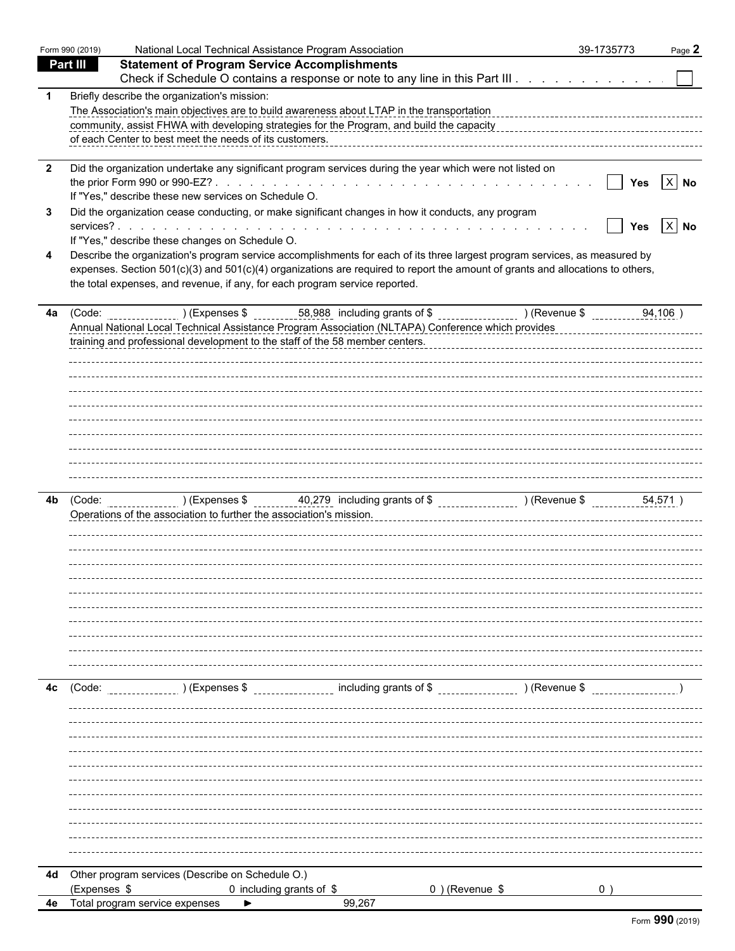|                         | Form 990 (2019) | National Local Technical Assistance Program Association                                                                                                              | 39-1735773          | Page 2     |
|-------------------------|-----------------|----------------------------------------------------------------------------------------------------------------------------------------------------------------------|---------------------|------------|
|                         | <b>Part III</b> | <b>Statement of Program Service Accomplishments</b>                                                                                                                  |                     |            |
|                         |                 | Check if Schedule O contains a response or note to any line in this Part III.                                                                                        |                     |            |
| -1                      |                 | Briefly describe the organization's mission:                                                                                                                         |                     |            |
|                         |                 | The Association's main objectives are to build awareness about LTAP in the transportation                                                                            |                     |            |
|                         |                 | community, assist FHWA with developing strategies for the Program, and build the capacity<br>content contents assist the capacity assistance content of the capacity |                     |            |
|                         |                 | of each Center to best meet the needs of its customers.                                                                                                              |                     |            |
| $\overline{\mathbf{2}}$ |                 | Did the organization undertake any significant program services during the year which were not listed on                                                             |                     |            |
|                         |                 |                                                                                                                                                                      | $\mathbf{I}$<br>Yes | $X$ No     |
|                         |                 | If "Yes," describe these new services on Schedule O.                                                                                                                 |                     |            |
| 3                       |                 | Did the organization cease conducting, or make significant changes in how it conducts, any program                                                                   |                     |            |
|                         |                 |                                                                                                                                                                      |                     | Yes $X$ No |
|                         |                 | If "Yes," describe these changes on Schedule O.                                                                                                                      |                     |            |
| 4                       |                 | Describe the organization's program service accomplishments for each of its three largest program services, as measured by                                           |                     |            |
|                         |                 | expenses. Section 501(c)(3) and 501(c)(4) organizations are required to report the amount of grants and allocations to others,                                       |                     |            |
|                         |                 | the total expenses, and revenue, if any, for each program service reported.                                                                                          |                     |            |
| 4a                      |                 |                                                                                                                                                                      |                     |            |
|                         |                 |                                                                                                                                                                      |                     |            |
|                         |                 | training and professional development to the staff of the 58 member centers.                                                                                         |                     |            |
|                         |                 |                                                                                                                                                                      |                     |            |
|                         |                 |                                                                                                                                                                      |                     |            |
|                         |                 |                                                                                                                                                                      |                     |            |
|                         |                 |                                                                                                                                                                      |                     |            |
|                         |                 |                                                                                                                                                                      |                     |            |
|                         |                 |                                                                                                                                                                      |                     |            |
|                         |                 |                                                                                                                                                                      |                     |            |
|                         |                 |                                                                                                                                                                      |                     |            |
|                         |                 |                                                                                                                                                                      |                     |            |
| 4b                      |                 |                                                                                                                                                                      |                     |            |
|                         |                 | Operations of the association to further the association's mission.                                                                                                  |                     |            |
|                         |                 |                                                                                                                                                                      |                     |            |
|                         |                 |                                                                                                                                                                      |                     |            |
|                         |                 |                                                                                                                                                                      |                     |            |
|                         |                 |                                                                                                                                                                      |                     |            |
|                         |                 |                                                                                                                                                                      |                     |            |
|                         |                 |                                                                                                                                                                      |                     |            |
|                         |                 |                                                                                                                                                                      |                     |            |
|                         |                 |                                                                                                                                                                      |                     |            |
|                         |                 |                                                                                                                                                                      |                     |            |
|                         |                 |                                                                                                                                                                      |                     |            |
|                         |                 |                                                                                                                                                                      |                     |            |
| 4с                      | (Code:          | including grants of \$ (Revenue \$<br>) (Expenses \$                                                                                                                 |                     |            |
|                         |                 |                                                                                                                                                                      |                     |            |
|                         |                 |                                                                                                                                                                      |                     |            |
|                         |                 |                                                                                                                                                                      |                     |            |
|                         |                 |                                                                                                                                                                      |                     |            |
|                         |                 |                                                                                                                                                                      |                     |            |
|                         |                 |                                                                                                                                                                      |                     |            |
|                         |                 |                                                                                                                                                                      |                     |            |
|                         |                 |                                                                                                                                                                      |                     |            |
|                         |                 |                                                                                                                                                                      |                     |            |
|                         |                 |                                                                                                                                                                      |                     |            |
|                         |                 |                                                                                                                                                                      |                     |            |
|                         |                 | 4d Other program services (Describe on Schedule O.)                                                                                                                  |                     |            |
|                         | (Expenses \$    | 0) (Revenue \$<br>0 including grants of \$                                                                                                                           |                     |            |
| 4e                      |                 | Total program service expenses<br>99,267                                                                                                                             |                     |            |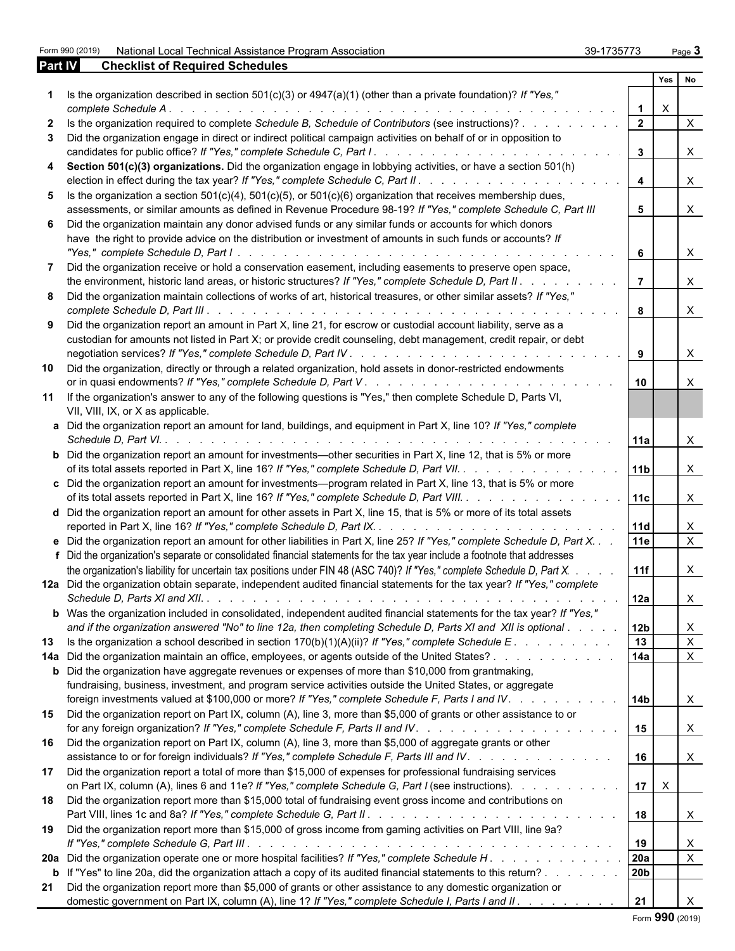Form 990 (2019) National Local Technical Assistance Program Association 39-1735773 Page 3

| 39-1735773 | Page 3 |
|------------|--------|
|            |        |

| Part IV | <b>Checklist of Required Schedules</b>                                                                                                                                                                                                      |                         |             |                           |  |
|---------|---------------------------------------------------------------------------------------------------------------------------------------------------------------------------------------------------------------------------------------------|-------------------------|-------------|---------------------------|--|
|         |                                                                                                                                                                                                                                             |                         | Yes         | No.                       |  |
|         | Is the organization described in section $501(c)(3)$ or $4947(a)(1)$ (other than a private foundation)? If "Yes,"<br>complete Schedule A.                                                                                                   | $\mathbf 1$             | $\times$    |                           |  |
|         | Is the organization required to complete Schedule B, Schedule of Contributors (see instructions)?                                                                                                                                           | $\overline{2}$          |             | $\times$                  |  |
| 3       | Did the organization engage in direct or indirect political campaign activities on behalf of or in opposition to                                                                                                                            |                         |             |                           |  |
|         |                                                                                                                                                                                                                                             | $\mathbf{3}$            |             | $\times$                  |  |
| 4       | Section 501(c)(3) organizations. Did the organization engage in lobbying activities, or have a section 501(h)                                                                                                                               | $\overline{\mathbf{4}}$ |             | $\times$                  |  |
| 5       | Is the organization a section $501(c)(4)$ , $501(c)(5)$ , or $501(c)(6)$ organization that receives membership dues,                                                                                                                        |                         |             |                           |  |
|         | assessments, or similar amounts as defined in Revenue Procedure 98-19? If "Yes," complete Schedule C, Part III                                                                                                                              | 5                       |             | $\times$                  |  |
|         | 6 Did the organization maintain any donor advised funds or any similar funds or accounts for which donors<br>have the right to provide advice on the distribution or investment of amounts in such funds or accounts? If                    | 6                       |             | $\times$                  |  |
| 7       | Did the organization receive or hold a conservation easement, including easements to preserve open space,                                                                                                                                   |                         |             |                           |  |
|         | the environment, historic land areas, or historic structures? If "Yes," complete Schedule D, Part II. .                                                                                                                                     | $\overline{7}$          |             | $\times$                  |  |
|         | 8 Did the organization maintain collections of works of art, historical treasures, or other similar assets? If "Yes,"                                                                                                                       | 8                       |             | $\times$                  |  |
|         | 9 Did the organization report an amount in Part X, line 21, for escrow or custodial account liability, serve as a                                                                                                                           |                         |             |                           |  |
|         | custodian for amounts not listed in Part X; or provide credit counseling, debt management, credit repair, or debt                                                                                                                           |                         |             |                           |  |
|         |                                                                                                                                                                                                                                             | 9                       |             | X                         |  |
| 10      | Did the organization, directly or through a related organization, hold assets in donor-restricted endowments                                                                                                                                | 10                      |             | $\times$                  |  |
|         | 11 If the organization's answer to any of the following questions is "Yes," then complete Schedule D, Parts VI,<br>VII, VIII, IX, or X as applicable.                                                                                       |                         |             |                           |  |
|         | a Did the organization report an amount for land, buildings, and equipment in Part X, line 10? If "Yes," complete                                                                                                                           | 11a                     |             | $\times$                  |  |
|         | <b>b</b> Did the organization report an amount for investments—other securities in Part X, line 12, that is 5% or more<br>of its total assets reported in Part X, line 16? If "Yes," complete Schedule D, Part VII.                         | 11 <sub>b</sub>         |             | $\times$                  |  |
|         | c Did the organization report an amount for investments—program related in Part X, line 13, that is 5% or more                                                                                                                              |                         |             |                           |  |
|         | of its total assets reported in Part X, line 16? If "Yes," complete Schedule D, Part VIII.                                                                                                                                                  | 11c                     |             | $\times$                  |  |
|         | d Did the organization report an amount for other assets in Part X, line 15, that is 5% or more of its total assets                                                                                                                         | 11d                     |             | X                         |  |
|         | e Did the organization report an amount for other liabilities in Part X, line 25? If "Yes," complete Schedule D, Part X                                                                                                                     | 11e                     |             | $\mathsf{X}$              |  |
|         | f Did the organization's separate or consolidated financial statements for the tax year include a footnote that addresses                                                                                                                   |                         |             |                           |  |
|         | the organization's liability for uncertain tax positions under FIN 48 (ASC 740)? If "Yes," complete Schedule D, Part X.                                                                                                                     | 11f                     |             | X                         |  |
|         | 12a Did the organization obtain separate, independent audited financial statements for the tax year? If "Yes," complete                                                                                                                     |                         |             |                           |  |
|         |                                                                                                                                                                                                                                             | 12a                     |             | X                         |  |
|         | <b>b</b> Was the organization included in consolidated, independent audited financial statements for the tax year? If "Yes,"<br>and if the organization answered "No" to line 12a, then completing Schedule D, Parts XI and XII is optional | 12 <sub>b</sub>         |             | X                         |  |
| 13      | Is the organization a school described in section $170(b)(1)(A)(ii)$ ? If "Yes," complete Schedule E.                                                                                                                                       | 13                      |             | $\boldsymbol{\mathsf{X}}$ |  |
|         | 14a Did the organization maintain an office, employees, or agents outside of the United States?                                                                                                                                             | 14a                     |             | $\boldsymbol{\mathsf{X}}$ |  |
|         | <b>b</b> Did the organization have aggregate revenues or expenses of more than \$10,000 from grantmaking,<br>fundraising, business, investment, and program service activities outside the United States, or aggregate                      |                         |             |                           |  |
|         | foreign investments valued at \$100,000 or more? If "Yes," complete Schedule F, Parts I and IV.                                                                                                                                             | l 14b                   |             | X                         |  |
|         | 15 Did the organization report on Part IX, column (A), line 3, more than \$5,000 of grants or other assistance to or                                                                                                                        | 15                      |             | $\mathsf{X}$              |  |
|         | 16 Did the organization report on Part IX, column (A), line 3, more than \$5,000 of aggregate grants or other<br>assistance to or for foreign individuals? If "Yes," complete Schedule F, Parts III and IV.                                 | 16                      |             |                           |  |
| 17      | Did the organization report a total of more than \$15,000 of expenses for professional fundraising services                                                                                                                                 |                         |             | $\boldsymbol{\mathsf{X}}$ |  |
|         | on Part IX, column (A), lines 6 and 11e? If "Yes," complete Schedule G, Part I (see instructions).                                                                                                                                          |                         | $17 \mid X$ |                           |  |
| 18      | Did the organization report more than \$15,000 total of fundraising event gross income and contributions on                                                                                                                                 | 18                      |             | $\boldsymbol{\mathsf{X}}$ |  |
| 19      | Did the organization report more than \$15,000 of gross income from gaming activities on Part VIII, line 9a?                                                                                                                                |                         |             |                           |  |
|         |                                                                                                                                                                                                                                             | 19                      |             | X                         |  |
|         | 20a Did the organization operate one or more hospital facilities? If "Yes," complete Schedule H.                                                                                                                                            | 20a<br>20 <sub>b</sub>  |             | $\sf X$                   |  |
| 21      | <b>b</b> If "Yes" to line 20a, did the organization attach a copy of its audited financial statements to this return?<br>Did the organization report more than \$5,000 of grants or other assistance to any domestic organization or        |                         |             |                           |  |
|         | domestic government on Part IX, column (A), line 1? If "Yes," complete Schedule I, Parts I and II.                                                                                                                                          | 21                      |             | $\times$                  |  |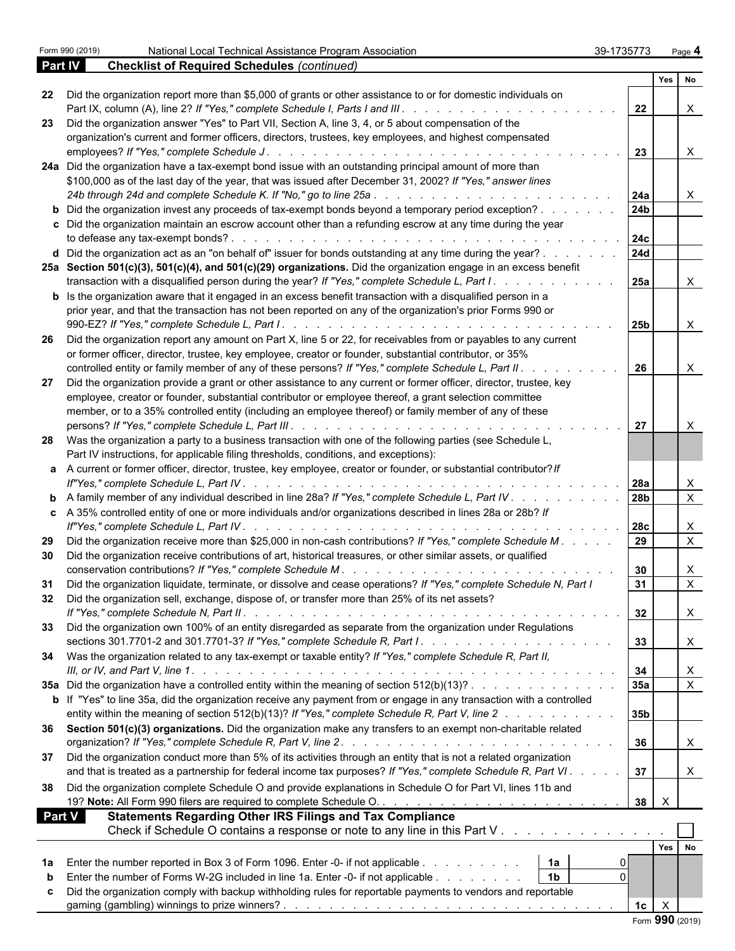|     |                                                                                                                                            |                 | Yes No       |                                             |
|-----|--------------------------------------------------------------------------------------------------------------------------------------------|-----------------|--------------|---------------------------------------------|
| 22  | Did the organization report more than \$5,000 of grants or other assistance to or for domestic individuals on                              | $\overline{22}$ |              | $\times$                                    |
| 23  | Did the organization answer "Yes" to Part VII, Section A, line 3, 4, or 5 about compensation of the                                        |                 |              |                                             |
|     | organization's current and former officers, directors, trustees, key employees, and highest compensated                                    |                 |              |                                             |
|     |                                                                                                                                            | 23              |              | $\mathsf{X}$                                |
|     | 24a Did the organization have a tax-exempt bond issue with an outstanding principal amount of more than                                    |                 |              |                                             |
|     | \$100,000 as of the last day of the year, that was issued after December 31, 2002? If "Yes," answer lines                                  |                 |              |                                             |
|     |                                                                                                                                            | 24a             |              | X                                           |
|     | <b>b</b> Did the organization invest any proceeds of tax-exempt bonds beyond a temporary period exception?                                 | l 24b           |              |                                             |
|     | c Did the organization maintain an escrow account other than a refunding escrow at any time during the year                                |                 |              |                                             |
|     |                                                                                                                                            | 24c             |              |                                             |
|     | d Did the organization act as an "on behalf of" issuer for bonds outstanding at any time during the year?                                  | 24d             |              |                                             |
|     | 25a Section 501(c)(3), 501(c)(4), and 501(c)(29) organizations. Did the organization engage in an excess benefit                           |                 |              |                                             |
|     | transaction with a disqualified person during the year? If "Yes," complete Schedule L, Part I.                                             | 25a             |              | $\mathsf{X}$                                |
|     | <b>b</b> Is the organization aware that it engaged in an excess benefit transaction with a disqualified person in a                        |                 |              |                                             |
|     | prior year, and that the transaction has not been reported on any of the organization's prior Forms 990 or                                 |                 |              |                                             |
|     |                                                                                                                                            | 25b             |              | $\mathsf{X}$                                |
| -26 | Did the organization report any amount on Part X, line 5 or 22, for receivables from or payables to any current                            |                 |              |                                             |
|     | or former officer, director, trustee, key employee, creator or founder, substantial contributor, or 35%                                    |                 |              |                                             |
|     | controlled entity or family member of any of these persons? If "Yes," complete Schedule L, Part II. .<br>and the state of the state of the | l 26            |              | $\times$                                    |
| 27  | Did the organization provide a grant or other assistance to any current or former officer, director, trustee, key                          |                 |              |                                             |
|     | employee, creator or founder, substantial contributor or employee thereof, a grant selection committee                                     |                 |              |                                             |
|     | member, or to a 35% controlled entity (including an employee thereof) or family member of any of these                                     |                 |              |                                             |
|     |                                                                                                                                            | l 27            |              | $\times$                                    |
|     | 28 Was the organization a party to a business transaction with one of the following parties (see Schedule L,                               |                 |              |                                             |
|     | Part IV instructions, for applicable filing thresholds, conditions, and exceptions):                                                       |                 |              |                                             |
|     | a A current or former officer, director, trustee, key employee, creator or founder, or substantial contributor? If                         |                 |              |                                             |
|     |                                                                                                                                            |                 |              |                                             |
|     | <b>b</b> A family member of any individual described in line 28a? If "Yes," complete Schedule L, Part IV.                                  | 28b             |              | $\boldsymbol{\mathsf{X}}$<br>$\overline{X}$ |
|     |                                                                                                                                            |                 |              |                                             |
|     | c A 35% controlled entity of one or more individuals and/or organizations described in lines 28a or 28b? If                                |                 |              | $\boldsymbol{\mathsf{X}}$                   |
| 29  | Did the organization receive more than \$25,000 in non-cash contributions? If "Yes," complete Schedule M.                                  | 29              |              | $\overline{X}$                              |
| 30  | Did the organization receive contributions of art, historical treasures, or other similar assets, or qualified                             |                 |              |                                             |
|     |                                                                                                                                            | $\vert$ 30      |              | X                                           |
| 31  | Did the organization liquidate, terminate, or dissolve and cease operations? If "Yes," complete Schedule N, Part I                         | -31             |              | $\mathsf{X}$                                |
| 32  | Did the organization sell, exchange, dispose of, or transfer more than 25% of its net assets?                                              |                 |              |                                             |
|     |                                                                                                                                            | 32              |              |                                             |
| 33  | Did the organization own 100% of an entity disregarded as separate from the organization under Regulations                                 |                 |              | $\mathbf{r}$                                |
|     |                                                                                                                                            | $\vert$ 33      |              | X                                           |
|     |                                                                                                                                            |                 |              |                                             |
|     | 34 Was the organization related to any tax-exempt or taxable entity? If "Yes," complete Schedule R, Part II,                               |                 |              |                                             |
|     |                                                                                                                                            | 34              |              | X                                           |
|     | 35a Did the organization have a controlled entity within the meaning of section 512(b)(13)?                                                | 35a             |              | $\overline{X}$                              |
|     | <b>b</b> If "Yes" to line 35a, did the organization receive any payment from or engage in any transaction with a controlled                |                 |              |                                             |
|     | entity within the meaning of section 512(b)(13)? If "Yes," complete Schedule R, Part V, line 2                                             | 35 <sub>b</sub> |              |                                             |
|     | 36 Section 501(c)(3) organizations. Did the organization make any transfers to an exempt non-charitable related                            |                 |              |                                             |
|     |                                                                                                                                            | 36              |              | X                                           |
|     | 37 Did the organization conduct more than 5% of its activities through an entity that is not a related organization                        |                 |              |                                             |
|     | and that is treated as a partnership for federal income tax purposes? If "Yes," complete Schedule R, Part VI.                              | 37              |              | X                                           |
|     | 38 Did the organization complete Schedule O and provide explanations in Schedule O for Part VI, lines 11b and                              |                 |              |                                             |
|     |                                                                                                                                            |                 | $\mathsf{X}$ |                                             |
|     | <b>Part V</b><br><b>Statements Regarding Other IRS Filings and Tax Compliance</b>                                                          |                 |              |                                             |
|     | Check if Schedule O contains a response or note to any line in this Part V                                                                 |                 |              |                                             |
|     |                                                                                                                                            |                 | Yes No       |                                             |
|     | 1a<br>Enter the number reported in Box 3 of Form 1096. Enter -0- if not applicable                                                         |                 |              |                                             |
| 1а  | 1 <sub>b</sub><br>$\Omega$                                                                                                                 |                 |              |                                             |
| b   | Enter the number of Forms W-2G included in line 1a. Enter -0- if not applicable                                                            |                 |              |                                             |
| c   | Did the organization comply with backup withholding rules for reportable payments to vendors and reportable                                |                 |              |                                             |
|     |                                                                                                                                            | 1c              | $\mathsf{X}$ |                                             |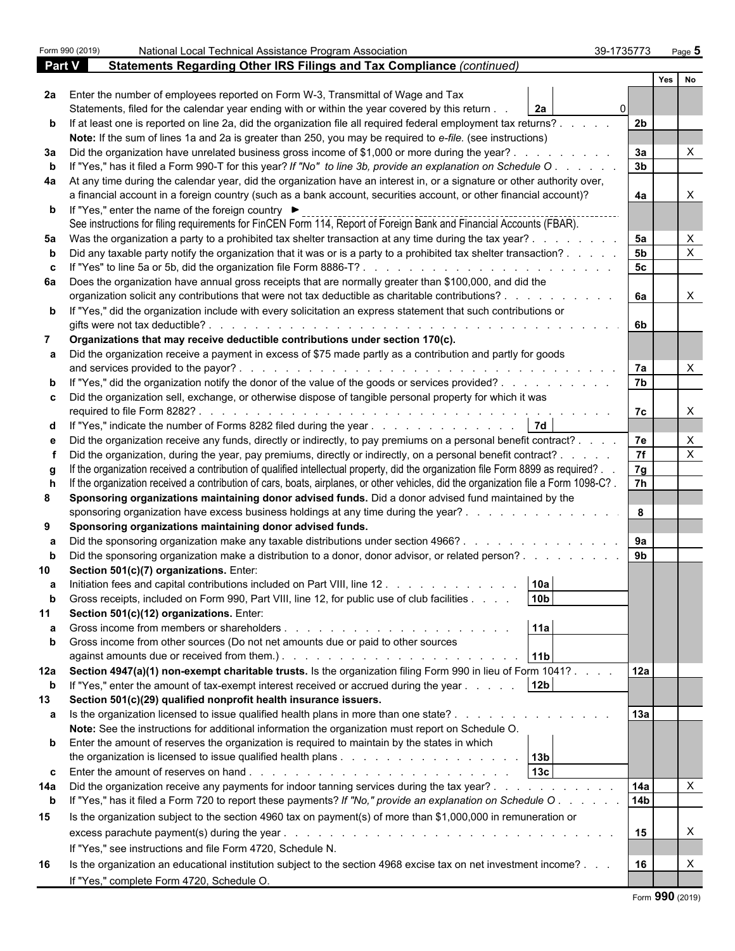|               | Form 990 (2019)                | National Local Technical Assistance Program Association                                                                                                                                                                                                                             | 39-1735773     |     | Page 5                    |  |  |
|---------------|--------------------------------|-------------------------------------------------------------------------------------------------------------------------------------------------------------------------------------------------------------------------------------------------------------------------------------|----------------|-----|---------------------------|--|--|
| <b>Part V</b> |                                | Statements Regarding Other IRS Filings and Tax Compliance (continued)                                                                                                                                                                                                               |                |     |                           |  |  |
|               |                                |                                                                                                                                                                                                                                                                                     |                | Yes | No                        |  |  |
|               |                                | 2a Enter the number of employees reported on Form W-3, Transmittal of Wage and Tax                                                                                                                                                                                                  |                |     |                           |  |  |
|               |                                | 2a<br>Statements, filed for the calendar year ending with or within the year covered by this return.                                                                                                                                                                                |                |     |                           |  |  |
|               |                                | b If at least one is reported on line 2a, did the organization file all required federal employment tax returns?.                                                                                                                                                                   | 2 <sub>b</sub> |     |                           |  |  |
|               |                                | Note: If the sum of lines 1a and 2a is greater than 250, you may be required to e-file. (see instructions)                                                                                                                                                                          |                |     |                           |  |  |
| За            |                                | Did the organization have unrelated business gross income of \$1,000 or more during the year?.                                                                                                                                                                                      | За             |     |                           |  |  |
|               |                                | If "Yes," has it filed a Form 990-T for this year? If "No" to line 3b, provide an explanation on Schedule O                                                                                                                                                                         | 3 <sub>b</sub> |     |                           |  |  |
| 4a            |                                | At any time during the calendar year, did the organization have an interest in, or a signature or other authority over,                                                                                                                                                             |                |     |                           |  |  |
|               |                                | a financial account in a foreign country (such as a bank account, securities account, or other financial account)?                                                                                                                                                                  | 4a             |     |                           |  |  |
|               |                                | <b>b</b> If "Yes," enter the name of the foreign country ▶                                                                                                                                                                                                                          |                |     |                           |  |  |
|               |                                | See instructions for filing requirements for FinCEN Form 114, Report of Foreign Bank and Financial Accounts (FBAR).                                                                                                                                                                 |                |     |                           |  |  |
| 5а            |                                | Was the organization a party to a prohibited tax shelter transaction at any time during the tax year?.                                                                                                                                                                              | 5a             |     | $\times$                  |  |  |
|               |                                | Did any taxable party notify the organization that it was or is a party to a prohibited tax shelter transaction?.                                                                                                                                                                   | 5 <sub>b</sub> |     | $\boldsymbol{\mathsf{X}}$ |  |  |
|               |                                | If "Yes" to line 5a or 5b, did the organization file Form 8886-T?                                                                                                                                                                                                                   | 5c             |     |                           |  |  |
|               |                                | 6a Does the organization have annual gross receipts that are normally greater than \$100,000, and did the                                                                                                                                                                           |                |     |                           |  |  |
|               |                                | organization solicit any contributions that were not tax deductible as charitable contributions?.                                                                                                                                                                                   | 6a             |     | $\times$                  |  |  |
|               |                                | <b>b</b> If "Yes," did the organization include with every solicitation an express statement that such contributions or                                                                                                                                                             |                |     |                           |  |  |
|               | gifts were not tax deductible? | .                                                                                                                                                                                                                                                                                   | 6b             |     |                           |  |  |
|               |                                | Organizations that may receive deductible contributions under section 170(c).                                                                                                                                                                                                       |                |     |                           |  |  |
|               |                                | Did the organization receive a payment in excess of \$75 made partly as a contribution and partly for goods                                                                                                                                                                         |                |     |                           |  |  |
|               |                                | and services provided to the payor?.                                                                                                                                                                                                                                                | 7a             |     |                           |  |  |
|               |                                | If "Yes," did the organization notify the donor of the value of the goods or services provided?                                                                                                                                                                                     | 7 <sub>b</sub> |     |                           |  |  |
|               |                                | c Did the organization sell, exchange, or otherwise dispose of tangible personal property for which it was                                                                                                                                                                          | 7c             |     | $\times$                  |  |  |
|               |                                | <b>7d</b>                                                                                                                                                                                                                                                                           |                |     |                           |  |  |
| d             |                                | If "Yes," indicate the number of Forms 8282 filed during the year<br>e Did the organization receive any funds, directly or indirectly, to pay premiums on a personal benefit contract? .                                                                                            | 7e             |     | X                         |  |  |
|               |                                | Did the organization, during the year, pay premiums, directly or indirectly, on a personal benefit contract? .                                                                                                                                                                      | 7f             |     | $\boldsymbol{\mathsf{X}}$ |  |  |
|               |                                | If the organization received a contribution of qualified intellectual property, did the organization file Form 8899 as required?.                                                                                                                                                   | 7g             |     |                           |  |  |
|               |                                | If the organization received a contribution of cars, boats, airplanes, or other vehicles, did the organization file a Form 1098-C?.                                                                                                                                                 | 7 <sup>h</sup> |     |                           |  |  |
| 8             |                                | Sponsoring organizations maintaining donor advised funds. Did a donor advised fund maintained by the                                                                                                                                                                                |                |     |                           |  |  |
|               |                                | sponsoring organization have excess business holdings at any time during the year?.                                                                                                                                                                                                 | 8              |     |                           |  |  |
| 9             |                                | Sponsoring organizations maintaining donor advised funds.                                                                                                                                                                                                                           |                |     |                           |  |  |
|               |                                | Did the sponsoring organization make any taxable distributions under section 4966?.                                                                                                                                                                                                 | 9a             |     |                           |  |  |
|               |                                | Did the sponsoring organization make a distribution to a donor, donor advisor, or related person?                                                                                                                                                                                   | 9 <sub>b</sub> |     |                           |  |  |
|               |                                | Section 501(c)(7) organizations. Enter:                                                                                                                                                                                                                                             |                |     |                           |  |  |
| а             |                                | 10a <br>Initiation fees and capital contributions included on Part VIII, line 12                                                                                                                                                                                                    |                |     |                           |  |  |
|               |                                | 10 <sub>b</sub><br>Gross receipts, included on Form 990, Part VIII, line 12, for public use of club facilities.                                                                                                                                                                     |                |     |                           |  |  |
| 11            |                                | Section 501(c)(12) organizations. Enter:                                                                                                                                                                                                                                            |                |     |                           |  |  |
|               |                                | 11a<br>Gross income from members or shareholders.<br>and the contract of the contract of the contract of the contract of the contract of the contract of the contract of the contract of the contract of the contract of the contract of the contract of the contract of the contra |                |     |                           |  |  |
| b             |                                | Gross income from other sources (Do not net amounts due or paid to other sources                                                                                                                                                                                                    |                |     |                           |  |  |
|               |                                | 11 <sub>b</sub>                                                                                                                                                                                                                                                                     |                |     |                           |  |  |
|               |                                | 12a Section 4947(a)(1) non-exempt charitable trusts. Is the organization filing Form 990 in lieu of Form 1041?.                                                                                                                                                                     | 12a            |     |                           |  |  |
| b             |                                | 12 <sub>b</sub><br>If "Yes," enter the amount of tax-exempt interest received or accrued during the year.                                                                                                                                                                           |                |     |                           |  |  |
| 13            |                                | Section 501(c)(29) qualified nonprofit health insurance issuers.                                                                                                                                                                                                                    |                |     |                           |  |  |
| a             |                                | Is the organization licensed to issue qualified health plans in more than one state?.                                                                                                                                                                                               | 13a            |     |                           |  |  |
|               |                                | Note: See the instructions for additional information the organization must report on Schedule O.                                                                                                                                                                                   |                |     |                           |  |  |
|               |                                | <b>b</b> Enter the amount of reserves the organization is required to maintain by the states in which                                                                                                                                                                               |                |     |                           |  |  |
|               |                                | 13 <sub>b</sub>                                                                                                                                                                                                                                                                     |                |     |                           |  |  |
| c.            |                                | 13 <sub>c</sub>                                                                                                                                                                                                                                                                     |                |     |                           |  |  |
| 14a           |                                | Did the organization receive any payments for indoor tanning services during the tax year?.<br>and a state of the state of the                                                                                                                                                      | 14a            |     | $\times$                  |  |  |
| b             |                                | If "Yes," has it filed a Form 720 to report these payments? If "No," provide an explanation on Schedule O.                                                                                                                                                                          | <b>14b</b>     |     |                           |  |  |
| 15            |                                | Is the organization subject to the section 4960 tax on payment(s) of more than \$1,000,000 in remuneration or                                                                                                                                                                       |                |     |                           |  |  |
|               |                                |                                                                                                                                                                                                                                                                                     | 15             |     | X                         |  |  |
|               |                                | If "Yes," see instructions and file Form 4720, Schedule N.                                                                                                                                                                                                                          |                |     |                           |  |  |
| 16            |                                | Is the organization an educational institution subject to the section 4968 excise tax on net investment income?                                                                                                                                                                     | 16             |     | X                         |  |  |
|               |                                | If "Yes," complete Form 4720, Schedule O.                                                                                                                                                                                                                                           |                |     |                           |  |  |
|               |                                |                                                                                                                                                                                                                                                                                     |                |     |                           |  |  |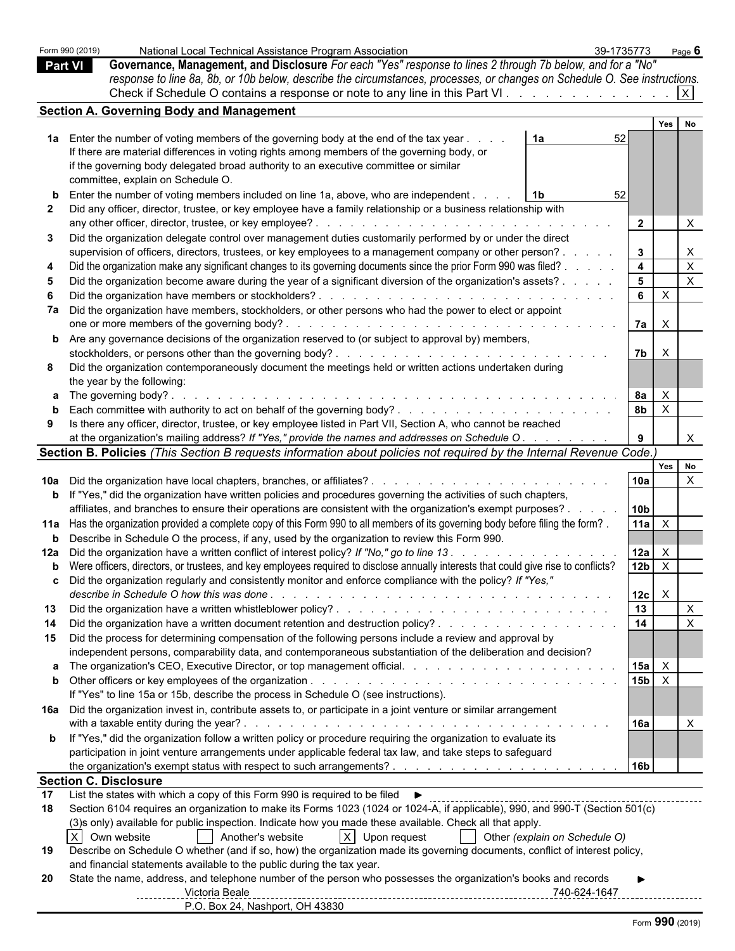|              | Form 990 (2019)              | National Local Technical Assistance Program Association                                                                                                                                                                                                        | 39-1735773             | Page 6       |                           |  |  |
|--------------|------------------------------|----------------------------------------------------------------------------------------------------------------------------------------------------------------------------------------------------------------------------------------------------------------|------------------------|--------------|---------------------------|--|--|
|              | <b>Part VI</b>               | Governance, Management, and Disclosure For each "Yes" response to lines 2 through 7b below, and for a "No"                                                                                                                                                     |                        |              |                           |  |  |
|              |                              | response to line 8a, 8b, or 10b below, describe the circumstances, processes, or changes on Schedule O. See instructions.                                                                                                                                      |                        |              |                           |  |  |
|              |                              | Check if Schedule O contains a response or note to any line in this Part VI.                                                                                                                                                                                   |                        | X            |                           |  |  |
|              |                              |                                                                                                                                                                                                                                                                |                        |              |                           |  |  |
|              |                              | <b>Section A. Governing Body and Management</b>                                                                                                                                                                                                                |                        |              |                           |  |  |
|              |                              |                                                                                                                                                                                                                                                                |                        | Yes          | No                        |  |  |
|              |                              | 1a Enter the number of voting members of the governing body at the end of the tax year.<br>1a                                                                                                                                                                  | 52                     |              |                           |  |  |
|              |                              | If there are material differences in voting rights among members of the governing body, or                                                                                                                                                                     |                        |              |                           |  |  |
|              |                              | if the governing body delegated broad authority to an executive committee or similar                                                                                                                                                                           |                        |              |                           |  |  |
|              |                              | committee, explain on Schedule O.                                                                                                                                                                                                                              |                        |              |                           |  |  |
|              |                              | Enter the number of voting members included on line 1a, above, who are independent.<br>1b                                                                                                                                                                      | 52                     |              |                           |  |  |
| $\mathbf{2}$ |                              | Did any officer, director, trustee, or key employee have a family relationship or a business relationship with                                                                                                                                                 |                        |              |                           |  |  |
|              |                              | any other officer, director, trustee, or key employee?<br>de la caractería de la caractería de la caractería                                                                                                                                                   | $\overline{2}$         |              | $\mathsf{X}$              |  |  |
| 3            |                              | Did the organization delegate control over management duties customarily performed by or under the direct                                                                                                                                                      |                        |              |                           |  |  |
|              |                              | supervision of officers, directors, trustees, or key employees to a management company or other person?.                                                                                                                                                       | 3 <sup>1</sup>         |              | $\mathsf{X}$              |  |  |
|              |                              | Did the organization make any significant changes to its governing documents since the prior Form 990 was filed? .                                                                                                                                             | $\overline{4}$         |              | $\mathsf{X}$              |  |  |
| 5            |                              |                                                                                                                                                                                                                                                                | 5 <sup>5</sup>         |              | $\boldsymbol{\mathsf{X}}$ |  |  |
|              |                              | Did the organization become aware during the year of a significant diversion of the organization's assets?                                                                                                                                                     | 6 <sup>1</sup>         | $\mathsf{X}$ |                           |  |  |
|              |                              | Did the organization have members or stockholders?.                                                                                                                                                                                                            |                        |              |                           |  |  |
|              |                              | 7a Did the organization have members, stockholders, or other persons who had the power to elect or appoint                                                                                                                                                     |                        |              |                           |  |  |
|              |                              | one or more members of the governing body?.<br>and the second contract of the second contract of the second contract of the second                                                                                                                             | 7a l                   | $\mathsf{X}$ |                           |  |  |
|              |                              | <b>b</b> Are any governance decisions of the organization reserved to (or subject to approval by) members,                                                                                                                                                     |                        |              |                           |  |  |
|              |                              | stockholders, or persons other than the governing body?.<br><u>. Kara masa masa masa masa masa masa m</u>                                                                                                                                                      | 7 <sub>b</sub>         | $\mathsf{X}$ |                           |  |  |
| 8            |                              | Did the organization contemporaneously document the meetings held or written actions undertaken during                                                                                                                                                         |                        |              |                           |  |  |
|              |                              | the year by the following:                                                                                                                                                                                                                                     |                        |              |                           |  |  |
|              |                              | <b>a</b> The governing body?<br>and the contract of the contract of the contract of the contract of the contract of the contract of the contract of the contract of the contract of the contract of the contract of the contract of the contract of the contra | <b>8a</b>              | $\mathsf{X}$ |                           |  |  |
| b            |                              |                                                                                                                                                                                                                                                                | 8 <sub>b</sub>         | $\mathsf{X}$ |                           |  |  |
| 9            |                              | Is there any officer, director, trustee, or key employee listed in Part VII, Section A, who cannot be reached                                                                                                                                                  |                        |              |                           |  |  |
|              |                              | at the organization's mailing address? If "Yes," provide the names and addresses on Schedule O.                                                                                                                                                                | 9                      |              | $\mathsf{X}$              |  |  |
|              |                              | Section B. Policies (This Section B requests information about policies not required by the Internal Revenue Code.)                                                                                                                                            |                        |              |                           |  |  |
|              |                              |                                                                                                                                                                                                                                                                |                        | Yes No       |                           |  |  |
|              |                              |                                                                                                                                                                                                                                                                | 10a                    |              | $\boldsymbol{X}$          |  |  |
|              |                              | <b>b</b> If "Yes," did the organization have written policies and procedures governing the activities of such chapters,                                                                                                                                        |                        |              |                           |  |  |
|              |                              | affiliates, and branches to ensure their operations are consistent with the organization's exempt purposes?.                                                                                                                                                   | 10b                    |              |                           |  |  |
|              |                              | 11a Has the organization provided a complete copy of this Form 990 to all members of its governing body before filing the form?.                                                                                                                               | 11a                    | $\mathsf{X}$ |                           |  |  |
|              |                              | <b>b</b> Describe in Schedule O the process, if any, used by the organization to review this Form 990.                                                                                                                                                         |                        |              |                           |  |  |
|              |                              |                                                                                                                                                                                                                                                                |                        |              |                           |  |  |
|              |                              |                                                                                                                                                                                                                                                                | 12a<br>12 <sub>b</sub> |              |                           |  |  |
|              |                              | <b>b</b> Were officers, directors, or trustees, and key employees required to disclose annually interests that could give rise to conflicts?                                                                                                                   |                        | $\mathsf{X}$ |                           |  |  |
|              |                              | Did the organization regularly and consistently monitor and enforce compliance with the policy? If "Yes,"                                                                                                                                                      |                        |              |                           |  |  |
|              |                              |                                                                                                                                                                                                                                                                | 12c                    | $\mathsf{X}$ |                           |  |  |
| 13           |                              |                                                                                                                                                                                                                                                                | 13                     |              | $\mathsf{X}$              |  |  |
| 14           |                              |                                                                                                                                                                                                                                                                | $\overline{14}$        |              | $\mathsf{X}$              |  |  |
| 15           |                              | Did the process for determining compensation of the following persons include a review and approval by                                                                                                                                                         |                        |              |                           |  |  |
|              |                              | independent persons, comparability data, and contemporaneous substantiation of the deliberation and decision?                                                                                                                                                  |                        |              |                           |  |  |
|              |                              |                                                                                                                                                                                                                                                                | 15a                    | $\mathsf{X}$ |                           |  |  |
|              |                              |                                                                                                                                                                                                                                                                | 15 <sub>b</sub>        | $\mathsf{X}$ |                           |  |  |
|              |                              | If "Yes" to line 15a or 15b, describe the process in Schedule O (see instructions).                                                                                                                                                                            |                        |              |                           |  |  |
|              |                              | 16a Did the organization invest in, contribute assets to, or participate in a joint venture or similar arrangement                                                                                                                                             |                        |              |                           |  |  |
|              |                              |                                                                                                                                                                                                                                                                | 16a                    |              | $\times$                  |  |  |
|              |                              | <b>b</b> If "Yes," did the organization follow a written policy or procedure requiring the organization to evaluate its                                                                                                                                        |                        |              |                           |  |  |
|              |                              | participation in joint venture arrangements under applicable federal tax law, and take steps to safeguard                                                                                                                                                      |                        |              |                           |  |  |
|              |                              |                                                                                                                                                                                                                                                                | 16b                    |              |                           |  |  |
|              | <b>Section C. Disclosure</b> |                                                                                                                                                                                                                                                                |                        |              |                           |  |  |
| 17           |                              | List the states with which a copy of this Form 990 is required to be filed ▶                                                                                                                                                                                   |                        |              |                           |  |  |
| 18           |                              |                                                                                                                                                                                                                                                                |                        |              |                           |  |  |
|              |                              | Section 6104 requires an organization to make its Forms 1023 (1024 or 1024-A, if applicable), 990, and 990-T (Section 501(c)                                                                                                                                   |                        |              |                           |  |  |
|              |                              | (3)s only) available for public inspection. Indicate how you made these available. Check all that apply.                                                                                                                                                       |                        |              |                           |  |  |
|              | X Own website                | X Upon request<br>Another's website<br>Other (explain on Schedule O)                                                                                                                                                                                           |                        |              |                           |  |  |
| 19           |                              | Describe on Schedule O whether (and if so, how) the organization made its governing documents, conflict of interest policy,                                                                                                                                    |                        |              |                           |  |  |
|              |                              | and financial statements available to the public during the tax year.                                                                                                                                                                                          |                        |              |                           |  |  |
| -20          |                              | State the name, address, and telephone number of the person who possesses the organization's books and records                                                                                                                                                 |                        |              |                           |  |  |
|              |                              | Victoria Beale<br>-------------                                                                                                                                                                                                                                |                        |              |                           |  |  |
|              |                              | P.O. Box 24, Nashport, OH 43830                                                                                                                                                                                                                                |                        |              |                           |  |  |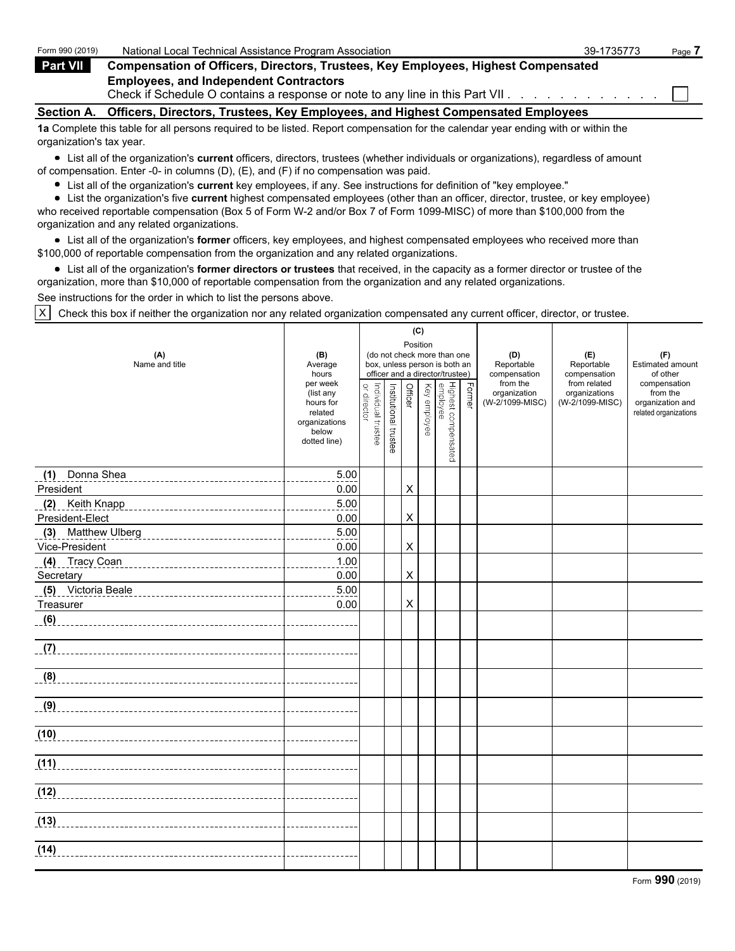| Form 990 (2019)          | National Local Technical Assistance Program Association                                                                                                                                                                     | 39-1735773 | Page 7 |
|--------------------------|-----------------------------------------------------------------------------------------------------------------------------------------------------------------------------------------------------------------------------|------------|--------|
| <b>Part VII</b>          | <b>Compensation of Officers, Directors, Trustees, Key Employees, Highest Compensated</b>                                                                                                                                    |            |        |
|                          | <b>Employees, and Independent Contractors</b><br>Check if Schedule O contains a response or note to any line in this Part VII.                                                                                              |            |        |
| <b>Section A.</b>        | Officers, Directors, Trustees, Key Employees, and Highest Compensated Employees                                                                                                                                             |            |        |
| organization's tax year. | 1a Complete this table for all persons required to be listed. Report compensation for the calendar year ending with or within the                                                                                           |            |        |
|                          | • List all of the organization's current officers, directors, trustees (whether individuals or organizations), regardless of amount<br>of compensation. Enter -0- in columns (D), (E), and (F) if no compensation was paid. |            |        |

- List all of the organization's **current** key employees, if any. See instructions for definition of "key employee."
- List the organization's five **current** highest compensated employees (other than an officer, director, trustee, or key employee)

who received reportable compensation (Box 5 of Form W-2 and/or Box 7 of Form 1099-MISC) of more than \$100,000 from the organization and any related organizations.

List all of the organization's **former** officers, key employees, and highest compensated employees who received more than \$100,000 of reportable compensation from the organization and any related organizations.

List all of the organization's **former directors or trustees** that received, in the capacity as a former director or trustee of the organization, more than \$10,000 of reportable compensation from the organization and any related organizations.

See instructions for the order in which to list the persons above.

X Check this box if neither the organization nor any related organization compensated any current officer, director, or trustee.

| (A)<br>Name and title                                  | (B)<br>Average<br>hours<br>per week<br>(list any<br>hours for | or director        |                       | (C)<br>Position<br>Officer |              | (do not check more than one<br>box, unless person is both an<br>officer and a director/trustee) | Former | (D)<br>Reportable<br>compensation<br>from the<br>organization<br>(W-2/1099-MISC) | (E)<br>Reportable<br>compensation<br>from related<br>organizations<br>(W-2/1099-MISC) | (F)<br>Estimated amount<br>of other<br>compensation<br>from the<br>organization and |
|--------------------------------------------------------|---------------------------------------------------------------|--------------------|-----------------------|----------------------------|--------------|-------------------------------------------------------------------------------------------------|--------|----------------------------------------------------------------------------------|---------------------------------------------------------------------------------------|-------------------------------------------------------------------------------------|
|                                                        | related<br>organizations<br>below<br>dotted line)             | Individual trustee | Institutional trustee |                            | Key employee | Highest compensated<br>employee                                                                 |        |                                                                                  |                                                                                       | related organizations                                                               |
| Donna Shea<br>(1)<br>_________________________________ | 5.00                                                          |                    |                       |                            |              |                                                                                                 |        |                                                                                  |                                                                                       |                                                                                     |
| President                                              | 0.00                                                          |                    |                       | X                          |              |                                                                                                 |        |                                                                                  |                                                                                       |                                                                                     |
|                                                        | 5.00                                                          |                    |                       |                            |              |                                                                                                 |        |                                                                                  |                                                                                       |                                                                                     |
| President-Elect                                        | 0.00                                                          |                    |                       | X                          |              |                                                                                                 |        |                                                                                  |                                                                                       |                                                                                     |
|                                                        | 5.00                                                          |                    |                       |                            |              |                                                                                                 |        |                                                                                  |                                                                                       |                                                                                     |
| Vice-President                                         | 0.00                                                          |                    |                       | X                          |              |                                                                                                 |        |                                                                                  |                                                                                       |                                                                                     |
| (4) Tracy Coan                                         | 1.00                                                          |                    |                       |                            |              |                                                                                                 |        |                                                                                  |                                                                                       |                                                                                     |
| Secretary                                              | 0.00                                                          |                    |                       | X                          |              |                                                                                                 |        |                                                                                  |                                                                                       |                                                                                     |
| (5) Victoria Beale                                     | 5.00                                                          |                    |                       |                            |              |                                                                                                 |        |                                                                                  |                                                                                       |                                                                                     |
| Treasurer                                              | 0.00                                                          |                    |                       | $\pmb{\times}$             |              |                                                                                                 |        |                                                                                  |                                                                                       |                                                                                     |
|                                                        | _______________                                               |                    |                       |                            |              |                                                                                                 |        |                                                                                  |                                                                                       |                                                                                     |
| (7)                                                    | ______________                                                |                    |                       |                            |              |                                                                                                 |        |                                                                                  |                                                                                       |                                                                                     |
|                                                        | <u> - - - - - - - - -</u>                                     |                    |                       |                            |              |                                                                                                 |        |                                                                                  |                                                                                       |                                                                                     |
|                                                        |                                                               |                    |                       |                            |              |                                                                                                 |        |                                                                                  |                                                                                       |                                                                                     |
|                                                        |                                                               |                    |                       |                            |              |                                                                                                 |        |                                                                                  |                                                                                       |                                                                                     |
| $\overline{(11)}$                                      |                                                               |                    |                       |                            |              |                                                                                                 |        |                                                                                  |                                                                                       |                                                                                     |
|                                                        |                                                               |                    |                       |                            |              |                                                                                                 |        |                                                                                  |                                                                                       |                                                                                     |
| (13)                                                   |                                                               |                    |                       |                            |              |                                                                                                 |        |                                                                                  |                                                                                       |                                                                                     |
| (14)                                                   |                                                               |                    |                       |                            |              |                                                                                                 |        |                                                                                  |                                                                                       |                                                                                     |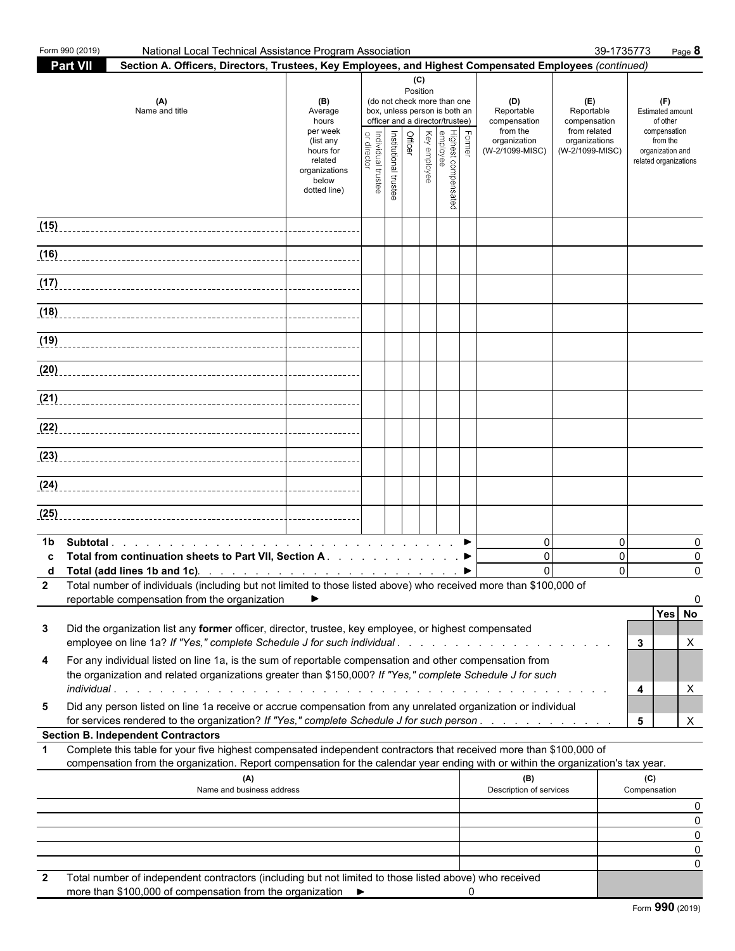| <b>Part VII</b><br>Section A. Officers, Directors, Trustees, Key Employees, and Highest Compensated Employees (continued)<br>(C)<br>Position<br>(do not check more than one<br>(A)<br>(D)<br>(F)<br>(E)<br>(B)<br>Name and title<br>box, unless person is both an<br>Reportable<br>Reportable<br>Estimated amount<br>Average<br>officer and a director/trustee)<br>hours<br>compensation<br>compensation<br>of other<br>from the<br>from related<br>per week<br>compensation<br>Key employee<br>, Former<br>Highest compensated<br>employee<br>Officer<br>Institutional trustee<br>Individual trustee<br>organization<br>organizations<br>from the<br>(list any<br>director<br>(W-2/1099-MISC)<br>hours for<br>(W-2/1099-MISC)<br>organization and<br>related<br>related organizations<br>organizations<br>below<br>dotted line)<br>(15)<br>(16)<br>(17)<br>(18)<br>(19)<br>(20)<br>(21)<br>(22)<br>(23)<br>(24)<br>(25)<br>$\overline{0}$<br>$\Omega$<br>0<br>1b<br>$\Omega$<br>Total from continuation sheets to Part VII, Section A. ▶<br>$\Omega$<br>0<br>$\Omega$<br>$\Omega$<br>$\mathbf{0}$<br>Total (add lines 1b and 1c). $\ldots$ $\ldots$ $\ldots$ $\ldots$ $\ldots$ $\ldots$ $\ldots$ $\ldots$<br>2 Total number of individuals (including but not limited to those listed above) who received more than \$100,000 of<br>reportable compensation from the organization<br>Yes No<br>Did the organization list any former officer, director, trustee, key employee, or highest compensated<br>3<br>employee on line 1a? If "Yes," complete Schedule J for such individual<br>3<br>X<br>For any individual listed on line 1a, is the sum of reportable compensation and other compensation from<br>4<br>the organization and related organizations greater than \$150,000? If "Yes," complete Schedule J for such<br>4<br>X<br>Did any person listed on line 1a receive or accrue compensation from any unrelated organization or individual<br>5<br>for services rendered to the organization? If "Yes," complete Schedule J for such person.<br>X<br>5<br><b>Section B. Independent Contractors</b><br>Complete this table for your five highest compensated independent contractors that received more than \$100,000 of<br>$\mathbf 1$<br>compensation from the organization. Report compensation for the calendar year ending with or within the organization's tax year.<br>(A)<br>(B)<br>(C)<br>Description of services<br>Name and business address<br>Compensation<br>0<br>0<br>0<br>0<br>0<br>Total number of independent contractors (including but not limited to those listed above) who received | Form 990 (2019) | National Local Technical Assistance Program Association |  |  |  |  |  | 39-1735773 | Page 8 |
|--------------------------------------------------------------------------------------------------------------------------------------------------------------------------------------------------------------------------------------------------------------------------------------------------------------------------------------------------------------------------------------------------------------------------------------------------------------------------------------------------------------------------------------------------------------------------------------------------------------------------------------------------------------------------------------------------------------------------------------------------------------------------------------------------------------------------------------------------------------------------------------------------------------------------------------------------------------------------------------------------------------------------------------------------------------------------------------------------------------------------------------------------------------------------------------------------------------------------------------------------------------------------------------------------------------------------------------------------------------------------------------------------------------------------------------------------------------------------------------------------------------------------------------------------------------------------------------------------------------------------------------------------------------------------------------------------------------------------------------------------------------------------------------------------------------------------------------------------------------------------------------------------------------------------------------------------------------------------------------------------------------------------------------------------------------------------------------------------------------------------------------------------------------------------------------------------------------------------------------------------------------------------------------------------------------------------------------------------------------------------------------------------------------------------------------------------------------------------------------------------------------------------------------------------------------------------------------------------------------------------|-----------------|---------------------------------------------------------|--|--|--|--|--|------------|--------|
|                                                                                                                                                                                                                                                                                                                                                                                                                                                                                                                                                                                                                                                                                                                                                                                                                                                                                                                                                                                                                                                                                                                                                                                                                                                                                                                                                                                                                                                                                                                                                                                                                                                                                                                                                                                                                                                                                                                                                                                                                                                                                                                                                                                                                                                                                                                                                                                                                                                                                                                                                                                                                          |                 |                                                         |  |  |  |  |  |            |        |
|                                                                                                                                                                                                                                                                                                                                                                                                                                                                                                                                                                                                                                                                                                                                                                                                                                                                                                                                                                                                                                                                                                                                                                                                                                                                                                                                                                                                                                                                                                                                                                                                                                                                                                                                                                                                                                                                                                                                                                                                                                                                                                                                                                                                                                                                                                                                                                                                                                                                                                                                                                                                                          |                 |                                                         |  |  |  |  |  |            |        |
|                                                                                                                                                                                                                                                                                                                                                                                                                                                                                                                                                                                                                                                                                                                                                                                                                                                                                                                                                                                                                                                                                                                                                                                                                                                                                                                                                                                                                                                                                                                                                                                                                                                                                                                                                                                                                                                                                                                                                                                                                                                                                                                                                                                                                                                                                                                                                                                                                                                                                                                                                                                                                          |                 |                                                         |  |  |  |  |  |            |        |
|                                                                                                                                                                                                                                                                                                                                                                                                                                                                                                                                                                                                                                                                                                                                                                                                                                                                                                                                                                                                                                                                                                                                                                                                                                                                                                                                                                                                                                                                                                                                                                                                                                                                                                                                                                                                                                                                                                                                                                                                                                                                                                                                                                                                                                                                                                                                                                                                                                                                                                                                                                                                                          |                 |                                                         |  |  |  |  |  |            |        |
|                                                                                                                                                                                                                                                                                                                                                                                                                                                                                                                                                                                                                                                                                                                                                                                                                                                                                                                                                                                                                                                                                                                                                                                                                                                                                                                                                                                                                                                                                                                                                                                                                                                                                                                                                                                                                                                                                                                                                                                                                                                                                                                                                                                                                                                                                                                                                                                                                                                                                                                                                                                                                          |                 |                                                         |  |  |  |  |  |            |        |
|                                                                                                                                                                                                                                                                                                                                                                                                                                                                                                                                                                                                                                                                                                                                                                                                                                                                                                                                                                                                                                                                                                                                                                                                                                                                                                                                                                                                                                                                                                                                                                                                                                                                                                                                                                                                                                                                                                                                                                                                                                                                                                                                                                                                                                                                                                                                                                                                                                                                                                                                                                                                                          |                 |                                                         |  |  |  |  |  |            |        |
|                                                                                                                                                                                                                                                                                                                                                                                                                                                                                                                                                                                                                                                                                                                                                                                                                                                                                                                                                                                                                                                                                                                                                                                                                                                                                                                                                                                                                                                                                                                                                                                                                                                                                                                                                                                                                                                                                                                                                                                                                                                                                                                                                                                                                                                                                                                                                                                                                                                                                                                                                                                                                          |                 |                                                         |  |  |  |  |  |            |        |
|                                                                                                                                                                                                                                                                                                                                                                                                                                                                                                                                                                                                                                                                                                                                                                                                                                                                                                                                                                                                                                                                                                                                                                                                                                                                                                                                                                                                                                                                                                                                                                                                                                                                                                                                                                                                                                                                                                                                                                                                                                                                                                                                                                                                                                                                                                                                                                                                                                                                                                                                                                                                                          |                 |                                                         |  |  |  |  |  |            |        |
|                                                                                                                                                                                                                                                                                                                                                                                                                                                                                                                                                                                                                                                                                                                                                                                                                                                                                                                                                                                                                                                                                                                                                                                                                                                                                                                                                                                                                                                                                                                                                                                                                                                                                                                                                                                                                                                                                                                                                                                                                                                                                                                                                                                                                                                                                                                                                                                                                                                                                                                                                                                                                          |                 |                                                         |  |  |  |  |  |            |        |
|                                                                                                                                                                                                                                                                                                                                                                                                                                                                                                                                                                                                                                                                                                                                                                                                                                                                                                                                                                                                                                                                                                                                                                                                                                                                                                                                                                                                                                                                                                                                                                                                                                                                                                                                                                                                                                                                                                                                                                                                                                                                                                                                                                                                                                                                                                                                                                                                                                                                                                                                                                                                                          |                 |                                                         |  |  |  |  |  |            |        |
|                                                                                                                                                                                                                                                                                                                                                                                                                                                                                                                                                                                                                                                                                                                                                                                                                                                                                                                                                                                                                                                                                                                                                                                                                                                                                                                                                                                                                                                                                                                                                                                                                                                                                                                                                                                                                                                                                                                                                                                                                                                                                                                                                                                                                                                                                                                                                                                                                                                                                                                                                                                                                          |                 |                                                         |  |  |  |  |  |            |        |
|                                                                                                                                                                                                                                                                                                                                                                                                                                                                                                                                                                                                                                                                                                                                                                                                                                                                                                                                                                                                                                                                                                                                                                                                                                                                                                                                                                                                                                                                                                                                                                                                                                                                                                                                                                                                                                                                                                                                                                                                                                                                                                                                                                                                                                                                                                                                                                                                                                                                                                                                                                                                                          |                 |                                                         |  |  |  |  |  |            |        |
|                                                                                                                                                                                                                                                                                                                                                                                                                                                                                                                                                                                                                                                                                                                                                                                                                                                                                                                                                                                                                                                                                                                                                                                                                                                                                                                                                                                                                                                                                                                                                                                                                                                                                                                                                                                                                                                                                                                                                                                                                                                                                                                                                                                                                                                                                                                                                                                                                                                                                                                                                                                                                          |                 |                                                         |  |  |  |  |  |            |        |
|                                                                                                                                                                                                                                                                                                                                                                                                                                                                                                                                                                                                                                                                                                                                                                                                                                                                                                                                                                                                                                                                                                                                                                                                                                                                                                                                                                                                                                                                                                                                                                                                                                                                                                                                                                                                                                                                                                                                                                                                                                                                                                                                                                                                                                                                                                                                                                                                                                                                                                                                                                                                                          |                 |                                                         |  |  |  |  |  |            |        |
|                                                                                                                                                                                                                                                                                                                                                                                                                                                                                                                                                                                                                                                                                                                                                                                                                                                                                                                                                                                                                                                                                                                                                                                                                                                                                                                                                                                                                                                                                                                                                                                                                                                                                                                                                                                                                                                                                                                                                                                                                                                                                                                                                                                                                                                                                                                                                                                                                                                                                                                                                                                                                          |                 |                                                         |  |  |  |  |  |            |        |
|                                                                                                                                                                                                                                                                                                                                                                                                                                                                                                                                                                                                                                                                                                                                                                                                                                                                                                                                                                                                                                                                                                                                                                                                                                                                                                                                                                                                                                                                                                                                                                                                                                                                                                                                                                                                                                                                                                                                                                                                                                                                                                                                                                                                                                                                                                                                                                                                                                                                                                                                                                                                                          |                 |                                                         |  |  |  |  |  |            |        |
|                                                                                                                                                                                                                                                                                                                                                                                                                                                                                                                                                                                                                                                                                                                                                                                                                                                                                                                                                                                                                                                                                                                                                                                                                                                                                                                                                                                                                                                                                                                                                                                                                                                                                                                                                                                                                                                                                                                                                                                                                                                                                                                                                                                                                                                                                                                                                                                                                                                                                                                                                                                                                          |                 |                                                         |  |  |  |  |  |            |        |
|                                                                                                                                                                                                                                                                                                                                                                                                                                                                                                                                                                                                                                                                                                                                                                                                                                                                                                                                                                                                                                                                                                                                                                                                                                                                                                                                                                                                                                                                                                                                                                                                                                                                                                                                                                                                                                                                                                                                                                                                                                                                                                                                                                                                                                                                                                                                                                                                                                                                                                                                                                                                                          |                 |                                                         |  |  |  |  |  |            |        |
|                                                                                                                                                                                                                                                                                                                                                                                                                                                                                                                                                                                                                                                                                                                                                                                                                                                                                                                                                                                                                                                                                                                                                                                                                                                                                                                                                                                                                                                                                                                                                                                                                                                                                                                                                                                                                                                                                                                                                                                                                                                                                                                                                                                                                                                                                                                                                                                                                                                                                                                                                                                                                          |                 |                                                         |  |  |  |  |  |            |        |
|                                                                                                                                                                                                                                                                                                                                                                                                                                                                                                                                                                                                                                                                                                                                                                                                                                                                                                                                                                                                                                                                                                                                                                                                                                                                                                                                                                                                                                                                                                                                                                                                                                                                                                                                                                                                                                                                                                                                                                                                                                                                                                                                                                                                                                                                                                                                                                                                                                                                                                                                                                                                                          |                 |                                                         |  |  |  |  |  |            |        |
|                                                                                                                                                                                                                                                                                                                                                                                                                                                                                                                                                                                                                                                                                                                                                                                                                                                                                                                                                                                                                                                                                                                                                                                                                                                                                                                                                                                                                                                                                                                                                                                                                                                                                                                                                                                                                                                                                                                                                                                                                                                                                                                                                                                                                                                                                                                                                                                                                                                                                                                                                                                                                          |                 |                                                         |  |  |  |  |  |            |        |
|                                                                                                                                                                                                                                                                                                                                                                                                                                                                                                                                                                                                                                                                                                                                                                                                                                                                                                                                                                                                                                                                                                                                                                                                                                                                                                                                                                                                                                                                                                                                                                                                                                                                                                                                                                                                                                                                                                                                                                                                                                                                                                                                                                                                                                                                                                                                                                                                                                                                                                                                                                                                                          |                 |                                                         |  |  |  |  |  |            |        |
|                                                                                                                                                                                                                                                                                                                                                                                                                                                                                                                                                                                                                                                                                                                                                                                                                                                                                                                                                                                                                                                                                                                                                                                                                                                                                                                                                                                                                                                                                                                                                                                                                                                                                                                                                                                                                                                                                                                                                                                                                                                                                                                                                                                                                                                                                                                                                                                                                                                                                                                                                                                                                          |                 |                                                         |  |  |  |  |  |            |        |
|                                                                                                                                                                                                                                                                                                                                                                                                                                                                                                                                                                                                                                                                                                                                                                                                                                                                                                                                                                                                                                                                                                                                                                                                                                                                                                                                                                                                                                                                                                                                                                                                                                                                                                                                                                                                                                                                                                                                                                                                                                                                                                                                                                                                                                                                                                                                                                                                                                                                                                                                                                                                                          |                 |                                                         |  |  |  |  |  |            |        |
|                                                                                                                                                                                                                                                                                                                                                                                                                                                                                                                                                                                                                                                                                                                                                                                                                                                                                                                                                                                                                                                                                                                                                                                                                                                                                                                                                                                                                                                                                                                                                                                                                                                                                                                                                                                                                                                                                                                                                                                                                                                                                                                                                                                                                                                                                                                                                                                                                                                                                                                                                                                                                          |                 |                                                         |  |  |  |  |  |            |        |
|                                                                                                                                                                                                                                                                                                                                                                                                                                                                                                                                                                                                                                                                                                                                                                                                                                                                                                                                                                                                                                                                                                                                                                                                                                                                                                                                                                                                                                                                                                                                                                                                                                                                                                                                                                                                                                                                                                                                                                                                                                                                                                                                                                                                                                                                                                                                                                                                                                                                                                                                                                                                                          |                 |                                                         |  |  |  |  |  |            |        |
|                                                                                                                                                                                                                                                                                                                                                                                                                                                                                                                                                                                                                                                                                                                                                                                                                                                                                                                                                                                                                                                                                                                                                                                                                                                                                                                                                                                                                                                                                                                                                                                                                                                                                                                                                                                                                                                                                                                                                                                                                                                                                                                                                                                                                                                                                                                                                                                                                                                                                                                                                                                                                          |                 |                                                         |  |  |  |  |  |            |        |
|                                                                                                                                                                                                                                                                                                                                                                                                                                                                                                                                                                                                                                                                                                                                                                                                                                                                                                                                                                                                                                                                                                                                                                                                                                                                                                                                                                                                                                                                                                                                                                                                                                                                                                                                                                                                                                                                                                                                                                                                                                                                                                                                                                                                                                                                                                                                                                                                                                                                                                                                                                                                                          |                 |                                                         |  |  |  |  |  |            |        |
|                                                                                                                                                                                                                                                                                                                                                                                                                                                                                                                                                                                                                                                                                                                                                                                                                                                                                                                                                                                                                                                                                                                                                                                                                                                                                                                                                                                                                                                                                                                                                                                                                                                                                                                                                                                                                                                                                                                                                                                                                                                                                                                                                                                                                                                                                                                                                                                                                                                                                                                                                                                                                          |                 |                                                         |  |  |  |  |  |            |        |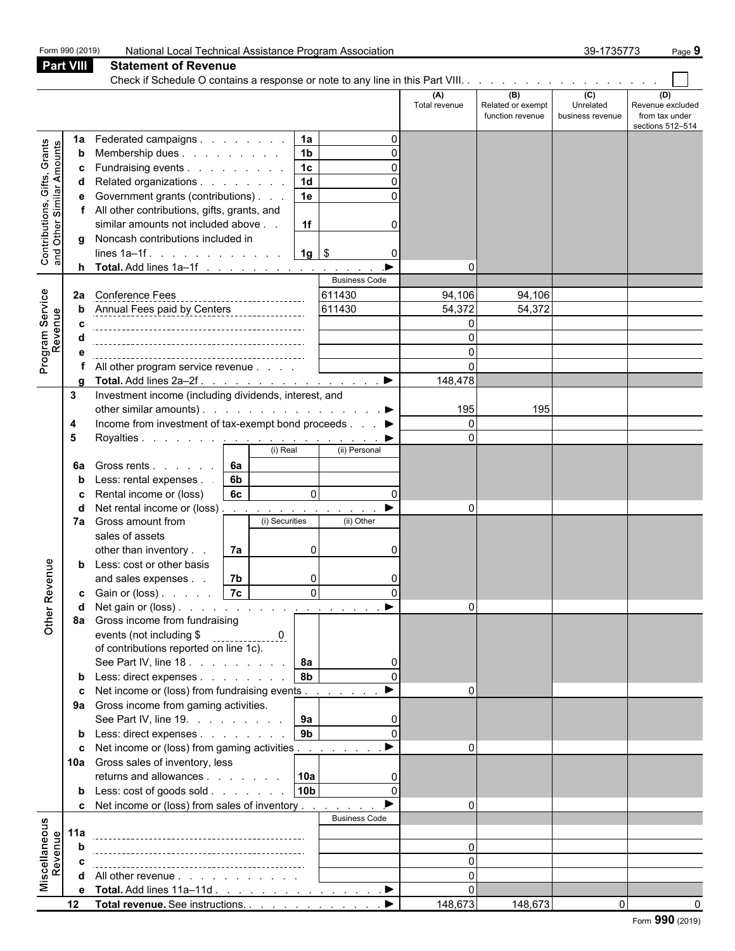|                                                                  |                                    |                                                                                                                                                                                                                                                                                                                                                                                                                                                                                                                                                |                                              |                            |                                                                                 |                                                                                        | (A)<br>Total revenue      | (B)<br>Related or exempt<br>function revenue | (C)<br>Unrelated<br>business revenue | (D)<br>Revenue excluded<br>from tax under |
|------------------------------------------------------------------|------------------------------------|------------------------------------------------------------------------------------------------------------------------------------------------------------------------------------------------------------------------------------------------------------------------------------------------------------------------------------------------------------------------------------------------------------------------------------------------------------------------------------------------------------------------------------------------|----------------------------------------------|----------------------------|---------------------------------------------------------------------------------|----------------------------------------------------------------------------------------|---------------------------|----------------------------------------------|--------------------------------------|-------------------------------------------|
| <b>Contributions, Gifts, Grants</b><br>and Other Similar Amounts | 1a<br>b<br>c<br>d<br>g<br>h.<br>2a | Federated campaigns<br>Membership dues<br>Fundraising events<br>Related organizations<br>Government grants (contributions)<br>All other contributions, gifts, grants, and<br>similar amounts not included above<br>Noncash contributions included in<br>lines $1a-1f$ .<br>Total. Add lines 1a-1f<br><b>Conference Fees</b><br>Annual Fees paid by Centers<br>Annual Fees paid by Centers                                                                                                                                                      |                                              | ----------------------     | 1a<br>1 <sub>b</sub><br>1 <sub>c</sub><br>1 <sub>d</sub><br>1e<br>1f<br>$1g$ \$ | $\Omega$<br>$\Omega$<br>$\Omega$<br>0<br>0<br><b>Business Code</b><br>611430<br>611430 | 94,106<br>54,372          | 94,106<br>54,372                             |                                      | sections 512-514                          |
| Program Service<br>Revenue                                       |                                    | All other program service revenue<br>Total. Add lines 2a-2f.                                                                                                                                                                                                                                                                                                                                                                                                                                                                                   |                                              |                            |                                                                                 | $\blacktriangleright$                                                                  | 148,478                   |                                              |                                      |                                           |
| Revenue<br>$\overline{a}$<br>$rac{1}{\sqrt{2}}$                  | 3<br>4<br>5<br>6а<br>7a<br>d<br>b  | Investment income (including dividends, interest, and<br>other similar amounts). ▶<br>Income from investment of tax-exempt bond proceeds ▶<br>Gross rents<br>Less: rental expenses.<br>Rental income or (loss)<br>Net rental income or (loss)<br>Gross amount from<br>sales of assets<br>other than inventory<br>Less: cost or other basis<br>and sales expenses<br>Gain or (loss)<br>8a Gross income from fundraising<br>events (not including \$<br>of contributions reported on line 1c).<br>See Part IV, line 18.<br>Less: direct expenses | 6a<br>6 <sub>b</sub><br>6c<br>7a<br>7b<br>7c | (i) Real<br>(i) Securities | $\mathbf 0$<br>0<br>0<br>$\overline{\mathsf{o}}$<br><b>8a</b><br>8 <sub>b</sub> | (ii) Personal<br>$\Omega$<br>(ii) Other<br>$\Omega$<br>$\Omega$                        | 195<br>∩<br>$\Omega$<br>0 | 195                                          |                                      |                                           |
|                                                                  | C<br>b<br>c<br>b                   | Net income or (loss) from fundraising events<br>9a Gross income from gaming activities.<br>See Part IV, line 19. $\ldots$ $\ldots$ $\ldots$   9a<br>Less: direct expenses<br>Net income or (loss) from gaming activities<br>10a Gross sales of inventory, less<br>returns and allowances<br>Less: cost of goods sold<br>c Net income or (loss) from sales of inventory                                                                                                                                                                         |                                              |                            | 9 <sub>b</sub><br> 10a <br>10 <sub>b</sub>                                      | $\Omega$<br><b>Business Code</b>                                                       | $\Omega$<br>$\Omega$<br>n |                                              |                                      |                                           |
| Miscellaneous<br>evenue<br>œ                                     | 11a                                | All other revenue<br>e Total. Add lines 11a-11d                                                                                                                                                                                                                                                                                                                                                                                                                                                                                                |                                              |                            |                                                                                 | $\blacktriangleright$                                                                  | ∩                         |                                              |                                      |                                           |

**12 Total revenue.** See instructions. . . . . . . . . . . . . . . . . . . . . . . . . . . . . . . . . . . . . . . . . . . . . . . . . . . . . . 148,673 148,673 0 0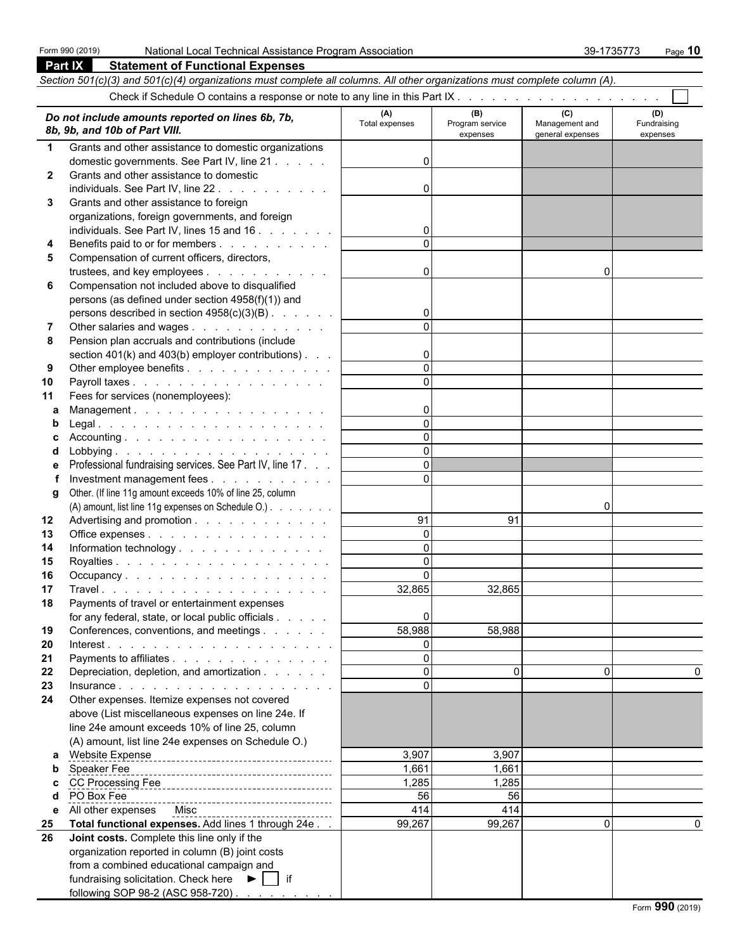**Part IX Statement of Functional Expenses**

|              | Section 501(c)(3) and 501(c)(4) organizations must complete all columns. All other organizations must complete column (A). |                       |                                    |                                           |                                |
|--------------|----------------------------------------------------------------------------------------------------------------------------|-----------------------|------------------------------------|-------------------------------------------|--------------------------------|
|              |                                                                                                                            |                       |                                    |                                           |                                |
|              | Do not include amounts reported on lines 6b, 7b,<br>8b, 9b, and 10b of Part VIII.                                          | (A)<br>Total expenses | (B)<br>Program service<br>expenses | (C)<br>Management and<br>general expenses | (D)<br>Fundraising<br>expenses |
| $\mathbf 1$  | Grants and other assistance to domestic organizations                                                                      |                       |                                    |                                           |                                |
|              | domestic governments. See Part IV, line 21                                                                                 | $\Omega$              |                                    |                                           |                                |
| $\mathbf{2}$ | Grants and other assistance to domestic                                                                                    |                       |                                    |                                           |                                |
|              | individuals. See Part IV, line 22                                                                                          | $\Omega$              |                                    |                                           |                                |
| 3            | Grants and other assistance to foreign                                                                                     |                       |                                    |                                           |                                |
|              | organizations, foreign governments, and foreign                                                                            |                       |                                    |                                           |                                |
|              | individuals. See Part IV, lines 15 and 16                                                                                  | 0<br>$\Omega$         |                                    |                                           |                                |
| 4            | Benefits paid to or for members                                                                                            |                       |                                    |                                           |                                |
| 5            | Compensation of current officers, directors,<br>trustees, and key employees                                                | $\Omega$              |                                    | 0                                         |                                |
| 6            | Compensation not included above to disqualified                                                                            |                       |                                    |                                           |                                |
|              | persons (as defined under section 4958(f)(1)) and                                                                          |                       |                                    |                                           |                                |
|              | persons described in section $4958(c)(3)(B)$ .                                                                             | $\overline{0}$        |                                    |                                           |                                |
| 7            | Other salaries and wages                                                                                                   |                       |                                    |                                           |                                |
| 8            | Pension plan accruals and contributions (include                                                                           |                       |                                    |                                           |                                |
|              | section 401(k) and 403(b) employer contributions).                                                                         | $\overline{0}$        |                                    |                                           |                                |
| 9            | Other employee benefits                                                                                                    | $\Omega$              |                                    |                                           |                                |
| 10           | Payroll taxes                                                                                                              |                       |                                    |                                           |                                |
| 11           | Fees for services (nonemployees):                                                                                          |                       |                                    |                                           |                                |
| а            | Management.                                                                                                                | $\Omega$<br>$\Omega$  |                                    |                                           |                                |
|              |                                                                                                                            | $\Omega$              |                                    |                                           |                                |
| d            |                                                                                                                            | $\Omega$              |                                    |                                           |                                |
|              | Professional fundraising services. See Part IV, line 17.                                                                   | $\Omega$              |                                    |                                           |                                |
|              | Investment management fees                                                                                                 | $\Omega$              |                                    |                                           |                                |
| g            | Other. (If line 11g amount exceeds 10% of line 25, column                                                                  |                       |                                    |                                           |                                |
|              | (A) amount, list line 11g expenses on Schedule O.)                                                                         |                       |                                    | 0                                         |                                |
| 12           | Advertising and promotion                                                                                                  | 91                    | 91                                 |                                           |                                |
| 13           | Office expenses                                                                                                            | $\Omega$              |                                    |                                           |                                |
| 14           | Information technology.                                                                                                    | $\Omega$              |                                    |                                           |                                |
| 15           |                                                                                                                            | $\Omega$              |                                    |                                           |                                |
| 16           | Occupancy.                                                                                                                 | $\Omega$              |                                    |                                           |                                |
| 17           |                                                                                                                            | 32,865                | 32,865                             |                                           |                                |
| 18           | Payments of travel or entertainment expenses<br>for any federal, state, or local public officials                          |                       |                                    |                                           |                                |
| 19           | Conferences, conventions, and meetings                                                                                     | $\cup$<br>58,988      | 58,988                             |                                           |                                |
| 20           |                                                                                                                            | $\Omega$              |                                    |                                           |                                |
| 21           | Payments to affiliates                                                                                                     | $\mathbf 0$           |                                    |                                           |                                |
| 22           | Depreciation, depletion, and amortization                                                                                  | $\Omega$              | $\Omega$                           | $\Omega$                                  |                                |
| 23           |                                                                                                                            | $\Omega$              |                                    |                                           |                                |
| 24           | Other expenses. Itemize expenses not covered                                                                               |                       |                                    |                                           |                                |
|              | above (List miscellaneous expenses on line 24e. If                                                                         |                       |                                    |                                           |                                |
|              | line 24e amount exceeds 10% of line 25, column                                                                             |                       |                                    |                                           |                                |
|              | (A) amount, list line 24e expenses on Schedule O.)                                                                         |                       |                                    |                                           |                                |
|              | a Website Expense                                                                                                          | 3,907                 | 3,907                              |                                           |                                |
| b            | Speaker Fee                                                                                                                | 1,661<br>1,285        | 1,661<br>1,285                     |                                           |                                |
|              | PO Box Fee                                                                                                                 | 56                    | 56                                 |                                           |                                |
| е            | All other expenses  Misc                                                                                                   | 414                   | 414                                |                                           |                                |
| 25           | Total functional expenses. Add lines 1 through 24e                                                                         | 99,267                | 99,267                             | $\mathbf{0}$                              |                                |
| 26           | Joint costs. Complete this line only if the                                                                                |                       |                                    |                                           |                                |
|              | organization reported in column (B) joint costs                                                                            |                       |                                    |                                           |                                |
|              | from a combined educational campaign and                                                                                   |                       |                                    |                                           |                                |
|              | fundraising solicitation. Check here ▶   if                                                                                |                       |                                    |                                           |                                |
|              | following SOP 98-2 (ASC 958-720)                                                                                           |                       |                                    |                                           |                                |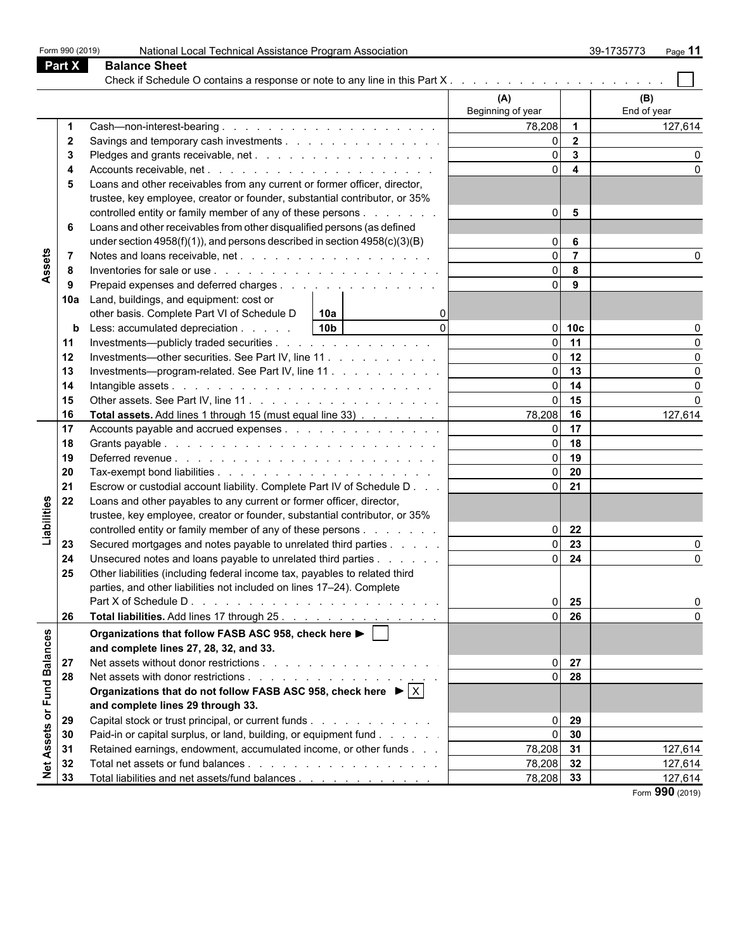|                  | Part X | <b>Balance Sheet</b>                                                                       |                          |                         |                    |
|------------------|--------|--------------------------------------------------------------------------------------------|--------------------------|-------------------------|--------------------|
|                  |        |                                                                                            |                          |                         |                    |
|                  |        |                                                                                            | (A)<br>Beginning of year |                         | (B)<br>End of year |
|                  |        |                                                                                            | 78,208 1                 |                         | 127,614            |
|                  | 2      | Savings and temporary cash investments                                                     | $\Omega$                 | $\overline{\mathbf{2}}$ |                    |
|                  |        |                                                                                            | $\Omega$                 | $\overline{\mathbf{3}}$ |                    |
|                  |        |                                                                                            | $\Omega$                 | $\overline{\mathbf{4}}$ |                    |
|                  |        | Loans and other receivables from any current or former officer, director,                  |                          |                         |                    |
|                  |        | trustee, key employee, creator or founder, substantial contributor, or 35%                 |                          |                         |                    |
|                  |        | controlled entity or family member of any of these persons                                 | $\Omega$                 | $5\phantom{.0}$         |                    |
|                  | 6      | Loans and other receivables from other disqualified persons (as defined                    |                          |                         |                    |
|                  |        | under section 4958(f)(1)), and persons described in section $4958(c)(3)(B)$                | $\overline{0}$           | 6                       |                    |
|                  | 7      |                                                                                            | $\Omega$                 | $\overline{7}$          |                    |
| Assets           | 8      |                                                                                            | $\Omega$                 | 8                       |                    |
|                  | 9      | Prepaid expenses and deferred charges                                                      | $\Omega$                 | 9                       |                    |
|                  |        | 10a Land, buildings, and equipment: cost or                                                |                          |                         |                    |
|                  |        | other basis. Complete Part VI of Schedule D<br>$\vert$ 10a                                 |                          |                         |                    |
|                  | b      | $\Omega$<br>10 <sub>b</sub><br>Less: accumulated depreciation                              | ΩI                       | 10 <sub>c</sub>         |                    |
|                  | 11     | Investments—publicly traded securities                                                     |                          | 11                      |                    |
|                  | 12     | Investments—other securities. See Part IV, line 11.                                        | $\Omega$                 | 12                      |                    |
|                  | 13     | Investments-program-related. See Part IV, line 11.                                         | $\Omega$                 | 13                      |                    |
|                  | 14     |                                                                                            | $\Omega$                 | 14                      |                    |
|                  | 15     |                                                                                            | $\Omega$                 | 15                      |                    |
|                  | 16     | Total assets. Add lines 1 through 15 (must equal line 33)                                  | 78,208                   | 16                      | 127,614            |
|                  | 17     | Accounts payable and accrued expenses                                                      | $\Omega$                 | 17                      |                    |
|                  | 18     |                                                                                            | $\Omega$                 | 18                      |                    |
|                  | 19     |                                                                                            | $\Omega$                 | 19                      |                    |
|                  | 20     |                                                                                            | $\Omega$                 | 20                      |                    |
|                  | 21     | Escrow or custodial account liability. Complete Part IV of Schedule D                      | $\Omega$                 | 21                      |                    |
|                  | 22     | Loans and other payables to any current or former officer, director,                       |                          |                         |                    |
|                  |        | trustee, key employee, creator or founder, substantial contributor, or 35%                 |                          |                         |                    |
| Liabilities      |        | controlled entity or family member of any of these persons                                 | ΩI                       | 22                      |                    |
|                  | 23     | Secured mortgages and notes payable to unrelated third parties                             |                          | $\overline{23}$         |                    |
|                  | 24     | Unsecured notes and loans payable to unrelated third parties                               | $\Omega$                 | 24                      |                    |
|                  | 25     | Other liabilities (including federal income tax, payables to related third                 |                          |                         |                    |
|                  |        | parties, and other liabilities not included on lines 17-24). Complete                      |                          |                         |                    |
|                  |        |                                                                                            | οI                       | 25                      | 0                  |
|                  | 26     |                                                                                            |                          | 26                      |                    |
|                  |        | Organizations that follow FASB ASC 958, check here ▶ │ │                                   |                          |                         |                    |
|                  |        | and complete lines 27, 28, 32, and 33.                                                     |                          |                         |                    |
|                  | 27     |                                                                                            | $\overline{0}$           | 27                      |                    |
| or Fund Balances | 28     |                                                                                            | $\overline{0}$           | 28                      |                    |
|                  |        | Organizations that do not follow FASB ASC 958, check here $\blacktriangleright$ $ \times $ |                          |                         |                    |
|                  |        | and complete lines 29 through 33.                                                          |                          |                         |                    |
|                  | 29     | Capital stock or trust principal, or current funds                                         | $\overline{0}$           | 29                      |                    |
| Assets           | 30     | Paid-in or capital surplus, or land, building, or equipment fund                           | $\Omega$                 | 30                      |                    |
|                  | 31     | Retained earnings, endowment, accumulated income, or other funds                           | 78,208 31                |                         | 127,614            |
| Net              | 32     |                                                                                            | 78,208 32                |                         | 127,614            |
|                  | 33     | Total liabilities and net assets/fund balances                                             | 78,208                   | 33                      | 127,614            |
|                  |        |                                                                                            |                          |                         | Form 990 (2019)    |

Form 990 (2019) National Local Technical Assistance Program Association 39-1735773 Page **11**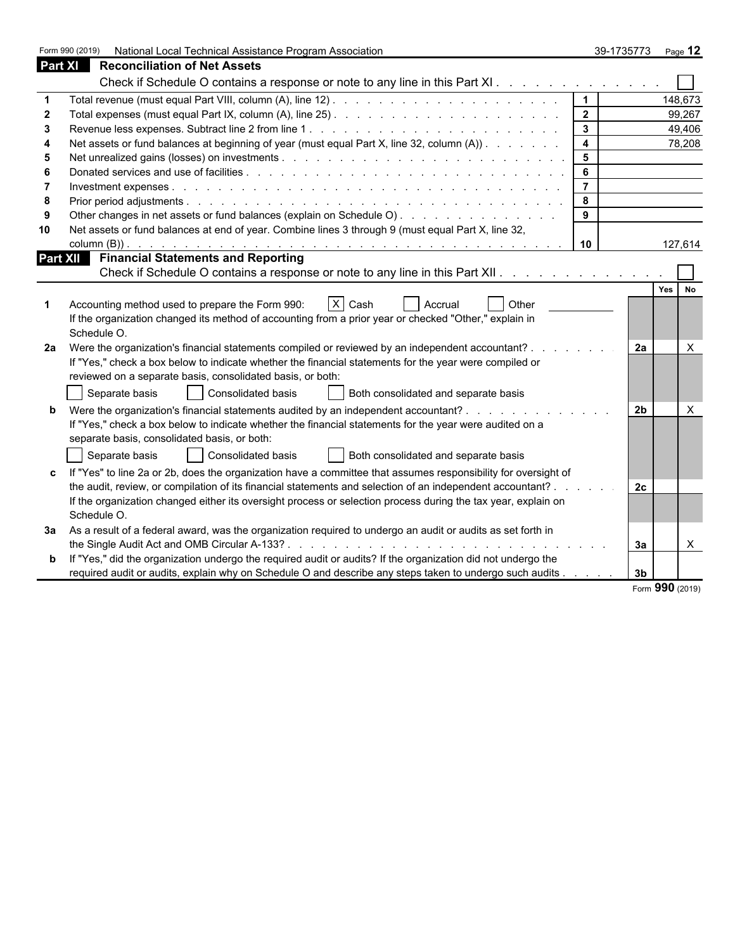|    | National Local Technical Assistance Program Association<br>Form 990 (2019)                                     |                         | 39-1735773     | Page 12  |
|----|----------------------------------------------------------------------------------------------------------------|-------------------------|----------------|----------|
|    | Part XI<br><b>Reconciliation of Net Assets</b>                                                                 |                         |                |          |
|    | Check if Schedule O contains a response or note to any line in this Part XI.                                   |                         |                |          |
|    |                                                                                                                | $\overline{1}$          |                | 148,673  |
| 2  |                                                                                                                | $\overline{2}$          |                | 99,267   |
|    |                                                                                                                | $\mathbf{3}$            |                | 49,406   |
|    | Net assets or fund balances at beginning of year (must equal Part X, line 32, column (A)).                     | $\overline{\mathbf{4}}$ |                | 78,208   |
| 5  |                                                                                                                | 5                       |                |          |
|    |                                                                                                                | 6                       |                |          |
|    |                                                                                                                | $\overline{7}$          |                |          |
| -8 |                                                                                                                | 8                       |                |          |
|    | Other changes in net assets or fund balances (explain on Schedule O).                                          | 9                       |                |          |
| 10 | Net assets or fund balances at end of year. Combine lines 3 through 9 (must equal Part X, line 32,             |                         |                |          |
|    |                                                                                                                | 10                      |                | 127,614  |
|    | <b>Part XII</b> Financial Statements and Reporting                                                             |                         |                |          |
|    | Check if Schedule O contains a response or note to any line in this Part XII.                                  |                         |                |          |
|    |                                                                                                                |                         |                | Yes No   |
|    | X Cash<br>Accounting method used to prepare the Form 990:<br><b>Accrual</b><br><b>Other</b>                    |                         |                |          |
|    | If the organization changed its method of accounting from a prior year or checked "Other," explain in          |                         |                |          |
|    | Schedule O.                                                                                                    |                         |                |          |
| 2a | Were the organization's financial statements compiled or reviewed by an independent accountant?                |                         | 2a             | $\times$ |
|    | If "Yes," check a box below to indicate whether the financial statements for the year were compiled or         |                         |                |          |
|    | reviewed on a separate basis, consolidated basis, or both:                                                     |                         |                |          |
|    | Consolidated basis<br>Separate basis<br>Both consolidated and separate basis                                   |                         |                |          |
|    | Were the organization's financial statements audited by an independent accountant?                             |                         | 2 <sub>b</sub> | $\times$ |
|    | If "Yes," check a box below to indicate whether the financial statements for the year were audited on a        |                         |                |          |
|    | separate basis, consolidated basis, or both:                                                                   |                         |                |          |
|    |                                                                                                                |                         |                |          |
|    | Consolidated basis<br>Both consolidated and separate basis<br>Separate basis                                   |                         |                |          |
|    | If "Yes" to line 2a or 2b, does the organization have a committee that assumes responsibility for oversight of |                         |                |          |
|    | the audit, review, or compilation of its financial statements and selection of an independent accountant?      |                         | 2c             |          |
|    | If the organization changed either its oversight process or selection process during the tax year, explain on  |                         |                |          |
|    | Schedule O.                                                                                                    |                         |                |          |
| За | As a result of a federal award, was the organization required to undergo an audit or audits as set forth in    |                         |                |          |
|    |                                                                                                                |                         | За             | $\times$ |
|    | If "Yes," did the organization undergo the required audit or audits? If the organization did not undergo the   |                         |                |          |
|    | required audit or audits, explain why on Schedule O and describe any steps taken to undergo such audits        |                         | 3 <sub>b</sub> |          |

Form **990** (2019)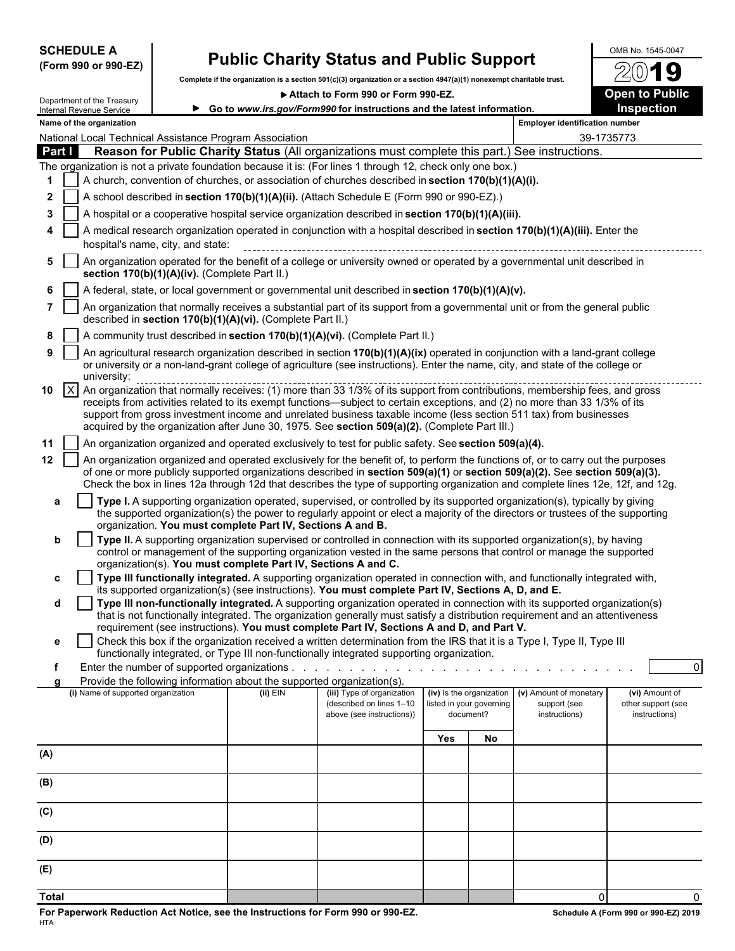| <b>SCHEDULE A</b> |  |                      |
|-------------------|--|----------------------|
|                   |  | (Form 990 or 990-EZ) |

## **Public Charity Status and Public Support**  $\frac{0.008 \text{ No. } 1545-0047}{20}$

**Complete if the organization is a section 501(c)(3) organization or a section 4947(a)(1) nonexempt charitable trust.**

**Attach to Form 990 or Form 990-EZ. Open to Public**



|                       | Department of the Treasury                                                                                                                                                                                                                                                                                                                                                                                                                                                                                 |  |                                                                                                                             | ▶ Attach to Form 990 or Form 990-EZ.                                                                                                                                                                                                                                                                                                                                                                                                                                                                                                                                                                                                            |     |                                                                   |                                                         | <b>Open to Public</b>                                 |  |
|-----------------------|------------------------------------------------------------------------------------------------------------------------------------------------------------------------------------------------------------------------------------------------------------------------------------------------------------------------------------------------------------------------------------------------------------------------------------------------------------------------------------------------------------|--|-----------------------------------------------------------------------------------------------------------------------------|-------------------------------------------------------------------------------------------------------------------------------------------------------------------------------------------------------------------------------------------------------------------------------------------------------------------------------------------------------------------------------------------------------------------------------------------------------------------------------------------------------------------------------------------------------------------------------------------------------------------------------------------------|-----|-------------------------------------------------------------------|---------------------------------------------------------|-------------------------------------------------------|--|
|                       | Internal Revenue Service                                                                                                                                                                                                                                                                                                                                                                                                                                                                                   |  |                                                                                                                             | ► Go to www.irs.gov/Form990 for instructions and the latest information.                                                                                                                                                                                                                                                                                                                                                                                                                                                                                                                                                                        |     |                                                                   |                                                         | <b>Inspection</b>                                     |  |
|                       | Name of the organization                                                                                                                                                                                                                                                                                                                                                                                                                                                                                   |  |                                                                                                                             |                                                                                                                                                                                                                                                                                                                                                                                                                                                                                                                                                                                                                                                 |     |                                                                   | <b>Employer identification number</b>                   |                                                       |  |
|                       |                                                                                                                                                                                                                                                                                                                                                                                                                                                                                                            |  | National Local Technical Assistance Program Association                                                                     |                                                                                                                                                                                                                                                                                                                                                                                                                                                                                                                                                                                                                                                 |     |                                                                   |                                                         | 39-1735773                                            |  |
| Part I                |                                                                                                                                                                                                                                                                                                                                                                                                                                                                                                            |  |                                                                                                                             | Reason for Public Charity Status (All organizations must complete this part.) See instructions.                                                                                                                                                                                                                                                                                                                                                                                                                                                                                                                                                 |     |                                                                   |                                                         |                                                       |  |
|                       |                                                                                                                                                                                                                                                                                                                                                                                                                                                                                                            |  |                                                                                                                             | The organization is not a private foundation because it is: (For lines 1 through 12, check only one box.)                                                                                                                                                                                                                                                                                                                                                                                                                                                                                                                                       |     |                                                                   |                                                         |                                                       |  |
|                       |                                                                                                                                                                                                                                                                                                                                                                                                                                                                                                            |  |                                                                                                                             |                                                                                                                                                                                                                                                                                                                                                                                                                                                                                                                                                                                                                                                 |     |                                                                   |                                                         |                                                       |  |
| 2                     | A church, convention of churches, or association of churches described in section 170(b)(1)(A)(i).                                                                                                                                                                                                                                                                                                                                                                                                         |  |                                                                                                                             |                                                                                                                                                                                                                                                                                                                                                                                                                                                                                                                                                                                                                                                 |     |                                                                   |                                                         |                                                       |  |
|                       | A school described in section 170(b)(1)(A)(ii). (Attach Schedule E (Form 990 or 990-EZ).)                                                                                                                                                                                                                                                                                                                                                                                                                  |  |                                                                                                                             |                                                                                                                                                                                                                                                                                                                                                                                                                                                                                                                                                                                                                                                 |     |                                                                   |                                                         |                                                       |  |
| 3                     | A hospital or a cooperative hospital service organization described in section 170(b)(1)(A)(iii).                                                                                                                                                                                                                                                                                                                                                                                                          |  |                                                                                                                             |                                                                                                                                                                                                                                                                                                                                                                                                                                                                                                                                                                                                                                                 |     |                                                                   |                                                         |                                                       |  |
|                       | A medical research organization operated in conjunction with a hospital described in section 170(b)(1)(A)(iii). Enter the<br>hospital's name, city, and state:                                                                                                                                                                                                                                                                                                                                             |  |                                                                                                                             |                                                                                                                                                                                                                                                                                                                                                                                                                                                                                                                                                                                                                                                 |     |                                                                   |                                                         |                                                       |  |
| 5.                    | An organization operated for the benefit of a college or university owned or operated by a governmental unit described in<br>section 170(b)(1)(A)(iv). (Complete Part II.)                                                                                                                                                                                                                                                                                                                                 |  |                                                                                                                             |                                                                                                                                                                                                                                                                                                                                                                                                                                                                                                                                                                                                                                                 |     |                                                                   |                                                         |                                                       |  |
|                       |                                                                                                                                                                                                                                                                                                                                                                                                                                                                                                            |  |                                                                                                                             | A federal, state, or local government or governmental unit described in section 170(b)(1)(A)(v).                                                                                                                                                                                                                                                                                                                                                                                                                                                                                                                                                |     |                                                                   |                                                         |                                                       |  |
| 7                     |                                                                                                                                                                                                                                                                                                                                                                                                                                                                                                            |  | described in section 170(b)(1)(A)(vi). (Complete Part II.)                                                                  | An organization that normally receives a substantial part of its support from a governmental unit or from the general public                                                                                                                                                                                                                                                                                                                                                                                                                                                                                                                    |     |                                                                   |                                                         |                                                       |  |
| 8                     |                                                                                                                                                                                                                                                                                                                                                                                                                                                                                                            |  |                                                                                                                             | A community trust described in section 170(b)(1)(A)(vi). (Complete Part II.)                                                                                                                                                                                                                                                                                                                                                                                                                                                                                                                                                                    |     |                                                                   |                                                         |                                                       |  |
| 9                     | university:                                                                                                                                                                                                                                                                                                                                                                                                                                                                                                |  |                                                                                                                             | An agricultural research organization described in section 170(b)(1)(A)(ix) operated in conjunction with a land-grant college<br>or university or a non-land-grant college of agriculture (see instructions). Enter the name, city, and state of the college or                                                                                                                                                                                                                                                                                                                                                                                 |     |                                                                   |                                                         |                                                       |  |
| $\vert x \vert$<br>10 |                                                                                                                                                                                                                                                                                                                                                                                                                                                                                                            |  |                                                                                                                             | An organization that normally receives: (1) more than 33 1/3% of its support from contributions, membership fees, and gross<br>receipts from activities related to its exempt functions—subject to certain exceptions, and (2) no more than 33 1/3% of its<br>support from gross investment income and unrelated business taxable income (less section 511 tax) from businesses<br>acquired by the organization after June 30, 1975. See section 509(a)(2). (Complete Part III.)                                                                                                                                                                |     |                                                                   |                                                         |                                                       |  |
| 11                    |                                                                                                                                                                                                                                                                                                                                                                                                                                                                                                            |  |                                                                                                                             |                                                                                                                                                                                                                                                                                                                                                                                                                                                                                                                                                                                                                                                 |     |                                                                   |                                                         |                                                       |  |
| $12 \,$               | An organization organized and operated exclusively to test for public safety. See section 509(a)(4).<br>An organization organized and operated exclusively for the benefit of, to perform the functions of, or to carry out the purposes<br>of one or more publicly supported organizations described in section 509(a)(1) or section 509(a)(2). See section 509(a)(3).<br>Check the box in lines 12a through 12d that describes the type of supporting organization and complete lines 12e, 12f, and 12g. |  |                                                                                                                             |                                                                                                                                                                                                                                                                                                                                                                                                                                                                                                                                                                                                                                                 |     |                                                                   |                                                         |                                                       |  |
| а<br>b<br>c           |                                                                                                                                                                                                                                                                                                                                                                                                                                                                                                            |  | organization. You must complete Part IV, Sections A and B.<br>organization(s). You must complete Part IV, Sections A and C. | Type I. A supporting organization operated, supervised, or controlled by its supported organization(s), typically by giving<br>the supported organization(s) the power to regularly appoint or elect a majority of the directors or trustees of the supporting<br>Type II. A supporting organization supervised or controlled in connection with its supported organization(s), by having<br>control or management of the supporting organization vested in the same persons that control or manage the supported<br>Type III functionally integrated. A supporting organization operated in connection with, and functionally integrated with, |     |                                                                   |                                                         |                                                       |  |
|                       |                                                                                                                                                                                                                                                                                                                                                                                                                                                                                                            |  |                                                                                                                             | its supported organization(s) (see instructions). You must complete Part IV, Sections A, D, and E.                                                                                                                                                                                                                                                                                                                                                                                                                                                                                                                                              |     |                                                                   |                                                         |                                                       |  |
| d                     |                                                                                                                                                                                                                                                                                                                                                                                                                                                                                                            |  |                                                                                                                             | Type III non-functionally integrated. A supporting organization operated in connection with its supported organization(s)<br>that is not functionally integrated. The organization generally must satisfy a distribution requirement and an attentiveness                                                                                                                                                                                                                                                                                                                                                                                       |     |                                                                   |                                                         |                                                       |  |
|                       |                                                                                                                                                                                                                                                                                                                                                                                                                                                                                                            |  |                                                                                                                             | requirement (see instructions). You must complete Part IV, Sections A and D, and Part V.                                                                                                                                                                                                                                                                                                                                                                                                                                                                                                                                                        |     |                                                                   |                                                         |                                                       |  |
| е                     |                                                                                                                                                                                                                                                                                                                                                                                                                                                                                                            |  |                                                                                                                             | Check this box if the organization received a written determination from the IRS that it is a Type I, Type II, Type III<br>functionally integrated, or Type III non-functionally integrated supporting organization.                                                                                                                                                                                                                                                                                                                                                                                                                            |     |                                                                   |                                                         |                                                       |  |
| f                     |                                                                                                                                                                                                                                                                                                                                                                                                                                                                                                            |  |                                                                                                                             |                                                                                                                                                                                                                                                                                                                                                                                                                                                                                                                                                                                                                                                 |     |                                                                   |                                                         | $\overline{0}$                                        |  |
| a                     |                                                                                                                                                                                                                                                                                                                                                                                                                                                                                                            |  | Provide the following information about the supported organization(s).                                                      |                                                                                                                                                                                                                                                                                                                                                                                                                                                                                                                                                                                                                                                 |     |                                                                   |                                                         |                                                       |  |
|                       | (i) Name of supported organization                                                                                                                                                                                                                                                                                                                                                                                                                                                                         |  | $(ii)$ EIN                                                                                                                  | (iii) Type of organization<br>(described on lines 1-10<br>above (see instructions))                                                                                                                                                                                                                                                                                                                                                                                                                                                                                                                                                             |     | (iv) Is the organization<br>listed in your governing<br>document? | (v) Amount of monetary<br>support (see<br>instructions) | (vi) Amount of<br>other support (see<br>instructions) |  |
|                       |                                                                                                                                                                                                                                                                                                                                                                                                                                                                                                            |  |                                                                                                                             |                                                                                                                                                                                                                                                                                                                                                                                                                                                                                                                                                                                                                                                 | Yes | No                                                                |                                                         |                                                       |  |
| (A)                   |                                                                                                                                                                                                                                                                                                                                                                                                                                                                                                            |  |                                                                                                                             |                                                                                                                                                                                                                                                                                                                                                                                                                                                                                                                                                                                                                                                 |     |                                                                   |                                                         |                                                       |  |
|                       |                                                                                                                                                                                                                                                                                                                                                                                                                                                                                                            |  |                                                                                                                             |                                                                                                                                                                                                                                                                                                                                                                                                                                                                                                                                                                                                                                                 |     |                                                                   |                                                         |                                                       |  |
| (B)                   |                                                                                                                                                                                                                                                                                                                                                                                                                                                                                                            |  |                                                                                                                             |                                                                                                                                                                                                                                                                                                                                                                                                                                                                                                                                                                                                                                                 |     |                                                                   |                                                         |                                                       |  |
| (C)                   |                                                                                                                                                                                                                                                                                                                                                                                                                                                                                                            |  |                                                                                                                             |                                                                                                                                                                                                                                                                                                                                                                                                                                                                                                                                                                                                                                                 |     |                                                                   |                                                         |                                                       |  |
| (D)                   |                                                                                                                                                                                                                                                                                                                                                                                                                                                                                                            |  |                                                                                                                             |                                                                                                                                                                                                                                                                                                                                                                                                                                                                                                                                                                                                                                                 |     |                                                                   |                                                         |                                                       |  |
| (E)                   |                                                                                                                                                                                                                                                                                                                                                                                                                                                                                                            |  |                                                                                                                             |                                                                                                                                                                                                                                                                                                                                                                                                                                                                                                                                                                                                                                                 |     |                                                                   |                                                         |                                                       |  |
|                       |                                                                                                                                                                                                                                                                                                                                                                                                                                                                                                            |  |                                                                                                                             |                                                                                                                                                                                                                                                                                                                                                                                                                                                                                                                                                                                                                                                 |     |                                                                   |                                                         |                                                       |  |

**Total** 0 0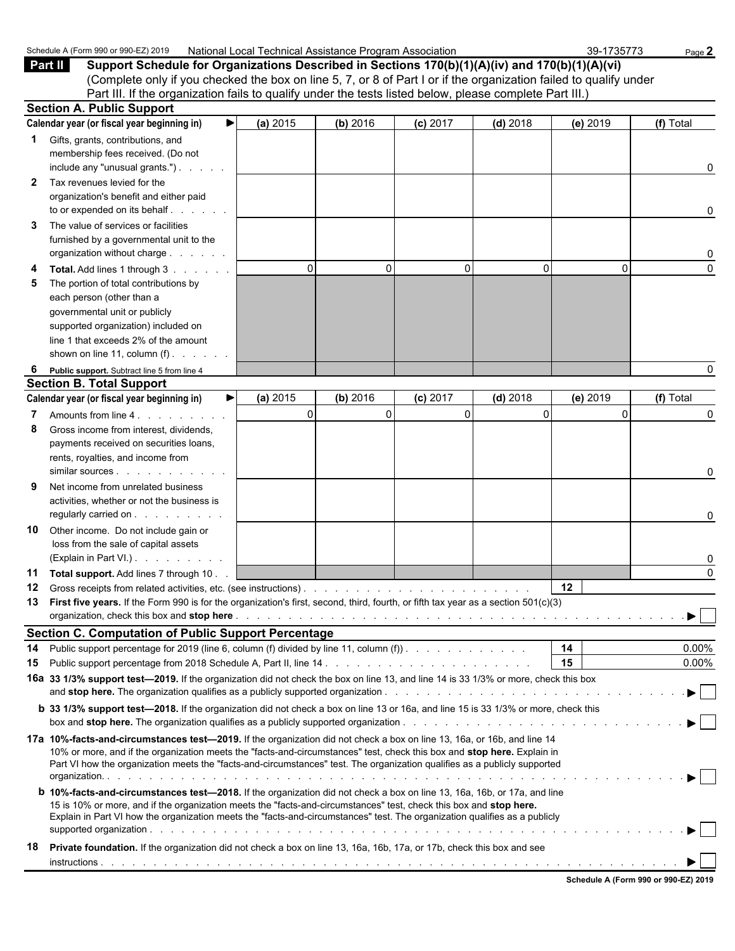|              | Schedule A (Form 990 or 990-EZ) 2019                                                                                                                                                                                                             | National Local Technical Assistance Program Association |          |            |            | 39-1735773 | Page 2    |
|--------------|--------------------------------------------------------------------------------------------------------------------------------------------------------------------------------------------------------------------------------------------------|---------------------------------------------------------|----------|------------|------------|------------|-----------|
|              | Part II<br>Support Schedule for Organizations Described in Sections 170(b)(1)(A)(iv) and 170(b)(1)(A)(vi)                                                                                                                                        |                                                         |          |            |            |            |           |
|              | (Complete only if you checked the box on line 5, 7, or 8 of Part I or if the organization failed to qualify under                                                                                                                                |                                                         |          |            |            |            |           |
|              | Part III. If the organization fails to qualify under the tests listed below, please complete Part III.)                                                                                                                                          |                                                         |          |            |            |            |           |
|              | <b>Section A. Public Support</b>                                                                                                                                                                                                                 |                                                         |          |            |            |            |           |
|              | Calendar year (or fiscal year beginning in)<br>▶                                                                                                                                                                                                 | (a) 2015                                                | (b) 2016 | $(c)$ 2017 | $(d)$ 2018 | (e) 2019   | (f) Total |
| 1            | Gifts, grants, contributions, and                                                                                                                                                                                                                |                                                         |          |            |            |            |           |
|              | membership fees received. (Do not                                                                                                                                                                                                                |                                                         |          |            |            |            |           |
|              | include any "unusual grants.")                                                                                                                                                                                                                   |                                                         |          |            |            |            | 0         |
| $\mathbf{2}$ | Tax revenues levied for the                                                                                                                                                                                                                      |                                                         |          |            |            |            |           |
|              | organization's benefit and either paid                                                                                                                                                                                                           |                                                         |          |            |            |            |           |
|              | to or expended on its behalf                                                                                                                                                                                                                     |                                                         |          |            |            |            | 0         |
| 3            | The value of services or facilities                                                                                                                                                                                                              |                                                         |          |            |            |            |           |
|              | furnished by a governmental unit to the                                                                                                                                                                                                          |                                                         |          |            |            |            |           |
|              | organization without charge                                                                                                                                                                                                                      |                                                         |          |            |            |            | 0         |
|              | Total. Add lines 1 through 3                                                                                                                                                                                                                     | $\Omega$                                                | $\Omega$ | $\Omega$   | 0          | $\Omega$   | $\Omega$  |
| 5            | The portion of total contributions by                                                                                                                                                                                                            |                                                         |          |            |            |            |           |
|              | each person (other than a                                                                                                                                                                                                                        |                                                         |          |            |            |            |           |
|              | governmental unit or publicly                                                                                                                                                                                                                    |                                                         |          |            |            |            |           |
|              | supported organization) included on                                                                                                                                                                                                              |                                                         |          |            |            |            |           |
|              | line 1 that exceeds 2% of the amount                                                                                                                                                                                                             |                                                         |          |            |            |            |           |
|              | shown on line 11, column $(f)$ .                                                                                                                                                                                                                 |                                                         |          |            |            |            |           |
| 6            | Public support. Subtract line 5 from line 4                                                                                                                                                                                                      |                                                         |          |            |            |            | 0         |
|              | <b>Section B. Total Support</b>                                                                                                                                                                                                                  |                                                         |          |            |            |            |           |
|              | Calendar year (or fiscal year beginning in)<br>▶                                                                                                                                                                                                 | (a) 2015                                                | (b) 2016 | (c) 2017   | $(d)$ 2018 | (e) 2019   | (f) Total |
|              | Amounts from line 4.                                                                                                                                                                                                                             | $\Omega$                                                | $\Omega$ | $\Omega$   | $\Omega$   | $\Omega$   | 0         |
| 8            | Gross income from interest, dividends,                                                                                                                                                                                                           |                                                         |          |            |            |            |           |
|              | payments received on securities loans,                                                                                                                                                                                                           |                                                         |          |            |            |            |           |
|              | rents, royalties, and income from                                                                                                                                                                                                                |                                                         |          |            |            |            |           |
|              | similar sources                                                                                                                                                                                                                                  |                                                         |          |            |            |            | 0         |
|              | Net income from unrelated business                                                                                                                                                                                                               |                                                         |          |            |            |            |           |
|              | activities, whether or not the business is                                                                                                                                                                                                       |                                                         |          |            |            |            |           |
|              | regularly carried on                                                                                                                                                                                                                             |                                                         |          |            |            |            | 0         |
| 10           | Other income. Do not include gain or                                                                                                                                                                                                             |                                                         |          |            |            |            |           |
|              | loss from the sale of capital assets                                                                                                                                                                                                             |                                                         |          |            |            |            |           |
|              | (Explain in Part VI.)                                                                                                                                                                                                                            |                                                         |          |            |            |            | 0         |
|              | 11 Total support. Add lines 7 through 10.                                                                                                                                                                                                        |                                                         |          |            |            |            | $\Omega$  |
| 12           |                                                                                                                                                                                                                                                  |                                                         |          |            |            | 12         |           |
| 13           | First five years. If the Form 990 is for the organization's first, second, third, fourth, or fifth tax year as a section 501(c)(3)                                                                                                               |                                                         |          |            |            |            |           |
|              |                                                                                                                                                                                                                                                  |                                                         |          |            |            |            | ▶         |
|              | <b>Section C. Computation of Public Support Percentage</b>                                                                                                                                                                                       |                                                         |          |            |            |            |           |
| 14           | Public support percentage for 2019 (line 6, column (f) divided by line 11, column (f)).                                                                                                                                                          |                                                         |          |            |            | 14         | $0.00\%$  |
| 15           |                                                                                                                                                                                                                                                  |                                                         |          |            |            | 15         | $0.00\%$  |
|              | 16a 33 1/3% support test-2019. If the organization did not check the box on line 13, and line 14 is 33 1/3% or more, check this box                                                                                                              |                                                         |          |            |            |            |           |
|              |                                                                                                                                                                                                                                                  |                                                         |          |            |            |            |           |
|              | <b>b</b> 33 1/3% support test-2018. If the organization did not check a box on line 13 or 16a, and line 15 is 33 1/3% or more, check this                                                                                                        |                                                         |          |            |            |            |           |
|              |                                                                                                                                                                                                                                                  |                                                         |          |            |            |            |           |
|              | 17a 10%-facts-and-circumstances test—2019. If the organization did not check a box on line 13, 16a, or 16b, and line 14                                                                                                                          |                                                         |          |            |            |            |           |
|              | 10% or more, and if the organization meets the "facts-and-circumstances" test, check this box and stop here. Explain in                                                                                                                          |                                                         |          |            |            |            |           |
|              | Part VI how the organization meets the "facts-and-circumstances" test. The organization qualifies as a publicly supported                                                                                                                        |                                                         |          |            |            |            |           |
|              |                                                                                                                                                                                                                                                  |                                                         |          |            |            |            |           |
|              | <b>b 10%-facts-and-circumstances test-2018.</b> If the organization did not check a box on line 13, 16a, 16b, or 17a, and line                                                                                                                   |                                                         |          |            |            |            |           |
|              | 15 is 10% or more, and if the organization meets the "facts-and-circumstances" test, check this box and stop here.<br>Explain in Part VI how the organization meets the "facts-and-circumstances" test. The organization qualifies as a publicly |                                                         |          |            |            |            |           |
|              |                                                                                                                                                                                                                                                  |                                                         |          |            |            |            |           |
| 18           | Private foundation. If the organization did not check a box on line 13, 16a, 16b, 17a, or 17b, check this box and see                                                                                                                            |                                                         |          |            |            |            |           |
|              |                                                                                                                                                                                                                                                  |                                                         |          |            |            |            |           |
|              |                                                                                                                                                                                                                                                  |                                                         |          |            |            |            |           |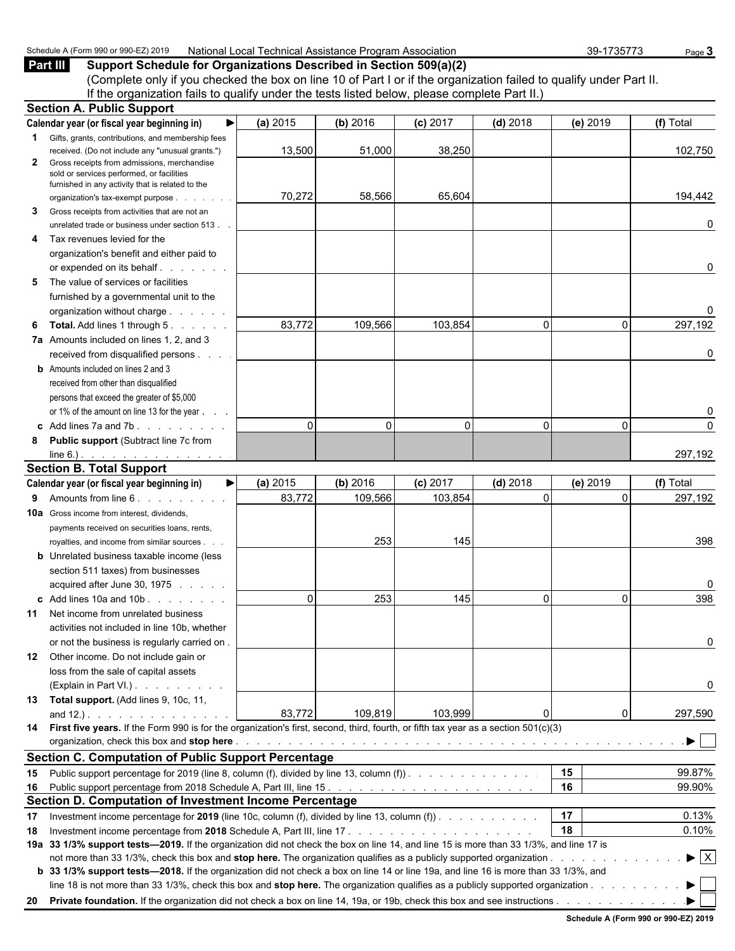| 2019 ر<br>Schedule<br>. aad or <sup>onn</sup><br>$\sim$<br>. | National<br><b>Achnical</b><br>ت∼ai Assistanc<br>Association<br>: Program<br>оса<br>. <del>. .</del> .<br>.<br>11.71 | ,,,,,,<br>n,<br>70.<br>่าน-<br>.<br>. | ⊃aɑe ∖ |
|--------------------------------------------------------------|----------------------------------------------------------------------------------------------------------------------|---------------------------------------|--------|
|                                                              |                                                                                                                      |                                       |        |

**Part III Support Schedule for Organizations Described in Section 509(a)(2)** (Complete only if you checked the box on line 10 of Part I or if the organization failed to qualify under Part II. If the organization fails to qualify under the tests listed below, please complete Part II.) **Section A. Public Support**

|              | OCUNUITA. FUDIIU OUPPULL                                                                                                               |          |          |            |                |          |                                |
|--------------|----------------------------------------------------------------------------------------------------------------------------------------|----------|----------|------------|----------------|----------|--------------------------------|
|              | ▶<br>Calendar year (or fiscal year beginning in)                                                                                       | (a) 2015 | (b) 2016 | $(c)$ 2017 | $(d)$ 2018     | (e) 2019 | (f) Total                      |
|              | Gifts, grants, contributions, and membership fees                                                                                      |          |          |            |                |          |                                |
|              | received. (Do not include any "unusual grants.")                                                                                       | 13,500   | 51,000   | 38,250     |                |          | 102,750                        |
| $\mathbf{2}$ | Gross receipts from admissions, merchandise                                                                                            |          |          |            |                |          |                                |
|              | sold or services performed, or facilities<br>furnished in any activity that is related to the                                          |          |          |            |                |          |                                |
|              | organization's tax-exempt purpose<br>and a state                                                                                       | 70,272   | 58,566   | 65,604     |                |          | 194,442                        |
| 3            | Gross receipts from activities that are not an                                                                                         |          |          |            |                |          |                                |
|              | unrelated trade or business under section 513.                                                                                         |          |          |            |                |          | 0                              |
| 4            | Tax revenues levied for the                                                                                                            |          |          |            |                |          |                                |
|              | organization's benefit and either paid to                                                                                              |          |          |            |                |          |                                |
|              |                                                                                                                                        |          |          |            |                |          | 0                              |
| 5            | The value of services or facilities                                                                                                    |          |          |            |                |          |                                |
|              | furnished by a governmental unit to the                                                                                                |          |          |            |                |          |                                |
|              | organization without charge                                                                                                            |          |          |            |                |          | 0                              |
| 6            | <b>Total.</b> Add lines 1 through 5.                                                                                                   | 83,772   | 109,566  | 103,854    | $\Omega$       | 0        | 297,192                        |
|              | 7a Amounts included on lines 1, 2, and 3                                                                                               |          |          |            |                |          |                                |
|              | received from disqualified persons                                                                                                     |          |          |            |                |          | 0                              |
|              | <b>b</b> Amounts included on lines 2 and 3                                                                                             |          |          |            |                |          |                                |
|              | received from other than disqualified                                                                                                  |          |          |            |                |          |                                |
|              | persons that exceed the greater of \$5,000                                                                                             |          |          |            |                |          |                                |
|              | or 1% of the amount on line 13 for the year                                                                                            |          |          |            |                |          | 0                              |
|              | c Add lines 7a and 7b.                                                                                                                 | $\Omega$ | $\Omega$ | $\Omega$   | $\mathbf{0}$   | 0        | 0                              |
|              | Public support (Subtract line 7c from                                                                                                  |          |          |            |                |          |                                |
| 8            | $line 6.)$ .                                                                                                                           |          |          |            |                |          | 297,192                        |
|              | <b>Section B. Total Support</b>                                                                                                        |          |          |            |                |          |                                |
|              | ▶∣<br>Calendar year (or fiscal year beginning in)                                                                                      | (a) 2015 | (b) 2016 | $(c)$ 2017 | $(d)$ 2018     | (e) 2019 | (f) Total                      |
| 9            |                                                                                                                                        | 83,772   | 109,566  | 103,854    | $\overline{0}$ | 0        | 297,192                        |
|              |                                                                                                                                        |          |          |            |                |          |                                |
|              | <b>10a</b> Gross income from interest, dividends,                                                                                      |          |          |            |                |          |                                |
|              | payments received on securities loans, rents,                                                                                          |          | 253      |            |                |          | 398                            |
|              | royalties, and income from similar sources.                                                                                            |          |          | 145        |                |          |                                |
|              | <b>b</b> Unrelated business taxable income (less                                                                                       |          |          |            |                |          |                                |
|              | section 511 taxes) from businesses                                                                                                     |          |          |            |                |          |                                |
|              | acquired after June 30, 1975                                                                                                           |          |          |            |                |          | 0                              |
|              | c Add lines 10a and 10b                                                                                                                | $\Omega$ | 253      | 145        | $\mathbf{0}$   | 0        | 398                            |
| 11           | Net income from unrelated business                                                                                                     |          |          |            |                |          |                                |
|              | activities not included in line 10b, whether                                                                                           |          |          |            |                |          |                                |
|              | or not the business is regularly carried on.                                                                                           |          |          |            |                |          | 0                              |
|              | 12 Other income. Do not include gain or                                                                                                |          |          |            |                |          |                                |
|              | loss from the sale of capital assets                                                                                                   |          |          |            |                |          |                                |
|              | (Explain in Part VI.)                                                                                                                  |          |          |            |                |          | 0                              |
|              | 13 Total support. (Add lines 9, 10c, 11,                                                                                               |          |          |            |                |          |                                |
|              | and $12.$ ). $\ldots$ $\ldots$ $\ldots$ $\ldots$                                                                                       | 83,772   | 109,819  | 103,999    | $\Omega$       | 0        | 297,590                        |
|              | 14 First five years. If the Form 990 is for the organization's first, second, third, fourth, or fifth tax year as a section 501(c)(3)  |          |          |            |                |          |                                |
|              |                                                                                                                                        |          |          |            |                |          | ▶                              |
|              | <b>Section C. Computation of Public Support Percentage</b>                                                                             |          |          |            |                |          |                                |
| 15           | Public support percentage for 2019 (line 8, column (f), divided by line 13, column (f)).                                               |          |          |            |                | 15       | 99.87%                         |
| 16           |                                                                                                                                        |          |          |            |                | 16       | 99.90%                         |
|              | Section D. Computation of Investment Income Percentage                                                                                 |          |          |            |                |          |                                |
| 17           | Investment income percentage for 2019 (line 10c, column (f), divided by line 13, column (f)). $\ldots$                                 |          |          |            |                | 17       | 0.13%                          |
| 18           |                                                                                                                                        |          |          |            |                | 18       | 0.10%                          |
|              | 19a 33 1/3% support tests—2019. If the organization did not check the box on line 14, and line 15 is more than 33 1/3%, and line 17 is |          |          |            |                |          |                                |
|              | not more than 33 1/3%, check this box and stop here. The organization qualifies as a publicly supported organization                   |          |          |            |                |          | $\blacktriangleright$ $\mid$ X |
|              | b 33 1/3% support tests-2018. If the organization did not check a box on line 14 or line 19a, and line 16 is more than 33 1/3%, and    |          |          |            |                |          |                                |
|              | line 18 is not more than 33 1/3%, check this box and stop here. The organization qualifies as a publicly supported organization        |          |          |            |                |          | ▶                              |
|              |                                                                                                                                        |          |          |            |                |          |                                |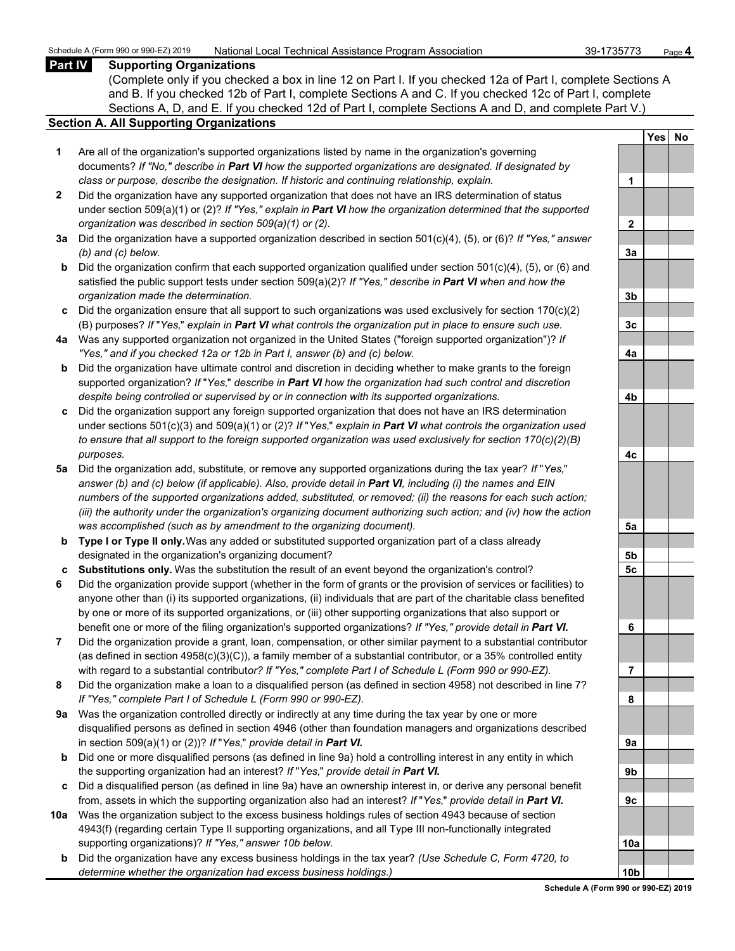## **Part IV Supporting Organizations**

(Complete only if you checked a box in line 12 on Part I. If you checked 12a of Part I, complete Sections A and B. If you checked 12b of Part I, complete Sections A and C. If you checked 12c of Part I, complete Sections A, D, and E. If you checked 12d of Part I, complete Sections A and D, and complete Part V.)

## **Section A. All Supporting Organizations**

- **1** Are all of the organization's supported organizations listed by name in the organization's governing documents? *If "No," describe in Part VI how the supported organizations are designated. If designated by class or purpose, describe the designation. If historic and continuing relationship, explain.* **1**
- **2** Did the organization have any supported organization that does not have an IRS determination of status under section 509(a)(1) or (2)? *If "Yes," explain in Part VI how the organization determined that the supported organization was described in section 509(a)(1) or (2).*
- **3a** Did the organization have a supported organization described in section 501(c)(4), (5), or (6)? *If "Yes," answer (b) and (c) below.* **3a**
- **b** Did the organization confirm that each supported organization qualified under section 501(c)(4), (5), or (6) and satisfied the public support tests under section 509(a)(2)? *If "Yes," describe in Part VI when and how the organization made the determination.* **3b**
- **c** Did the organization ensure that all support to such organizations was used exclusively for section 170(c)(2) (B) purposes? *If* "*Yes,*" *explain in Part VI what controls the organization put in place to ensure such use.* **3c**
- **4a** Was any supported organization not organized in the United States ("foreign supported organization")? *If "Yes," and if you checked 12a or 12b in Part I, answer (b) and (c) below.* **4a**
- **b** Did the organization have ultimate control and discretion in deciding whether to make grants to the foreign supported organization? *If* "*Yes,*" *describe in Part VI how the organization had such control and discretion despite being controlled or supervised by or in connection with its supported organizations.* **4b**
- **c** Did the organization support any foreign supported organization that does not have an IRS determination under sections 501(c)(3) and 509(a)(1) or (2)? *If* "*Yes,*" *explain in Part VI what controls the organization used to ensure that all support to the foreign supported organization was used exclusively for section 170(c)(2)(B) purposes.* **4c**
- **5a** Did the organization add, substitute, or remove any supported organizations during the tax year? *If* "*Yes,*" *answer (b) and (c) below (if applicable). Also, provide detail in Part VI, including (i) the names and EIN numbers of the supported organizations added, substituted, or removed; (ii) the reasons for each such action; (iii) the authority under the organization's organizing document authorizing such action; and (iv) how the action was accomplished (such as by amendment to the organizing document).* **5a**
- **b Type I or Type II only.** Was any added or substituted supported organization part of a class already designated in the organization's organizing document? **5b**
- **c Substitutions only.** Was the substitution the result of an event beyond the organization's control? **5c**
- **6** Did the organization provide support (whether in the form of grants or the provision of services or facilities) to anyone other than (i) its supported organizations, (ii) individuals that are part of the charitable class benefited by one or more of its supported organizations, or (iii) other supporting organizations that also support or benefit one or more of the filing organization's supported organizations? *If "Yes," provide detail in Part VI.* **6**
- **7** Did the organization provide a grant, loan, compensation, or other similar payment to a substantial contributor (as defined in section 4958(c)(3)(C)), a family member of a substantial contributor, or a 35% controlled entity with regard to a substantial contribut*or? If "Yes," complete Part I of Schedule L (Form 990 or 990-EZ).* **7**
- **8** Did the organization make a loan to a disqualified person (as defined in section 4958) not described in line 7? *If "Yes," complete Part I of Schedule L (Form 990 or 990-EZ).* **8**
- **9a** Was the organization controlled directly or indirectly at any time during the tax year by one or more disqualified persons as defined in section 4946 (other than foundation managers and organizations described in section 509(a)(1) or (2))? *If* "*Yes*," *provide detail in Part VI.*
- **b** Did one or more disqualified persons (as defined in line 9a) hold a controlling interest in any entity in which the supporting organization had an interest? *If* "*Yes,*" *provide detail in Part VI.* **9b**
- **c** Did a disqualified person (as defined in line 9a) have an ownership interest in, or derive any personal benefit from, assets in which the supporting organization also had an interest? *If* "*Yes,*" *provide detail in Part VI.* **9c**
- **10a** Was the organization subject to the excess business holdings rules of section 4943 because of section 4943(f) (regarding certain Type II supporting organizations, and all Type III non-functionally integrated supporting organizations)? If "Yes," answer 10b below.
	- **b** Did the organization have any excess business holdings in the tax year? *(Use Schedule C, Form 4720, to determine whether the organization had excess business holdings.)* **10b**

|                              | Yes | $No$ |
|------------------------------|-----|------|
|                              |     |      |
| 1                            |     |      |
|                              |     |      |
| $\overline{2}$               |     |      |
|                              |     |      |
| 3a                           |     |      |
|                              |     |      |
| 3 <sub>b</sub>               |     |      |
|                              |     |      |
| 3c                           |     |      |
| 4a                           |     |      |
|                              |     |      |
|                              |     |      |
| 4 <sub>b</sub>               |     |      |
|                              |     |      |
|                              |     |      |
| 4c                           |     |      |
|                              |     |      |
|                              |     |      |
|                              |     |      |
|                              |     |      |
| 5a                           |     |      |
|                              |     |      |
| 5 <sub>b</sub><br>5 <u>c</u> |     |      |
|                              |     |      |
|                              |     |      |
|                              |     |      |
| 6                            |     |      |
|                              |     |      |
| 7                            |     |      |
|                              |     |      |
| 8                            |     |      |
|                              |     |      |
|                              |     |      |
| 9а                           |     |      |
| 9b                           |     |      |
|                              |     |      |
| 9c                           |     |      |
|                              |     |      |
|                              |     |      |
| 10a                          |     |      |
| 10b                          |     |      |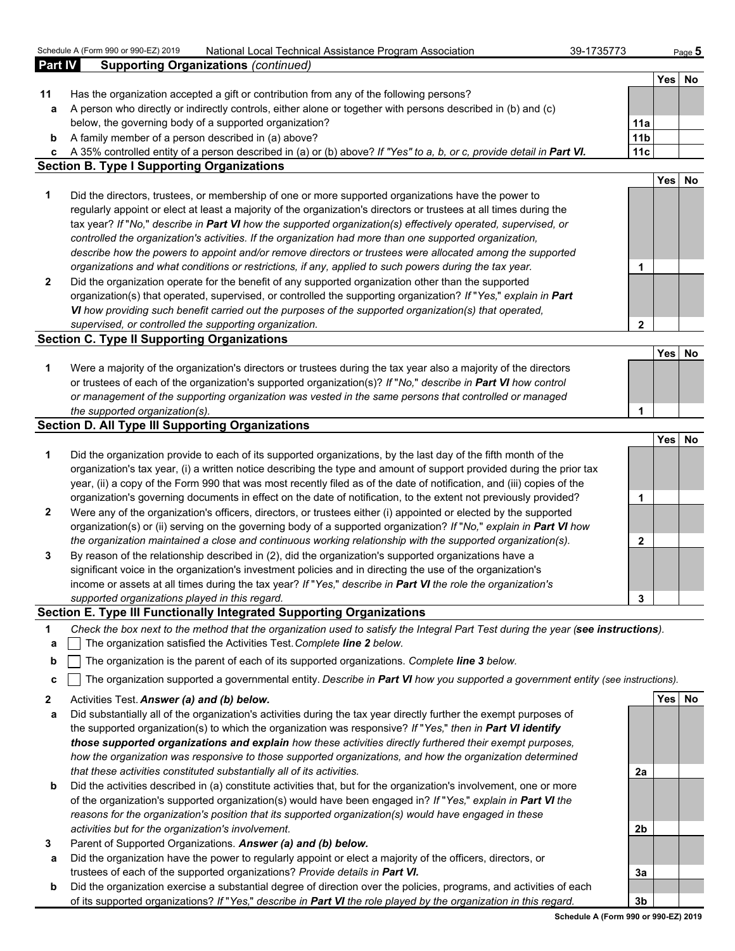|              | Schedule A (Form 990 or 990-EZ) 2019<br>National Local Technical Assistance Program Association                                   | 39-1735773      |            | Page $5$ |
|--------------|-----------------------------------------------------------------------------------------------------------------------------------|-----------------|------------|----------|
| Part IV      | <b>Supporting Organizations (continued)</b>                                                                                       |                 |            |          |
|              |                                                                                                                                   |                 | <b>Yes</b> | No       |
| 11           | Has the organization accepted a gift or contribution from any of the following persons?                                           |                 |            |          |
| a            | A person who directly or indirectly controls, either alone or together with persons described in (b) and (c)                      |                 |            |          |
|              | below, the governing body of a supported organization?                                                                            | 11a             |            |          |
| b            | A family member of a person described in (a) above?                                                                               | 11 <sub>b</sub> |            |          |
| c            | A 35% controlled entity of a person described in (a) or (b) above? If "Yes" to a, b, or c, provide detail in Part VI.             | 11c             |            |          |
|              | <b>Section B. Type I Supporting Organizations</b>                                                                                 |                 |            |          |
|              |                                                                                                                                   |                 | Yes        | No       |
| 1            | Did the directors, trustees, or membership of one or more supported organizations have the power to                               |                 |            |          |
|              | regularly appoint or elect at least a majority of the organization's directors or trustees at all times during the                |                 |            |          |
|              | tax year? If "No," describe in Part VI how the supported organization(s) effectively operated, supervised, or                     |                 |            |          |
|              | controlled the organization's activities. If the organization had more than one supported organization,                           |                 |            |          |
|              | describe how the powers to appoint and/or remove directors or trustees were allocated among the supported                         |                 |            |          |
|              | organizations and what conditions or restrictions, if any, applied to such powers during the tax year.                            | 1               |            |          |
| $\mathbf{2}$ | Did the organization operate for the benefit of any supported organization other than the supported                               |                 |            |          |
|              | organization(s) that operated, supervised, or controlled the supporting organization? If "Yes," explain in Part                   |                 |            |          |
|              | VI how providing such benefit carried out the purposes of the supported organization(s) that operated,                            |                 |            |          |
|              | supervised, or controlled the supporting organization.                                                                            | $\mathbf{2}$    |            |          |
|              | <b>Section C. Type II Supporting Organizations</b>                                                                                |                 |            |          |
|              |                                                                                                                                   |                 | Yes        | No       |
|              |                                                                                                                                   |                 |            |          |
| 1            | Were a majority of the organization's directors or trustees during the tax year also a majority of the directors                  |                 |            |          |
|              | or trustees of each of the organization's supported organization(s)? If "No," describe in Part VI how control                     |                 |            |          |
|              | or management of the supporting organization was vested in the same persons that controlled or managed                            |                 |            |          |
|              | the supported organization(s).                                                                                                    | 1               |            |          |
|              | <b>Section D. All Type III Supporting Organizations</b>                                                                           |                 |            |          |
|              |                                                                                                                                   |                 | Yes        | No       |
| 1            | Did the organization provide to each of its supported organizations, by the last day of the fifth month of the                    |                 |            |          |
|              | organization's tax year, (i) a written notice describing the type and amount of support provided during the prior tax             |                 |            |          |
|              | year, (ii) a copy of the Form 990 that was most recently filed as of the date of notification, and (iii) copies of the            |                 |            |          |
|              | organization's governing documents in effect on the date of notification, to the extent not previously provided?                  | 1               |            |          |
| 2            | Were any of the organization's officers, directors, or trustees either (i) appointed or elected by the supported                  |                 |            |          |
|              | organization(s) or (ii) serving on the governing body of a supported organization? If "No," explain in Part VI how                |                 |            |          |
|              | the organization maintained a close and continuous working relationship with the supported organization(s).                       | $\mathbf{2}$    |            |          |
| 3            | By reason of the relationship described in (2), did the organization's supported organizations have a                             |                 |            |          |
|              | significant voice in the organization's investment policies and in directing the use of the organization's                        |                 |            |          |
|              | income or assets at all times during the tax year? If "Yes," describe in Part VI the role the organization's                      |                 |            |          |
|              | supported organizations played in this regard.                                                                                    | 3               |            |          |
|              | Section E. Type III Functionally Integrated Supporting Organizations                                                              |                 |            |          |
| 1            | Check the box next to the method that the organization used to satisfy the Integral Part Test during the year (see instructions). |                 |            |          |
| а            | The organization satisfied the Activities Test. Complete line 2 below.                                                            |                 |            |          |
| b            | The organization is the parent of each of its supported organizations. Complete line 3 below.                                     |                 |            |          |
| с            | The organization supported a governmental entity. Describe in Part VI how you supported a government entity (see instructions).   |                 |            |          |
|              |                                                                                                                                   |                 |            |          |

**2** Activities Test. *Answer (a) and (b) below.* **Yes No**

- **a** Did substantially all of the organization's activities during the tax year directly further the exempt purposes of the supported organization(s) to which the organization was responsive? *If* "*Yes,*" *then in Part VI identify those supported organizations and explain how these activities directly furthered their exempt purposes, how the organization was responsive to those supported organizations, and how the organization determined that these activities constituted substantially all of its activities.* **2a**
- **b** Did the activities described in (a) constitute activities that, but for the organization's involvement, one or more of the organization's supported organization(s) would have been engaged in? *If* "*Yes,*" *explain in Part VI the reasons for the organization's position that its supported organization(s) would have engaged in these activities but for the organization's involvement.* **2b**
- **3** Parent of Supported Organizations. *Answer (a) and (b) below.*
- **a** Did the organization have the power to regularly appoint or elect a majority of the officers, directors, or trustees of each of the supported organizations? *Provide details in Part VI.* **3a**
- **b** Did the organization exercise a substantial degree of direction over the policies, programs, and activities of each of its supported organizations? *If* "*Yes,*" *describe in Part VI the role played by the organization in this regard.* **3b**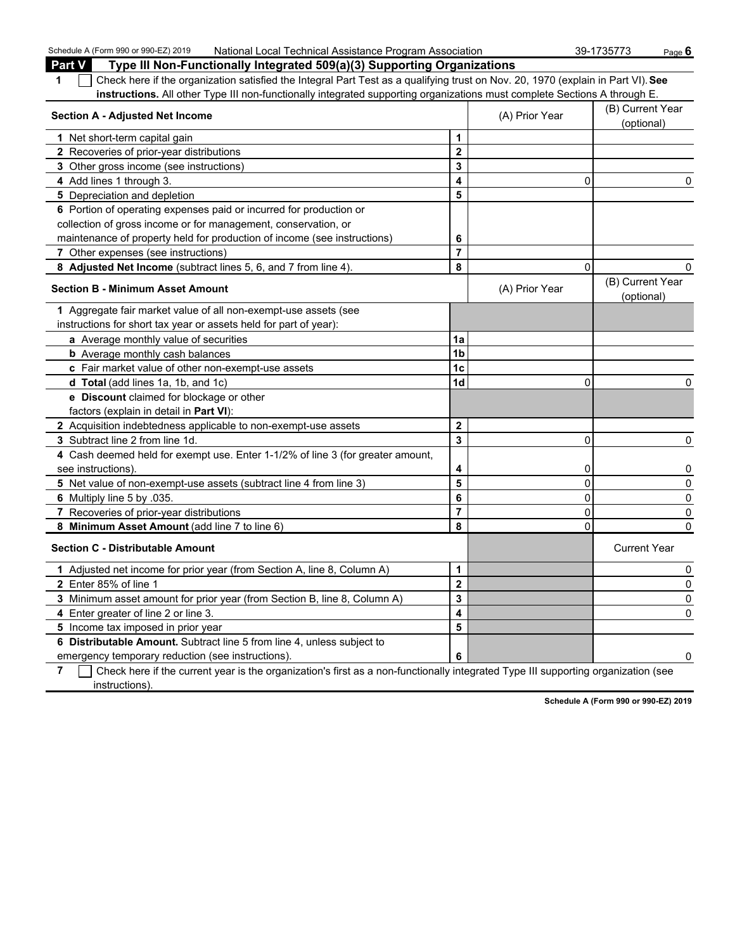| Schedule A (Form 990 or 990-EZ) 2019<br>National Local Technical Assistance Program Association                                                       |                         |                | 39-1735773<br>Page 6           |
|-------------------------------------------------------------------------------------------------------------------------------------------------------|-------------------------|----------------|--------------------------------|
| <b>Part V</b><br>Type III Non-Functionally Integrated 509(a)(3) Supporting Organizations                                                              |                         |                |                                |
| Check here if the organization satisfied the Integral Part Test as a qualifying trust on Nov. 20, 1970 (explain in Part VI). See<br>1                 |                         |                |                                |
| instructions. All other Type III non-functionally integrated supporting organizations must complete Sections A through E.                             |                         |                |                                |
| <b>Section A - Adjusted Net Income</b>                                                                                                                |                         | (A) Prior Year | (B) Current Year<br>(optional) |
| 1 Net short-term capital gain                                                                                                                         | 1                       |                |                                |
| 2 Recoveries of prior-year distributions                                                                                                              | $\overline{\mathbf{2}}$ |                |                                |
| 3 Other gross income (see instructions)                                                                                                               | 3                       |                |                                |
| 4 Add lines 1 through 3.                                                                                                                              | 4                       | 0              | 0                              |
| 5 Depreciation and depletion                                                                                                                          | 5                       |                |                                |
| 6 Portion of operating expenses paid or incurred for production or                                                                                    |                         |                |                                |
| collection of gross income or for management, conservation, or                                                                                        |                         |                |                                |
| maintenance of property held for production of income (see instructions)                                                                              | 6                       |                |                                |
| 7 Other expenses (see instructions)                                                                                                                   | $\overline{7}$          |                |                                |
| 8 Adjusted Net Income (subtract lines 5, 6, and 7 from line 4).                                                                                       | 8                       | $\Omega$       | 0                              |
| <b>Section B - Minimum Asset Amount</b>                                                                                                               |                         | (A) Prior Year | (B) Current Year<br>(optional) |
| 1 Aggregate fair market value of all non-exempt-use assets (see                                                                                       |                         |                |                                |
| instructions for short tax year or assets held for part of year):                                                                                     |                         |                |                                |
| a Average monthly value of securities                                                                                                                 | 1a                      |                |                                |
| <b>b</b> Average monthly cash balances                                                                                                                | 1 <sub>b</sub>          |                |                                |
| c Fair market value of other non-exempt-use assets                                                                                                    | 1c                      |                |                                |
| d Total (add lines 1a, 1b, and 1c)                                                                                                                    | 1 <sub>d</sub>          | $\mathbf{0}$   | 0                              |
| e Discount claimed for blockage or other                                                                                                              |                         |                |                                |
| factors (explain in detail in <b>Part VI)</b> :                                                                                                       |                         |                |                                |
| 2 Acquisition indebtedness applicable to non-exempt-use assets                                                                                        | $\mathbf{2}$            |                |                                |
| 3 Subtract line 2 from line 1d.                                                                                                                       | 3                       | 0              | 0                              |
| 4 Cash deemed held for exempt use. Enter 1-1/2% of line 3 (for greater amount,                                                                        |                         |                |                                |
| see instructions).                                                                                                                                    | 4                       | 0              | 0                              |
| 5 Net value of non-exempt-use assets (subtract line 4 from line 3)                                                                                    | 5                       | $\mathbf 0$    | $\mathbf 0$                    |
| 6 Multiply line 5 by .035.                                                                                                                            | 6                       | $\overline{0}$ | 0                              |
| 7 Recoveries of prior-year distributions                                                                                                              | $\overline{7}$          | $\overline{0}$ | 0                              |
| 8 Minimum Asset Amount (add line 7 to line 6)                                                                                                         | 8                       | $\Omega$       | 0                              |
| <b>Section C - Distributable Amount</b>                                                                                                               |                         |                | <b>Current Year</b>            |
| 1 Adjusted net income for prior year (from Section A, line 8, Column A)                                                                               | 1                       |                | 0                              |
| 2 Enter 85% of line 1                                                                                                                                 | $\overline{2}$          |                | 0                              |
| 3 Minimum asset amount for prior year (from Section B, line 8, Column A)                                                                              | 3                       |                | 0                              |
| 4 Enter greater of line 2 or line 3.                                                                                                                  | 4                       |                | 0                              |
| 5 Income tax imposed in prior year                                                                                                                    | 5                       |                |                                |
| 6 Distributable Amount. Subtract line 5 from line 4, unless subject to                                                                                |                         |                |                                |
| emergency temporary reduction (see instructions).                                                                                                     | 6                       |                |                                |
| $\overline{z}$ . The check has if the ourse twee is the essentation of first as a non-functionally integrated Type III queposition essentiation (eqs. |                         |                |                                |

**7** Check here if the current year is the organization's first as a non-functionally integrated Type III supporting organization (see instructions).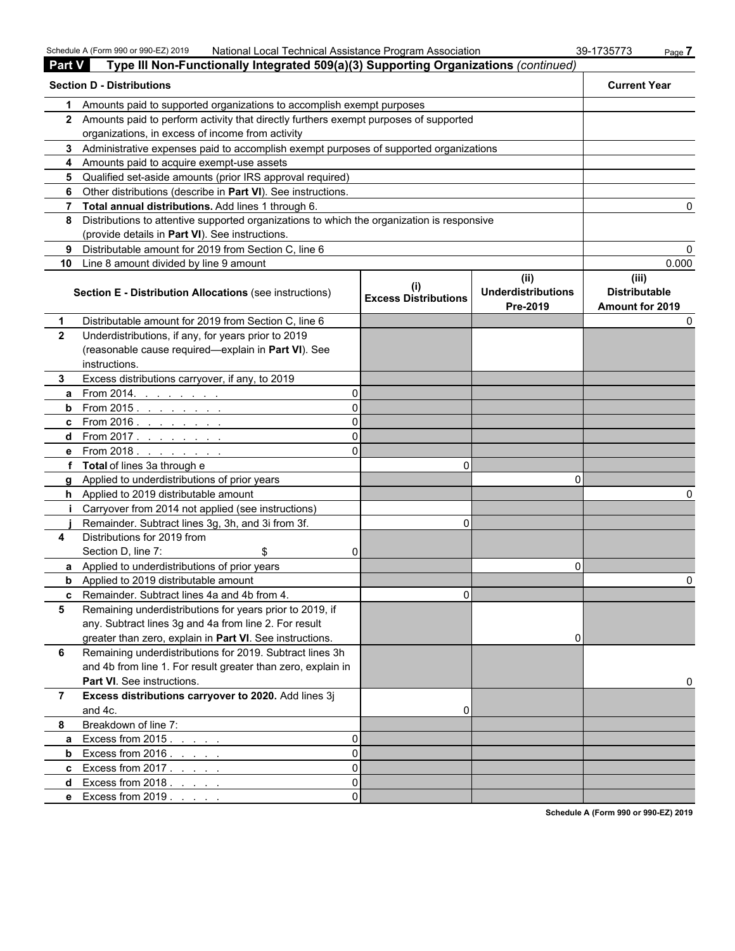|               | Schedule A (Form 990 or 990-EZ) 2019<br>National Local Technical Assistance Program Association |                                          |                                               | 39-1735773<br>Page 7                                    |  |  |  |
|---------------|-------------------------------------------------------------------------------------------------|------------------------------------------|-----------------------------------------------|---------------------------------------------------------|--|--|--|
| <b>Part V</b> | Type III Non-Functionally Integrated 509(a)(3) Supporting Organizations (continued)             |                                          |                                               |                                                         |  |  |  |
|               | <b>Section D - Distributions</b>                                                                |                                          |                                               |                                                         |  |  |  |
| 1             | Amounts paid to supported organizations to accomplish exempt purposes                           |                                          |                                               |                                                         |  |  |  |
|               | 2 Amounts paid to perform activity that directly furthers exempt purposes of supported          |                                          |                                               |                                                         |  |  |  |
|               | organizations, in excess of income from activity                                                |                                          |                                               |                                                         |  |  |  |
| 3.            | Administrative expenses paid to accomplish exempt purposes of supported organizations           |                                          |                                               |                                                         |  |  |  |
| 4             | Amounts paid to acquire exempt-use assets                                                       |                                          |                                               |                                                         |  |  |  |
| 5             | Qualified set-aside amounts (prior IRS approval required)                                       |                                          |                                               |                                                         |  |  |  |
| 6             | Other distributions (describe in Part VI). See instructions.                                    |                                          |                                               |                                                         |  |  |  |
| 7             | Total annual distributions. Add lines 1 through 6.                                              |                                          |                                               | 0                                                       |  |  |  |
| 8             | Distributions to attentive supported organizations to which the organization is responsive      |                                          |                                               |                                                         |  |  |  |
|               | (provide details in Part VI). See instructions.                                                 |                                          |                                               |                                                         |  |  |  |
| 9             | Distributable amount for 2019 from Section C, line 6                                            |                                          |                                               | 0                                                       |  |  |  |
| 10            | Line 8 amount divided by line 9 amount                                                          |                                          |                                               | 0.000                                                   |  |  |  |
|               | <b>Section E - Distribution Allocations (see instructions)</b>                                  | $\sf (i)$<br><b>Excess Distributions</b> | (ii)<br><b>Underdistributions</b><br>Pre-2019 | (iii)<br><b>Distributable</b><br><b>Amount for 2019</b> |  |  |  |
| 1             | Distributable amount for 2019 from Section C, line 6                                            |                                          |                                               | 0                                                       |  |  |  |
| $\mathbf{2}$  | Underdistributions, if any, for years prior to 2019                                             |                                          |                                               |                                                         |  |  |  |
|               | (reasonable cause required-explain in Part VI). See                                             |                                          |                                               |                                                         |  |  |  |
|               | instructions.                                                                                   |                                          |                                               |                                                         |  |  |  |
| 3.            | Excess distributions carryover, if any, to 2019                                                 |                                          |                                               |                                                         |  |  |  |
| a             | From 2014.<br>$\Omega$<br>and a straight and                                                    |                                          |                                               |                                                         |  |  |  |
| b             | ΩI<br>From 2015. <u>.</u>                                                                       |                                          |                                               |                                                         |  |  |  |
| c             | ΩI<br>From 2016 <u>.</u>                                                                        |                                          |                                               |                                                         |  |  |  |
| d             | $\Omega$<br>From 2017 <u>.</u>                                                                  |                                          |                                               |                                                         |  |  |  |
| e             | From 2018.<br>ΩI                                                                                |                                          |                                               |                                                         |  |  |  |
|               | <b>Total</b> of lines 3a through e                                                              | 0                                        |                                               |                                                         |  |  |  |
| a             | Applied to underdistributions of prior years                                                    |                                          | n                                             |                                                         |  |  |  |
|               | <b>h</b> Applied to 2019 distributable amount                                                   |                                          |                                               |                                                         |  |  |  |
|               | Carryover from 2014 not applied (see instructions)                                              |                                          |                                               |                                                         |  |  |  |
|               | Remainder. Subtract lines 3g, 3h, and 3i from 3f.                                               | $\Omega$                                 |                                               |                                                         |  |  |  |
| 4             | Distributions for 2019 from                                                                     |                                          |                                               |                                                         |  |  |  |
|               | Section D, line 7:<br>\$<br>$\Omega$                                                            |                                          |                                               |                                                         |  |  |  |
|               | Applied to underdistributions of prior years                                                    |                                          | 0                                             |                                                         |  |  |  |
|               | <b>b</b> Applied to 2019 distributable amount                                                   |                                          |                                               |                                                         |  |  |  |
| c             | Remainder. Subtract lines 4a and 4b from 4.                                                     | $\Omega$                                 |                                               |                                                         |  |  |  |
| 5             | Remaining underdistributions for years prior to 2019, if                                        |                                          |                                               |                                                         |  |  |  |
|               | any. Subtract lines 3g and 4a from line 2. For result                                           |                                          |                                               |                                                         |  |  |  |
|               | greater than zero, explain in Part VI. See instructions.                                        |                                          |                                               |                                                         |  |  |  |
| 6             | Remaining underdistributions for 2019. Subtract lines 3h                                        |                                          |                                               |                                                         |  |  |  |
|               | and 4b from line 1. For result greater than zero, explain in                                    |                                          |                                               |                                                         |  |  |  |
|               | Part VI. See instructions.                                                                      |                                          |                                               | 0                                                       |  |  |  |
| 7             | Excess distributions carryover to 2020. Add lines 3j                                            |                                          |                                               |                                                         |  |  |  |
|               | and 4c.                                                                                         | 0                                        |                                               |                                                         |  |  |  |
| 8             | Breakdown of line 7:                                                                            |                                          |                                               |                                                         |  |  |  |
| a             | Excess from $2015.$<br>$\Omega$                                                                 |                                          |                                               |                                                         |  |  |  |
| b             | $\Omega$<br>Excess from 2016.                                                                   |                                          |                                               |                                                         |  |  |  |
| c             | $\Omega$<br>Excess from $2017. \ldots$ .                                                        |                                          |                                               |                                                         |  |  |  |
| d             | $\Omega$<br>Excess from $2018.7.7.7.7$                                                          |                                          |                                               |                                                         |  |  |  |
|               | $\Omega$<br>e Excess from 2019                                                                  |                                          |                                               |                                                         |  |  |  |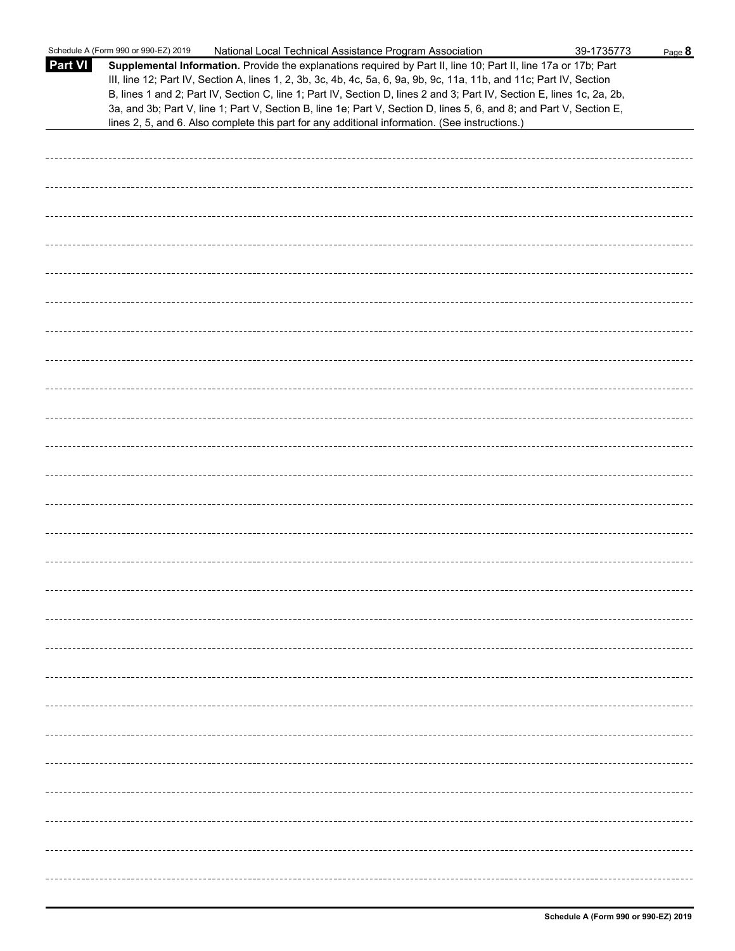|                | Schedule A (Form 990 or 990-EZ) 2019<br>National Local Technical Assistance Program Association                                                                                                                                                                                                                                                                                                                                                                                                                                                                                             | 39-1735773 | Page 8 |
|----------------|---------------------------------------------------------------------------------------------------------------------------------------------------------------------------------------------------------------------------------------------------------------------------------------------------------------------------------------------------------------------------------------------------------------------------------------------------------------------------------------------------------------------------------------------------------------------------------------------|------------|--------|
| <b>Part VI</b> | Supplemental Information. Provide the explanations required by Part II, line 10; Part II, line 17a or 17b; Part<br>III, line 12; Part IV, Section A, lines 1, 2, 3b, 3c, 4b, 4c, 5a, 6, 9a, 9b, 9c, 11a, 11b, and 11c; Part IV, Section<br>B, lines 1 and 2; Part IV, Section C, line 1; Part IV, Section D, lines 2 and 3; Part IV, Section E, lines 1c, 2a, 2b,<br>3a, and 3b; Part V, line 1; Part V, Section B, line 1e; Part V, Section D, lines 5, 6, and 8; and Part V, Section E,<br>lines 2, 5, and 6. Also complete this part for any additional information. (See instructions.) |            |        |
|                |                                                                                                                                                                                                                                                                                                                                                                                                                                                                                                                                                                                             |            |        |
|                |                                                                                                                                                                                                                                                                                                                                                                                                                                                                                                                                                                                             |            |        |
|                |                                                                                                                                                                                                                                                                                                                                                                                                                                                                                                                                                                                             |            |        |
|                |                                                                                                                                                                                                                                                                                                                                                                                                                                                                                                                                                                                             |            |        |
|                |                                                                                                                                                                                                                                                                                                                                                                                                                                                                                                                                                                                             |            |        |
|                |                                                                                                                                                                                                                                                                                                                                                                                                                                                                                                                                                                                             |            |        |
|                |                                                                                                                                                                                                                                                                                                                                                                                                                                                                                                                                                                                             |            |        |
|                |                                                                                                                                                                                                                                                                                                                                                                                                                                                                                                                                                                                             |            |        |
|                |                                                                                                                                                                                                                                                                                                                                                                                                                                                                                                                                                                                             |            |        |
|                |                                                                                                                                                                                                                                                                                                                                                                                                                                                                                                                                                                                             |            |        |
|                |                                                                                                                                                                                                                                                                                                                                                                                                                                                                                                                                                                                             |            |        |
|                |                                                                                                                                                                                                                                                                                                                                                                                                                                                                                                                                                                                             |            |        |
|                |                                                                                                                                                                                                                                                                                                                                                                                                                                                                                                                                                                                             |            |        |
|                |                                                                                                                                                                                                                                                                                                                                                                                                                                                                                                                                                                                             |            |        |
|                |                                                                                                                                                                                                                                                                                                                                                                                                                                                                                                                                                                                             |            |        |
|                |                                                                                                                                                                                                                                                                                                                                                                                                                                                                                                                                                                                             |            |        |
|                |                                                                                                                                                                                                                                                                                                                                                                                                                                                                                                                                                                                             |            |        |
|                |                                                                                                                                                                                                                                                                                                                                                                                                                                                                                                                                                                                             |            |        |
|                |                                                                                                                                                                                                                                                                                                                                                                                                                                                                                                                                                                                             |            |        |
|                |                                                                                                                                                                                                                                                                                                                                                                                                                                                                                                                                                                                             |            |        |
|                |                                                                                                                                                                                                                                                                                                                                                                                                                                                                                                                                                                                             |            |        |
|                |                                                                                                                                                                                                                                                                                                                                                                                                                                                                                                                                                                                             |            |        |
|                |                                                                                                                                                                                                                                                                                                                                                                                                                                                                                                                                                                                             |            |        |
|                |                                                                                                                                                                                                                                                                                                                                                                                                                                                                                                                                                                                             |            |        |
|                |                                                                                                                                                                                                                                                                                                                                                                                                                                                                                                                                                                                             |            |        |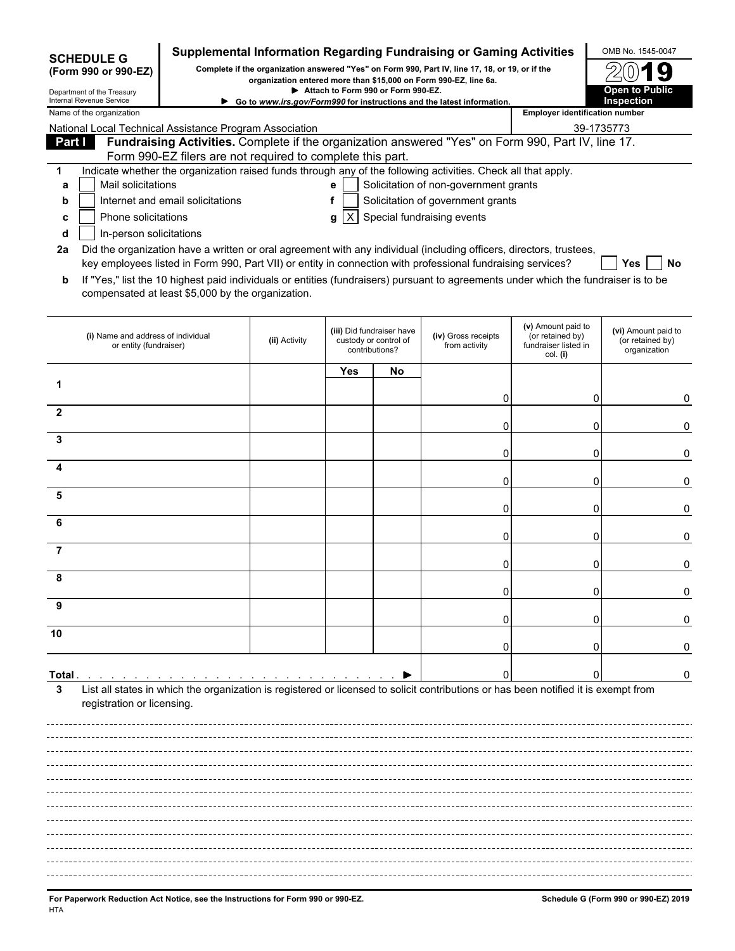|                                                                                                                                                                                             | <b>SCHEDULE G</b>                                            |                                                            |               |            |                                                                      | Supplemental Information Regarding Fundraising or Gaming Activities                                                                 |                                                                            | OMB No. 1545-0047                                       |  |  |  |  |
|---------------------------------------------------------------------------------------------------------------------------------------------------------------------------------------------|--------------------------------------------------------------|------------------------------------------------------------|---------------|------------|----------------------------------------------------------------------|-------------------------------------------------------------------------------------------------------------------------------------|----------------------------------------------------------------------------|---------------------------------------------------------|--|--|--|--|
| Complete if the organization answered "Yes" on Form 990, Part IV, line 17, 18, or 19, or if the<br>(Form 990 or 990-EZ)<br>organization entered more than \$15,000 on Form 990-EZ, line 6a. |                                                              |                                                            |               |            |                                                                      |                                                                                                                                     |                                                                            |                                                         |  |  |  |  |
| Attach to Form 990 or Form 990-EZ.<br>Department of the Treasury<br>Internal Revenue Service<br>Go to www.irs.gov/Form990 for instructions and the latest information.                      |                                                              |                                                            |               |            |                                                                      |                                                                                                                                     | <b>Open to Public</b><br>Inspection                                        |                                                         |  |  |  |  |
|                                                                                                                                                                                             | Name of the organization                                     |                                                            |               |            |                                                                      |                                                                                                                                     |                                                                            | <b>Employer identification number</b>                   |  |  |  |  |
|                                                                                                                                                                                             |                                                              | National Local Technical Assistance Program Association    |               |            |                                                                      |                                                                                                                                     | 39-1735773                                                                 |                                                         |  |  |  |  |
| Part I                                                                                                                                                                                      |                                                              | Form 990-EZ filers are not required to complete this part. |               |            |                                                                      | Fundraising Activities. Complete if the organization answered "Yes" on Form 990, Part IV, line 17.                                  |                                                                            |                                                         |  |  |  |  |
| 1                                                                                                                                                                                           |                                                              |                                                            |               |            |                                                                      | Indicate whether the organization raised funds through any of the following activities. Check all that apply.                       |                                                                            |                                                         |  |  |  |  |
| а                                                                                                                                                                                           | Mail solicitations                                           |                                                            |               | е          |                                                                      | Solicitation of non-government grants                                                                                               |                                                                            |                                                         |  |  |  |  |
| b                                                                                                                                                                                           |                                                              | Internet and email solicitations                           |               | f          |                                                                      | Solicitation of government grants                                                                                                   |                                                                            |                                                         |  |  |  |  |
| c                                                                                                                                                                                           | Phone solicitations                                          |                                                            |               | IXI<br>g   |                                                                      | Special fundraising events                                                                                                          |                                                                            |                                                         |  |  |  |  |
| d<br>2a                                                                                                                                                                                     | In-person solicitations                                      |                                                            |               |            |                                                                      | Did the organization have a written or oral agreement with any individual (including officers, directors, trustees,                 |                                                                            |                                                         |  |  |  |  |
|                                                                                                                                                                                             |                                                              |                                                            |               |            |                                                                      | key employees listed in Form 990, Part VII) or entity in connection with professional fundraising services?                         |                                                                            | Yes<br>No                                               |  |  |  |  |
| b                                                                                                                                                                                           |                                                              | compensated at least \$5,000 by the organization.          |               |            |                                                                      | If "Yes," list the 10 highest paid individuals or entities (fundraisers) pursuant to agreements under which the fundraiser is to be |                                                                            |                                                         |  |  |  |  |
|                                                                                                                                                                                             | (i) Name and address of individual<br>or entity (fundraiser) |                                                            | (ii) Activity |            | (iii) Did fundraiser have<br>custody or control of<br>contributions? | (iv) Gross receipts<br>from activity                                                                                                | (v) Amount paid to<br>(or retained by)<br>fundraiser listed in<br>col. (i) | (vi) Amount paid to<br>(or retained by)<br>organization |  |  |  |  |
|                                                                                                                                                                                             |                                                              |                                                            |               | <b>Yes</b> | No                                                                   |                                                                                                                                     |                                                                            |                                                         |  |  |  |  |
| 1                                                                                                                                                                                           |                                                              |                                                            |               |            |                                                                      |                                                                                                                                     |                                                                            |                                                         |  |  |  |  |
| $\mathbf{2}$                                                                                                                                                                                |                                                              |                                                            |               |            |                                                                      | 0                                                                                                                                   | 0                                                                          | 0                                                       |  |  |  |  |
|                                                                                                                                                                                             |                                                              |                                                            |               |            |                                                                      | 0                                                                                                                                   | 0                                                                          | 0                                                       |  |  |  |  |
| 3                                                                                                                                                                                           |                                                              |                                                            |               |            |                                                                      |                                                                                                                                     |                                                                            |                                                         |  |  |  |  |
| Δ                                                                                                                                                                                           |                                                              |                                                            |               |            |                                                                      | 0                                                                                                                                   | 0                                                                          | 0                                                       |  |  |  |  |
|                                                                                                                                                                                             |                                                              |                                                            |               |            |                                                                      | 0                                                                                                                                   | 0                                                                          | 0                                                       |  |  |  |  |
| 5                                                                                                                                                                                           |                                                              |                                                            |               |            |                                                                      |                                                                                                                                     |                                                                            |                                                         |  |  |  |  |
| 6                                                                                                                                                                                           |                                                              |                                                            |               |            |                                                                      | 0                                                                                                                                   | 0                                                                          | 0                                                       |  |  |  |  |
|                                                                                                                                                                                             |                                                              |                                                            |               |            |                                                                      | 0                                                                                                                                   | 0                                                                          | 0                                                       |  |  |  |  |
| 7                                                                                                                                                                                           |                                                              |                                                            |               |            |                                                                      | 0                                                                                                                                   | 0                                                                          | 0                                                       |  |  |  |  |
|                                                                                                                                                                                             |                                                              |                                                            |               |            |                                                                      |                                                                                                                                     |                                                                            |                                                         |  |  |  |  |
|                                                                                                                                                                                             |                                                              |                                                            |               |            |                                                                      | 0                                                                                                                                   | 0                                                                          |                                                         |  |  |  |  |
| 9                                                                                                                                                                                           |                                                              |                                                            |               |            |                                                                      |                                                                                                                                     |                                                                            |                                                         |  |  |  |  |
| 10                                                                                                                                                                                          |                                                              |                                                            |               |            |                                                                      |                                                                                                                                     |                                                                            |                                                         |  |  |  |  |
|                                                                                                                                                                                             |                                                              |                                                            |               |            |                                                                      |                                                                                                                                     |                                                                            |                                                         |  |  |  |  |
| Total .                                                                                                                                                                                     |                                                              |                                                            |               |            |                                                                      | ſ                                                                                                                                   |                                                                            | 0                                                       |  |  |  |  |
| 3                                                                                                                                                                                           |                                                              |                                                            |               |            |                                                                      | List all states in which the organization is registered or licensed to solicit contributions or has been notified it is exempt from |                                                                            |                                                         |  |  |  |  |
|                                                                                                                                                                                             | registration or licensing.                                   |                                                            |               |            |                                                                      |                                                                                                                                     |                                                                            |                                                         |  |  |  |  |
|                                                                                                                                                                                             |                                                              |                                                            |               |            |                                                                      |                                                                                                                                     |                                                                            |                                                         |  |  |  |  |
|                                                                                                                                                                                             |                                                              |                                                            |               |            |                                                                      |                                                                                                                                     |                                                                            |                                                         |  |  |  |  |
|                                                                                                                                                                                             |                                                              |                                                            |               |            |                                                                      |                                                                                                                                     |                                                                            |                                                         |  |  |  |  |
|                                                                                                                                                                                             |                                                              |                                                            |               |            |                                                                      |                                                                                                                                     |                                                                            |                                                         |  |  |  |  |
|                                                                                                                                                                                             |                                                              |                                                            |               |            |                                                                      |                                                                                                                                     |                                                                            |                                                         |  |  |  |  |
|                                                                                                                                                                                             |                                                              |                                                            |               |            |                                                                      |                                                                                                                                     |                                                                            |                                                         |  |  |  |  |
|                                                                                                                                                                                             |                                                              |                                                            |               |            |                                                                      |                                                                                                                                     |                                                                            |                                                         |  |  |  |  |
|                                                                                                                                                                                             |                                                              |                                                            |               |            |                                                                      |                                                                                                                                     |                                                                            |                                                         |  |  |  |  |
|                                                                                                                                                                                             |                                                              |                                                            |               |            |                                                                      |                                                                                                                                     |                                                                            |                                                         |  |  |  |  |
|                                                                                                                                                                                             |                                                              |                                                            |               |            |                                                                      |                                                                                                                                     |                                                                            |                                                         |  |  |  |  |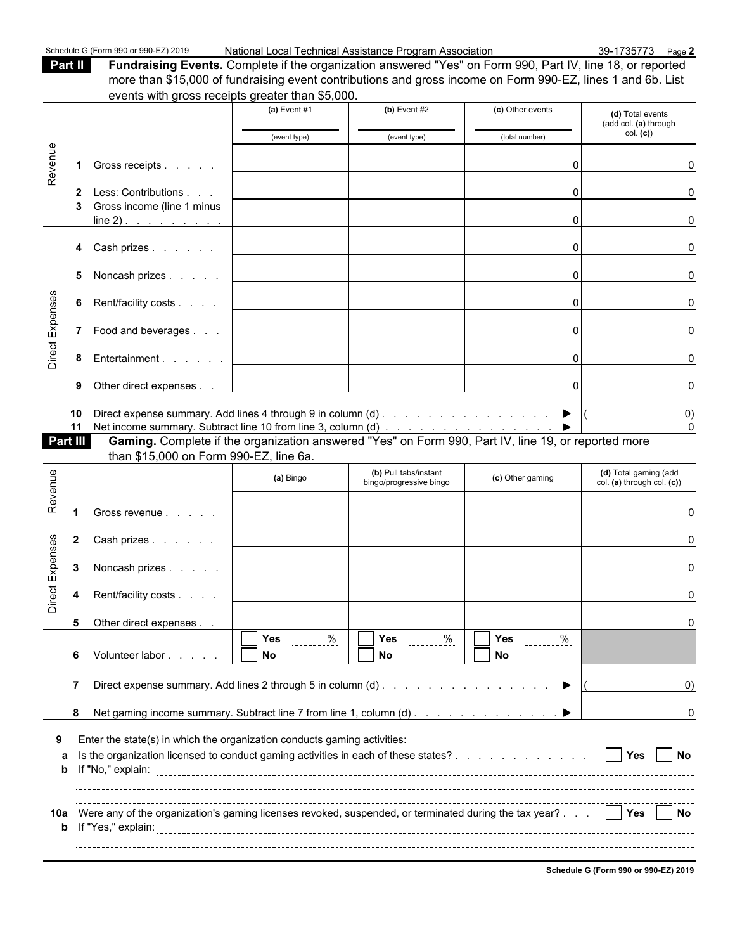**Part II Fundraising Events.** Complete if the organization answered "Yes" on Form 990, Part IV, line 18, or reported more than \$15,000 of fundraising event contributions and gross income on Form 990-EZ, lines 1 and 6b. List events with gross receipts greater than \$5,000.

|                 |              | events with gross receipts greater than \$5,000.                                                                                                                                                                                                                        |                                                               |                                                                                    |                                                                                                                                    |                                                     |
|-----------------|--------------|-------------------------------------------------------------------------------------------------------------------------------------------------------------------------------------------------------------------------------------------------------------------------|---------------------------------------------------------------|------------------------------------------------------------------------------------|------------------------------------------------------------------------------------------------------------------------------------|-----------------------------------------------------|
|                 |              |                                                                                                                                                                                                                                                                         | (a) Event $#1$                                                | $(b)$ Event #2                                                                     | (c) Other events                                                                                                                   | (d) Total events<br>(add col. (a) through           |
|                 |              |                                                                                                                                                                                                                                                                         | (event type)                                                  | (event type)                                                                       | (total number)                                                                                                                     | col. (c))                                           |
| Revenue         | 1            | Gross receipts                                                                                                                                                                                                                                                          |                                                               |                                                                                    |                                                                                                                                    |                                                     |
|                 |              | 2 Less: Contributions<br>Gross income (line 1 minus                                                                                                                                                                                                                     |                                                               |                                                                                    | O                                                                                                                                  |                                                     |
|                 |              | $line 2)$ .                                                                                                                                                                                                                                                             |                                                               |                                                                                    | O                                                                                                                                  |                                                     |
|                 |              | 4 Cash prizes                                                                                                                                                                                                                                                           |                                                               |                                                                                    | C                                                                                                                                  |                                                     |
|                 | 5            | Noncash prizes                                                                                                                                                                                                                                                          |                                                               |                                                                                    | $\Omega$                                                                                                                           |                                                     |
|                 | 6            | Rent/facility costs                                                                                                                                                                                                                                                     |                                                               |                                                                                    | $\Omega$                                                                                                                           | U                                                   |
| Direct Expenses |              | 7 Food and beverages                                                                                                                                                                                                                                                    |                                                               |                                                                                    | $\Omega$                                                                                                                           |                                                     |
|                 |              | 8 Entertainment                                                                                                                                                                                                                                                         |                                                               |                                                                                    | $\Omega$                                                                                                                           |                                                     |
|                 | 9            | Other direct expenses                                                                                                                                                                                                                                                   |                                                               |                                                                                    | $\Omega$                                                                                                                           |                                                     |
|                 | 10<br>11     | Direct expense summary. Add lines 4 through 9 in column (d) $\blacktriangleright$ $($<br>Net income summary. Subtract line 10 from line 3, column (d) ▶ D<br><b>Gaming.</b> Complete if the organization answered "Yes" on Form 990, Part IV, line 19, or reported more |                                                               |                                                                                    |                                                                                                                                    |                                                     |
|                 | Part III     | than \$15,000 on Form 990-EZ, line 6a.                                                                                                                                                                                                                                  |                                                               |                                                                                    |                                                                                                                                    |                                                     |
| Revenue         |              |                                                                                                                                                                                                                                                                         | (a) Bingo                                                     | (b) Pull tabs/instant<br>bingo/progressive bingo                                   | (c) Other gaming                                                                                                                   | (d) Total gaming (add<br>col. (a) through col. (c)) |
|                 |              |                                                                                                                                                                                                                                                                         |                                                               |                                                                                    |                                                                                                                                    |                                                     |
|                 | $\mathbf{2}$ | Cash prizes                                                                                                                                                                                                                                                             |                                                               |                                                                                    |                                                                                                                                    |                                                     |
|                 | 3            | Noncash prizes                                                                                                                                                                                                                                                          |                                                               |                                                                                    |                                                                                                                                    |                                                     |
| Direct Expenses | 4            | Rent/facility costs                                                                                                                                                                                                                                                     |                                                               |                                                                                    |                                                                                                                                    |                                                     |
|                 |              | 5 Other direct expenses                                                                                                                                                                                                                                                 |                                                               |                                                                                    |                                                                                                                                    |                                                     |
|                 | 6            | Volunteer labor                                                                                                                                                                                                                                                         | ┲═<br>$\overline{\mathbf{35}}$ , $\frac{\%}{\%}$<br>Yes<br>No | $\overline{\phantom{a}}$<br><u>%</u><br>Yes<br>No                                  | n and a strong strong part of the strong strong part of the strong strong strong in the strong strong strong i<br>Yes<br><b>No</b> |                                                     |
|                 | 7            |                                                                                                                                                                                                                                                                         |                                                               |                                                                                    |                                                                                                                                    | O)                                                  |
|                 | 8            | Net gaming income summary. Subtract line 7 from line 1, column (d)                                                                                                                                                                                                      |                                                               |                                                                                    |                                                                                                                                    | 0                                                   |
| 9               |              | Enter the state(s) in which the organization conducts gaming activities:                                                                                                                                                                                                |                                                               |                                                                                    |                                                                                                                                    |                                                     |
|                 |              |                                                                                                                                                                                                                                                                         |                                                               | Is the organization licensed to conduct gaming activities in each of these states? |                                                                                                                                    | <b>Yes</b><br>l INo                                 |
|                 | a<br>b       |                                                                                                                                                                                                                                                                         |                                                               |                                                                                    |                                                                                                                                    |                                                     |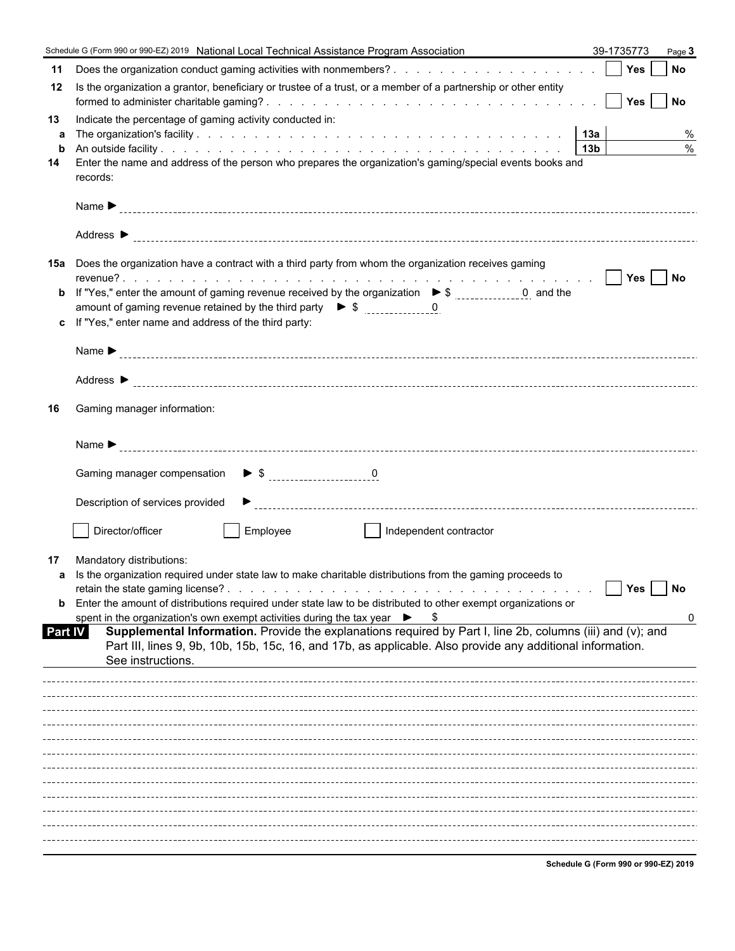|                | Schedule G (Form 990 or 990-EZ) 2019 National Local Technical Assistance Program Association                                                                                                                                                  | 39-1735773                           | Page 3             |
|----------------|-----------------------------------------------------------------------------------------------------------------------------------------------------------------------------------------------------------------------------------------------|--------------------------------------|--------------------|
| 11             |                                                                                                                                                                                                                                               |                                      |                    |
| 12             | Is the organization a grantor, beneficiary or trustee of a trust, or a member of a partnership or other entity                                                                                                                                |                                      |                    |
| 13             | Indicate the percentage of gaming activity conducted in:                                                                                                                                                                                      |                                      |                    |
| a              |                                                                                                                                                                                                                                               |                                      | %<br>$\frac{0}{0}$ |
| b<br>14        | Enter the name and address of the person who prepares the organization's gaming/special events books and                                                                                                                                      |                                      |                    |
|                | records:                                                                                                                                                                                                                                      |                                      |                    |
|                |                                                                                                                                                                                                                                               |                                      |                    |
|                |                                                                                                                                                                                                                                               |                                      |                    |
|                | 15a Does the organization have a contract with a third party from whom the organization receives gaming                                                                                                                                       |                                      |                    |
|                |                                                                                                                                                                                                                                               |                                      |                    |
|                |                                                                                                                                                                                                                                               |                                      |                    |
|                | c If "Yes," enter name and address of the third party:                                                                                                                                                                                        |                                      |                    |
|                |                                                                                                                                                                                                                                               |                                      |                    |
|                |                                                                                                                                                                                                                                               |                                      |                    |
|                |                                                                                                                                                                                                                                               |                                      |                    |
| 16             | Gaming manager information:                                                                                                                                                                                                                   |                                      |                    |
|                |                                                                                                                                                                                                                                               |                                      |                    |
|                |                                                                                                                                                                                                                                               |                                      |                    |
|                | Description of services provided                                                                                                                                                                                                              |                                      |                    |
|                | Director/officer<br>Employee<br>Independent contractor<br>T St                                                                                                                                                                                |                                      |                    |
| 17             | Mandatory distributions:                                                                                                                                                                                                                      |                                      |                    |
|                | a Is the organization required under state law to make charitable distributions from the gaming proceeds to                                                                                                                                   |                                      |                    |
| b              | Enter the amount of distributions required under state law to be distributed to other exempt organizations or                                                                                                                                 | Yes                                  | No                 |
|                | spent in the organization's own exempt activities during the tax year $\triangleright$ \$                                                                                                                                                     |                                      | 0                  |
| <b>Part IV</b> | Supplemental Information. Provide the explanations required by Part I, line 2b, columns (iii) and (v); and<br>Part III, lines 9, 9b, 10b, 15b, 15c, 16, and 17b, as applicable. Also provide any additional information.<br>See instructions. |                                      |                    |
|                |                                                                                                                                                                                                                                               |                                      |                    |
|                |                                                                                                                                                                                                                                               |                                      |                    |
|                |                                                                                                                                                                                                                                               |                                      |                    |
|                |                                                                                                                                                                                                                                               |                                      |                    |
|                |                                                                                                                                                                                                                                               |                                      |                    |
|                |                                                                                                                                                                                                                                               |                                      |                    |
|                |                                                                                                                                                                                                                                               |                                      |                    |
|                |                                                                                                                                                                                                                                               |                                      |                    |
|                |                                                                                                                                                                                                                                               |                                      |                    |
|                |                                                                                                                                                                                                                                               |                                      |                    |
|                |                                                                                                                                                                                                                                               | Schedule C (Form 000 or 000 EZ) 2040 |                    |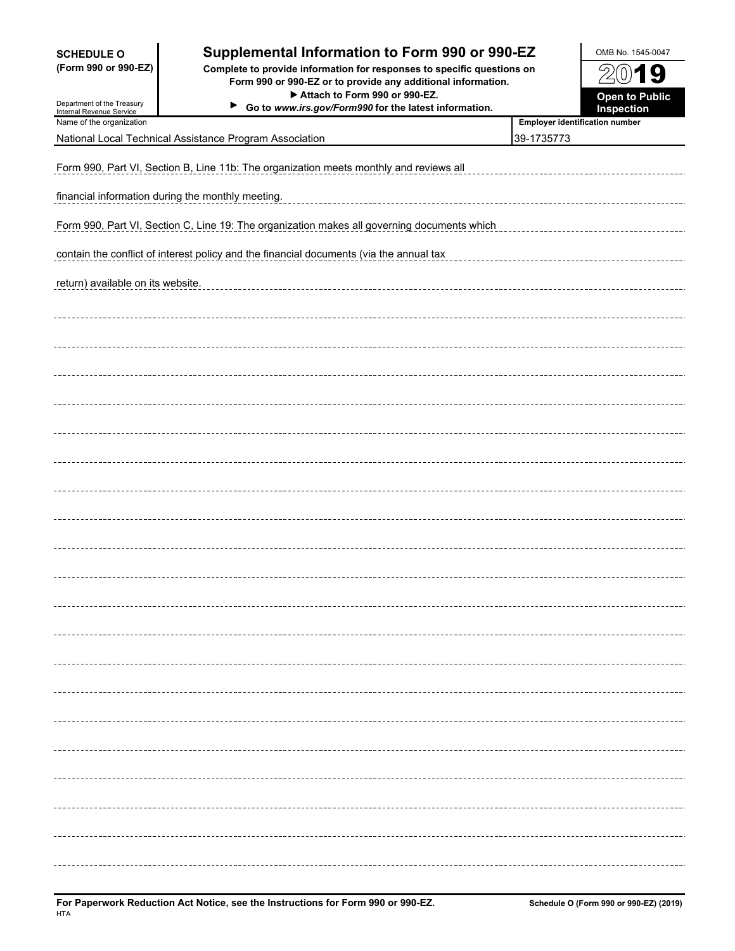| <b>SCHEDULE O</b><br>(Form 990 or 990-EZ)              | Supplemental Information to Form 990 or 990-EZ<br>Complete to provide information for responses to specific questions on<br>Form 990 or 990-EZ or to provide any additional information.<br>Attach to Form 990 or 990-EZ. |                                | OMB No. 1545-0047<br>$(0)$ 19<br><b>Open to Public</b> |  |  |  |  |  |
|--------------------------------------------------------|---------------------------------------------------------------------------------------------------------------------------------------------------------------------------------------------------------------------------|--------------------------------|--------------------------------------------------------|--|--|--|--|--|
| Department of the Treasury<br>Internal Revenue Service | ▶<br>Go to www.irs.gov/Form990 for the latest information.                                                                                                                                                                |                                | Inspection                                             |  |  |  |  |  |
| Name of the organization                               |                                                                                                                                                                                                                           | Employer identification number |                                                        |  |  |  |  |  |
|                                                        | National Local Technical Assistance Program Association                                                                                                                                                                   | 39-1735773                     |                                                        |  |  |  |  |  |
|                                                        | Form 990, Part VI, Section B, Line 11b: The organization meets monthly and reviews all                                                                                                                                    |                                |                                                        |  |  |  |  |  |
|                                                        | financial information during the monthly meeting.                                                                                                                                                                         |                                |                                                        |  |  |  |  |  |
|                                                        | Form 990, Part VI, Section C, Line 19: The organization makes all governing documents which                                                                                                                               |                                |                                                        |  |  |  |  |  |
|                                                        | contain the conflict of interest policy and the financial documents (via the annual tax                                                                                                                                   |                                |                                                        |  |  |  |  |  |
| return) available on its website.                      |                                                                                                                                                                                                                           |                                |                                                        |  |  |  |  |  |
|                                                        |                                                                                                                                                                                                                           |                                |                                                        |  |  |  |  |  |
|                                                        |                                                                                                                                                                                                                           |                                |                                                        |  |  |  |  |  |
|                                                        |                                                                                                                                                                                                                           |                                |                                                        |  |  |  |  |  |
|                                                        |                                                                                                                                                                                                                           |                                |                                                        |  |  |  |  |  |
|                                                        |                                                                                                                                                                                                                           |                                |                                                        |  |  |  |  |  |
|                                                        |                                                                                                                                                                                                                           |                                |                                                        |  |  |  |  |  |
|                                                        |                                                                                                                                                                                                                           |                                |                                                        |  |  |  |  |  |
|                                                        |                                                                                                                                                                                                                           |                                |                                                        |  |  |  |  |  |
|                                                        |                                                                                                                                                                                                                           |                                |                                                        |  |  |  |  |  |
|                                                        |                                                                                                                                                                                                                           |                                |                                                        |  |  |  |  |  |
|                                                        |                                                                                                                                                                                                                           |                                |                                                        |  |  |  |  |  |
|                                                        |                                                                                                                                                                                                                           |                                |                                                        |  |  |  |  |  |
|                                                        |                                                                                                                                                                                                                           |                                |                                                        |  |  |  |  |  |
|                                                        |                                                                                                                                                                                                                           |                                |                                                        |  |  |  |  |  |
|                                                        |                                                                                                                                                                                                                           |                                |                                                        |  |  |  |  |  |
|                                                        |                                                                                                                                                                                                                           |                                |                                                        |  |  |  |  |  |
|                                                        |                                                                                                                                                                                                                           |                                |                                                        |  |  |  |  |  |
|                                                        |                                                                                                                                                                                                                           |                                |                                                        |  |  |  |  |  |
|                                                        |                                                                                                                                                                                                                           |                                |                                                        |  |  |  |  |  |
|                                                        |                                                                                                                                                                                                                           |                                |                                                        |  |  |  |  |  |
|                                                        |                                                                                                                                                                                                                           |                                |                                                        |  |  |  |  |  |
|                                                        |                                                                                                                                                                                                                           |                                |                                                        |  |  |  |  |  |
|                                                        |                                                                                                                                                                                                                           |                                |                                                        |  |  |  |  |  |